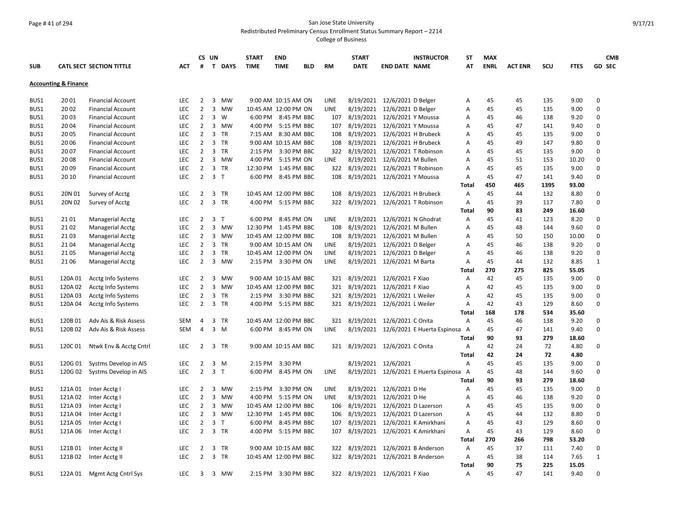### Page # 41 of 294 San Jose State University Redistributed Preliminary Census Enrollment Status Summary Report – 2214

|            |                                 |                                 |            |                | CS UN                   |           | <b>START</b> | <b>END</b>            |            |             | <b>START</b>                       |                                | <b>INSTRUCTOR</b>                     | ST             | <b>MAX</b>  |                |      |             | <b>CMB</b>    |
|------------|---------------------------------|---------------------------------|------------|----------------|-------------------------|-----------|--------------|-----------------------|------------|-------------|------------------------------------|--------------------------------|---------------------------------------|----------------|-------------|----------------|------|-------------|---------------|
| <b>SUB</b> |                                 | <b>CATL SECT SECTION TITTLE</b> | <b>ACT</b> | #              |                         | T DAYS    | <b>TIME</b>  | <b>TIME</b>           | <b>BLD</b> | <b>RM</b>   | <b>DATE</b>                        | <b>END DATE NAME</b>           |                                       | AT             | <b>ENRL</b> | <b>ACT ENR</b> | SCU  | <b>FTES</b> | <b>GD SEC</b> |
|            |                                 |                                 |            |                |                         |           |              |                       |            |             |                                    |                                |                                       |                |             |                |      |             |               |
|            | <b>Accounting &amp; Finance</b> |                                 |            |                |                         |           |              |                       |            |             |                                    |                                |                                       |                |             |                |      |             |               |
| BUS1       | 20 01                           | <b>Financial Account</b>        | <b>LEC</b> | $\overline{2}$ |                         | 3 MW      |              | 9:00 AM 10:15 AM ON   |            | LINE        | 8/19/2021                          | 12/6/2021 D Belger             |                                       | Α              | 45          | 45             | 135  | 9.00        | 0             |
| BUS1       | 20 02                           | <b>Financial Account</b>        | <b>LEC</b> | $\overline{2}$ | $\overline{3}$          | MW        |              | 10:45 AM 12:00 PM ON  |            | LINE        | 8/19/2021                          | 12/6/2021 D Belger             |                                       | A              | 45          | 45             | 135  | 9.00        | $\Omega$      |
| BUS1       | 20 03                           | <b>Financial Account</b>        | LEC        | $\overline{2}$ | $\overline{3}$          | W         |              | 6:00 PM 8:45 PM BBC   |            | 107         | 8/19/2021                          | 12/6/2021 Y Moussa             |                                       | Α              | 45          | 46             | 138  | 9.20        | $\mathbf 0$   |
| BUS1       | 20 04                           | <b>Financial Account</b>        | <b>LEC</b> | $\overline{2}$ | $\overline{\mathbf{3}}$ | MW        | 4:00 PM      | 5:15 PM BBC           |            | 107         | 8/19/2021                          | 12/6/2021 Y Moussa             |                                       | Α              | 45          | 47             | 141  | 9.40        | $\Omega$      |
| BUS1       | 20 05                           | <b>Financial Account</b>        | <b>LEC</b> | $\overline{2}$ |                         | 3 TR      |              | 7:15 AM 8:30 AM BBC   |            | 108         | 8/19/2021                          | 12/6/2021 H Brubeck            |                                       | Α              | 45          | 45             | 135  | 9.00        | $\Omega$      |
| BUS1       | 20 06                           | <b>Financial Account</b>        | <b>LEC</b> | $\overline{2}$ |                         | 3 TR      |              | 9:00 AM 10:15 AM BBC  |            | 108         | 8/19/2021                          | 12/6/2021 H Brubeck            |                                       | Α              | 45          | 49             | 147  | 9.80        | $\Omega$      |
| BUS1       | 20 07                           | <b>Financial Account</b>        | <b>LEC</b> | $\overline{2}$ |                         | 3 TR      | 2:15 PM      | 3:30 PM BBC           |            | 322         | 8/19/2021                          |                                | 12/6/2021 T Robinson                  | Α              | 45          | 45             | 135  | 9.00        | $\Omega$      |
| BUS1       | 20 08                           | <b>Financial Account</b>        | LEC        | $\overline{2}$ |                         | 3 MW      | 4:00 PM      | 5:15 PM ON            |            | <b>LINE</b> | 8/19/2021                          | 12/6/2021 M Bullen             |                                       | Α              | 45          | 51             | 153  | 10.20       | $\Omega$      |
| BUS1       | 20 09                           | <b>Financial Account</b>        | LEC        | $\overline{2}$ |                         | 3 TR      | 12:30 PM     | 1:45 PM BBC           |            |             | 322 8/19/2021                      |                                | 12/6/2021 T Robinson                  | Α              | 45          | 45             | 135  | 9.00        | $\Omega$      |
| BUS1       | 20 10                           | <b>Financial Account</b>        | <b>LEC</b> | $\overline{2}$ | 3 <sub>T</sub>          |           | 6:00 PM      | 8:45 PM BBC           |            | 108         | 8/19/2021                          | 12/6/2021 Y Moussa             |                                       | Α              | 45          | 47             | 141  | 9.40        | $\Omega$      |
|            |                                 |                                 |            |                |                         |           |              |                       |            |             |                                    |                                |                                       | Total          | 450         | 465            | 1395 | 93.00       |               |
| BUS1       | 20N 01                          | Survey of Acctg                 | LEC        | 2              |                         | 3 TR      |              | 10:45 AM 12:00 PM BBC |            | 108         |                                    | 8/19/2021 12/6/2021 H Brubeck  |                                       | A              | 45          | 44             | 132  | 8.80        | $\Omega$      |
| BUS1       | 20N 02                          | Survey of Acctg                 | LEC        | $\overline{2}$ |                         | 3 TR      |              | 4:00 PM 5:15 PM BBC   |            | 322         | 8/19/2021                          |                                | 12/6/2021 T Robinson                  | A              | 45          | 39             | 117  | 7.80        | $\Omega$      |
|            |                                 |                                 |            |                |                         |           |              |                       |            |             |                                    |                                |                                       | Total          | 90          | 83             | 249  | 16.60       |               |
| BUS1       | 21 01                           | <b>Managerial Acctg</b>         | LEC        | $\overline{2}$ | 3 <sub>1</sub>          |           |              | 6:00 PM 8:45 PM ON    |            | <b>LINE</b> | 8/19/2021                          | 12/6/2021 N Ghodrat            |                                       | A              | 45          | 41             | 123  | 8.20        | $\Omega$      |
| BUS1       | 21 02                           | <b>Managerial Acctg</b>         | LEC        | $\overline{2}$ | $\overline{3}$          | MW        | 12:30 PM     | 1:45 PM BBC           |            | 108         | 8/19/2021                          | 12/6/2021 M Bullen             |                                       | Α              | 45          | 48             | 144  | 9.60        | $\Omega$      |
| BUS1       | 21 03                           | Managerial Acctg                | LEC        | $\overline{2}$ | $\overline{\mathbf{3}}$ | MW        |              | 10:45 AM 12:00 PM BBC |            | 108         | 8/19/2021                          | 12/6/2021 M Bullen             |                                       | Α              | 45          | 50             | 150  | 10.00       | $\mathbf 0$   |
| BUS1       | 21 04                           | <b>Managerial Acctg</b>         | <b>LEC</b> | $\overline{2}$ | $\overline{3}$          | TR        |              | 9:00 AM 10:15 AM ON   |            | <b>LINE</b> | 8/19/2021                          | 12/6/2021 D Belger             |                                       | Α              | 45          | 46             | 138  | 9.20        | $\Omega$      |
| BUS1       | 21 05                           | <b>Managerial Acctg</b>         | LEC        | $\overline{2}$ | $\overline{3}$          | TR        |              | 10:45 AM 12:00 PM ON  |            | LINE        | 8/19/2021                          | 12/6/2021 D Belger             |                                       | Α              | 45          | 46             | 138  | 9.20        | $\Omega$      |
| BUS1       | 21 06                           | <b>Managerial Acctg</b>         | <b>LEC</b> | $\overline{2}$ | 3                       | MW        |              | 2:15 PM 3:30 PM ON    |            | <b>LINE</b> |                                    | 8/19/2021 12/6/2021 M Barta    |                                       | Α              | 45          | 44             | 132  | 8.85        | $\mathbf{1}$  |
|            |                                 |                                 |            |                |                         |           |              |                       |            |             |                                    |                                |                                       | Total          | 270         | 275            | 825  | 55.05       |               |
| BUS1       | 120A 01                         | Acctg Info Systems              | <b>LEC</b> | 2              | 3                       | <b>MW</b> |              | 9:00 AM 10:15 AM BBC  |            | 321         | 8/19/2021                          | 12/6/2021 F Xiao               |                                       | $\overline{A}$ | 42          | 45             | 135  | 9.00        | $\Omega$      |
| BUS1       | 120A 02                         | Acctg Info Systems              | <b>LEC</b> | $\overline{2}$ | $\overline{\mathbf{3}}$ | MW        |              | 10:45 AM 12:00 PM BBC |            |             | 321 8/19/2021                      | 12/6/2021 F Xiao               |                                       | A              | 42          | 45             | 135  | 9.00        | $\Omega$      |
| BUS1       | 120A03                          | Acctg Info Systems              | <b>LEC</b> | $\overline{2}$ | $\overline{\mathbf{3}}$ | <b>TR</b> |              | 2:15 PM 3:30 PM BBC   |            |             | 321 8/19/2021                      | 12/6/2021 L Weiler             |                                       | A              | 42          | 45             | 135  | 9.00        | $\Omega$      |
| BUS1       | 120A 04                         | Acctg Info Systems              | LEC        | $\overline{2}$ |                         | 3 TR      |              | 4:00 PM 5:15 PM BBC   |            |             | 321 8/19/2021 12/6/2021 L Weiler   |                                |                                       | A              | 42          | 43             | 129  | 8.60        | 0             |
|            |                                 |                                 |            |                |                         |           |              |                       |            |             |                                    |                                |                                       | Total          | 168         | 178            | 534  | 35.60       |               |
| BUS1       | 120B01                          | Adv Ais & Risk Assess           | <b>SEM</b> | 4              |                         | 3 TR      |              | 10:45 AM 12:00 PM BBC |            | 321         | 8/19/2021 12/6/2021 C Onita        |                                |                                       | A              | 45          | 46             | 138  | 9.20        | $\Omega$      |
| BUS1       | 120B02                          | Adv Ais & Risk Assess           | <b>SEM</b> | 4              | 3 M                     |           |              | 6:00 PM 8:45 PM ON    |            | <b>LINE</b> |                                    |                                | 8/19/2021 12/6/2021 E Huerta Espinosa | A              | 45          | 47             | 141  | 9.40        | $\Omega$      |
|            |                                 |                                 |            |                |                         |           |              |                       |            |             |                                    |                                |                                       | Total          | 90          | 93             | 279  | 18.60       |               |
| BUS1       | 120C01                          | Ntwk Env & Acctg Cntrl          | LEC        | $\overline{2}$ |                         | 3 TR      |              | 9:00 AM 10:15 AM BBC  |            | 321         |                                    | 8/19/2021 12/6/2021 C Onita    |                                       | A              | 42          | 24             | 72   | 4.80        | 0             |
|            |                                 |                                 |            |                |                         |           |              |                       |            |             |                                    |                                |                                       | Total          | 42          | 24             | 72   | 4.80        |               |
| BUS1       | 120G 01                         | Systms Develop in AIS           | <b>LEC</b> | 2              | $\overline{3}$          | M         | 2:15 PM      | 3:30 PM               |            |             |                                    | 8/19/2021 12/6/2021            |                                       | $\overline{A}$ | 45          | 45             | 135  | 9.00        | $\Omega$      |
| BUS1       | 120G 02                         | Systms Develop in AIS           | LEC        | $\overline{2}$ | 3 <sub>T</sub>          |           | 6:00 PM      | 8:45 PM ON            |            | LINE        |                                    |                                | 8/19/2021 12/6/2021 E Huerta Espinosa | A              | 45          | 48             | 144  | 9.60        | $\Omega$      |
|            |                                 |                                 |            |                |                         |           |              |                       |            |             |                                    |                                |                                       | Total          | 90          | 93             | 279  | 18.60       |               |
| BUS1       | 121A 01                         | Inter Acctg I                   | <b>LEC</b> | $\overline{2}$ | $\overline{\mathbf{3}}$ | MW        | 2:15 PM      | 3:30 PM ON            |            | LINE        |                                    | 8/19/2021 12/6/2021 D He       |                                       | Α              | 45          | 45             | 135  | 9.00        | $\Omega$      |
| BUS1       | 121A02                          | Inter Acctg I                   | LEC        | $\overline{2}$ | $\overline{3}$          | MW        | 4:00 PM      | 5:15 PM ON            |            | <b>LINE</b> | 8/19/2021                          | 12/6/2021 D He                 |                                       | Α              | 45          | 46             | 138  | 9.20        | $\Omega$      |
| BUS1       | 121A03                          | Inter Acctg I                   | <b>LEC</b> | $\overline{2}$ | 3                       | MW        |              | 10:45 AM 12:00 PM BBC |            | 106         | 8/19/2021                          |                                | 12/6/2021 D Lazerson                  | A              | 45          | 45             | 135  | 9.00        | $\Omega$      |
| BUS1       | 121A04                          | Inter Acctg I                   | LEC        | $\overline{2}$ | $\overline{3}$          | MW        | 12:30 PM     | 1:45 PM BBC           |            | 106         |                                    | 8/19/2021 12/6/2021 D Lazerson |                                       | Α              | 45          | 44             | 132  | 8.80        | $\Omega$      |
| BUS1       | 121A05                          | Inter Acctg I                   | LEC        | $\overline{2}$ | $\overline{\mathbf{3}}$ | T         | 6:00 PM      | 8:45 PM BBC           |            | 107         |                                    |                                | 8/19/2021 12/6/2021 K Amirkhani       | Α              | 45          | 43             | 129  | 8.60        | 0             |
| BUS1       | 121A 06                         | Inter Acctg I                   | <b>LEC</b> | $\overline{2}$ |                         | 3 TR      | 4:00 PM      | 5:15 PM BBC           |            | 107         |                                    |                                | 8/19/2021 12/6/2021 K Amirkhani       | Α              | 45          | 43             | 129  | 8.60        | $\Omega$      |
|            |                                 |                                 |            |                |                         |           |              |                       |            |             |                                    |                                |                                       | Total          | 270         | 266            | 798  | 53.20       |               |
| BUS1       | 121B01                          | Inter Acctg II                  | LEC        | 2              | 3                       | TR        |              | 9:00 AM 10:15 AM BBC  |            | 322         | 8/19/2021                          |                                | 12/6/2021 B Anderson                  | A              | 45          | 37             | 111  | 7.40        | 0             |
| BUS1       | 121B02                          | Inter Acctg II                  | <b>LEC</b> | $\overline{2}$ |                         | 3 TR      |              | 10:45 AM 12:00 PM BBC |            |             | 322 8/19/2021 12/6/2021 B Anderson |                                |                                       | A              | 45          | 38             | 114  | 7.65        | $\mathbf{1}$  |
|            |                                 |                                 |            |                |                         |           |              |                       |            |             |                                    |                                |                                       | Total          | 90          | 75             | 225  | 15.05       |               |
| BUS1       |                                 | 122A 01 Mgmt Actg Cntrl Sys     | <b>LEC</b> | 3              | 3                       | MW        |              | 2:15 PM 3:30 PM BBC   |            |             | 322 8/19/2021 12/6/2021 F Xiao     |                                |                                       | $\overline{A}$ | 45          | 47             | 141  | 9.40        | $\Omega$      |
|            |                                 |                                 |            |                |                         |           |              |                       |            |             |                                    |                                |                                       |                |             |                |      |             |               |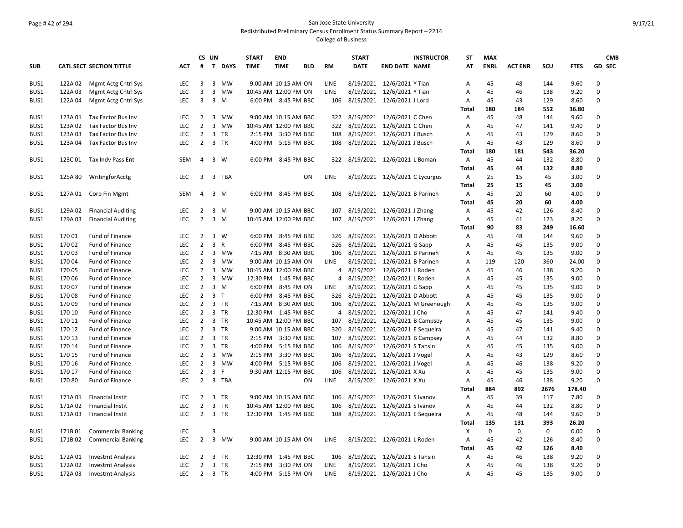## Page # 42 of 294 San Jose State University Redistributed Preliminary Census Enrollment Status Summary Report – 2214

|            |         |                                 |            |                | CS UN                   |              | <b>START</b>          | <b>END</b>           |            |             | <b>START</b> | <b>INSTRUCTOR</b>               | <b>ST</b>    | <b>MAX</b>  |                |             |             | <b>CMB</b>    |
|------------|---------|---------------------------------|------------|----------------|-------------------------|--------------|-----------------------|----------------------|------------|-------------|--------------|---------------------------------|--------------|-------------|----------------|-------------|-------------|---------------|
| <b>SUB</b> |         | <b>CATL SECT SECTION TITTLE</b> | ACT        | #              | $\mathbf{T}$            | <b>DAYS</b>  | <b>TIME</b>           | <b>TIME</b>          | <b>BLD</b> | <b>RM</b>   | <b>DATE</b>  | <b>END DATE NAME</b>            | AT           | <b>ENRL</b> | <b>ACT ENR</b> | SCU         | <b>FTES</b> | <b>GD SEC</b> |
| BUS1       | 122A 02 | Mgmt Actg Cntrl Sys             | LEC        | 3              | 3                       | <b>MW</b>    |                       | 9:00 AM 10:15 AM ON  |            | LINE        |              | 8/19/2021 12/6/2021 Y Tian      | Α            | 45          | 48             | 144         | 9.60        | $\mathbf 0$   |
| BUS1       | 122A03  | Mgmt Actg Cntrl Sys             | LEC        | 3              | 3                       | MW           | 10:45 AM 12:00 PM ON  |                      |            | LINE        |              | 8/19/2021 12/6/2021 Y Tian      | A            | 45          | 46             | 138         | 9.20        | 0             |
| BUS1       | 122A 04 | Mgmt Actg Cntrl Sys             | <b>LEC</b> | 3              | $\overline{\mathbf{3}}$ | M            |                       | 6:00 PM 8:45 PM BBC  |            | 106         |              | 8/19/2021 12/6/2021 J Lord      | Α            | 45          | 43             | 129         | 8.60        | 0             |
|            |         |                                 |            |                |                         |              |                       |                      |            |             |              |                                 | Total        | 180         | 184            | 552         | 36.80       |               |
| BUS1       | 123A 01 | Tax Factor Bus Inv              | <b>LEC</b> | $\overline{2}$ | $\overline{3}$          | <b>MW</b>    |                       | 9:00 AM 10:15 AM BBC |            | 322         |              | 8/19/2021 12/6/2021 C Chen      | Α            | 45          | 48             | 144         | 9.60        | 0             |
| BUS1       | 123A02  | Tax Factor Bus Inv              | LEC        | $\overline{2}$ | $\overline{3}$          | <b>MW</b>    | 10:45 AM 12:00 PM BBC |                      |            | 322         |              | 8/19/2021 12/6/2021 C Chen      | A            | 45          | 47             | 141         | 9.40        | 0             |
| BUS1       | 123A03  | Tax Factor Bus Inv              | LEC        | $\overline{2}$ | $\overline{\mathbf{3}}$ | <b>TR</b>    |                       | 2:15 PM 3:30 PM BBC  |            | 108         |              | 8/19/2021 12/6/2021 J Busch     | A            | 45          | 43             | 129         | 8.60        | 0             |
| BUS1       | 123A 04 | Tax Factor Bus Inv              | <b>LEC</b> | $\overline{2}$ | $\overline{3}$          | <b>TR</b>    | 4:00 PM               | 5:15 PM BBC          |            | 108         |              | 8/19/2021 12/6/2021 J Busch     | A            | 45          | 43             | 129         | 8.60        | 0             |
|            |         |                                 |            |                |                         |              |                       |                      |            |             |              |                                 | Total        | 180         | 181            | 543         | 36.20       |               |
| BUS1       | 123C 01 | Tax Indv Pass Ent               | <b>SEM</b> | 4              | $\mathbf{3}$            | W            | 6:00 PM               | 8:45 PM BBC          |            | 322         |              | 8/19/2021 12/6/2021 L Boman     | Α            | 45          | 44             | 132         | 8.80        | 0             |
|            |         |                                 |            |                |                         |              |                       |                      |            |             |              |                                 | Total        | 45          | 44             | 132         | 8.80        |               |
| BUS1       | 125A 80 | WritingforAcctg                 | <b>LEC</b> | 3              |                         | 3 TBA        |                       |                      | ON         | LINE        |              | 8/19/2021 12/6/2021 C Lycurgus  | Α            | 25          | 15             | 45          | 3.00        | 0             |
|            |         |                                 |            |                |                         |              |                       |                      |            |             |              |                                 | Total        | 25          | 15             | 45          | 3.00        |               |
| BUS1       | 127A 01 | Corp Fin Mgmt                   | <b>SEM</b> | 4              |                         | 3 M          |                       | 6:00 PM 8:45 PM BBC  |            | 108         |              | 8/19/2021 12/6/2021 B Parineh   | Α            | 45          | 20             | 60          | 4.00        | 0             |
|            |         |                                 |            |                |                         |              |                       |                      |            |             |              |                                 | <b>Total</b> | 45          | 20             | 60          | 4.00        |               |
| BUS1       | 129A 02 | <b>Financial Auditing</b>       | <b>LEC</b> | 2              |                         | 3 M          |                       | 9:00 AM 10:15 AM BBC |            | 107         |              | 8/19/2021 12/6/2021 J Zhang     | Α            | 45          | 42             | 126         | 8.40        | 0             |
| BUS1       | 129A03  | <b>Financial Auditing</b>       | <b>LEC</b> | $\overline{2}$ |                         | 3 M          | 10:45 AM 12:00 PM BBC |                      |            | 107         |              | 8/19/2021 12/6/2021 J Zhang     | Α            | 45          | 41             | 123         | 8.20        | 0             |
|            |         |                                 |            |                |                         |              |                       |                      |            |             |              |                                 | <b>Total</b> | 90          | 83             | 249         | 16.60       |               |
| BUS1       | 17001   | Fund of Finance                 | <b>LEC</b> | 2              | 3                       | W            |                       | 6:00 PM 8:45 PM BBC  |            | 326         |              | 8/19/2021 12/6/2021 D Abbott    | Α            | 45          | 48             | 144         | 9.60        | 0             |
| BUS1       | 17002   | <b>Fund of Finance</b>          | <b>LEC</b> | $\overline{2}$ | 3                       | $\mathsf{R}$ |                       | 6:00 PM 8:45 PM BBC  |            | 326         |              | 8/19/2021 12/6/2021 G Sapp      | Α            | 45          | 45             | 135         | 9.00        | $\mathbf 0$   |
| BUS1       | 17003   | Fund of Finance                 | <b>LEC</b> | $\overline{2}$ | $\overline{3}$          | MW           |                       | 7:15 AM 8:30 AM BBC  |            | 106         |              | 8/19/2021 12/6/2021 B Parineh   | Α            | 45          | 45             | 135         | 9.00        | 0             |
| BUS1       | 17004   | Fund of Finance                 | <b>LEC</b> | $\overline{2}$ | 3                       | <b>MW</b>    |                       | 9:00 AM 10:15 AM ON  |            | <b>LINE</b> |              | 8/19/2021 12/6/2021 B Parineh   | Α            | 119         | 120            | 360         | 24.00       | 0             |
| BUS1       | 17005   | <b>Fund of Finance</b>          | <b>LEC</b> | $\overline{2}$ | 3                       | <b>MW</b>    | 10:45 AM 12:00 PM BBC |                      |            | 4           |              | 8/19/2021 12/6/2021 L Roden     | Α            | 45          | 46             | 138         | 9.20        | $\mathbf 0$   |
| BUS1       | 17006   | Fund of Finance                 | <b>LEC</b> | $\overline{2}$ | $\overline{3}$          | MW           | 12:30 PM 1:45 PM BBC  |                      |            | 4           |              | 8/19/2021 12/6/2021 L Roden     | Α            | 45          | 45             | 135         | 9.00        | 0             |
| BUS1       | 17007   | <b>Fund of Finance</b>          | <b>LEC</b> | $\overline{2}$ |                         | 3 M          |                       | 6:00 PM 8:45 PM ON   |            | <b>LINE</b> |              | 8/19/2021 12/6/2021 G Sapp      | Α            | 45          | 45             | 135         | 9.00        | $\mathbf 0$   |
| BUS1       | 17008   | <b>Fund of Finance</b>          | <b>LEC</b> | $\overline{2}$ | 3 <sub>1</sub>          |              | 6:00 PM               | 8:45 PM BBC          |            | 326         |              | 8/19/2021 12/6/2021 D Abbott    | Α            | 45          | 45             | 135         | 9.00        | $\mathbf 0$   |
| BUS1       | 17009   | Fund of Finance                 | <b>LEC</b> | $\overline{2}$ |                         | 3 TR         | 7:15 AM               | 8:30 AM BBC          |            | 106         |              | 8/19/2021 12/6/2021 M Greenough | Α            | 45          | 45             | 135         | 9.00        | $\mathbf 0$   |
| BUS1       | 170 10  | <b>Fund of Finance</b>          | <b>LEC</b> | $\overline{2}$ |                         | 3 TR         | 12:30 PM              | 1:45 PM BBC          |            | 4           |              | 8/19/2021 12/6/2021 J Cho       | Α            | 45          | 47             | 141         | 9.40        | $\mathbf 0$   |
| BUS1       | 170 11  | Fund of Finance                 | <b>LEC</b> | $\overline{2}$ |                         | 3 TR         | 10:45 AM 12:00 PM BBC |                      |            | 107         |              | 8/19/2021 12/6/2021 B Campsey   | Α            | 45          | 45             | 135         | 9.00        | $\mathbf 0$   |
| BUS1       | 170 12  | <b>Fund of Finance</b>          | <b>LEC</b> | $\overline{2}$ |                         | 3 TR         |                       | 9:00 AM 10:15 AM BBC |            | 320         |              | 8/19/2021 12/6/2021 E Sequeira  | Α            | 45          | 47             | 141         | 9.40        | 0             |
| BUS1       | 170 13  | <b>Fund of Finance</b>          | <b>LEC</b> | $\overline{2}$ |                         | 3 TR         | 2:15 PM               | 3:30 PM BBC          |            | 107         |              | 8/19/2021 12/6/2021 B Campsey   | Α            | 45          | 44             | 132         | 8.80        | 0             |
| BUS1       | 170 14  | Fund of Finance                 | <b>LEC</b> | $\overline{2}$ | $\overline{\mathbf{3}}$ | <b>TR</b>    | 4:00 PM               | 5:15 PM BBC          |            | 106         |              | 8/19/2021 12/6/2021 S Tahsin    | A            | 45          | 45             | 135         | 9.00        | 0             |
| BUS1       | 170 15  | <b>Fund of Finance</b>          | <b>LEC</b> | $\overline{2}$ | 3                       | <b>MW</b>    | $2:15$ PM             | 3:30 PM BBC          |            | 106         |              | 8/19/2021 12/6/2021 J Vogel     | Α            | 45          | 43             | 129         | 8.60        | $\mathbf 0$   |
| BUS1       | 170 16  | <b>Fund of Finance</b>          | <b>LEC</b> | $\overline{2}$ | 3                       | <b>MW</b>    | 4:00 PM               | 5:15 PM BBC          |            | 106         |              | 8/19/2021 12/6/2021 J Vogel     | A            | 45          | 46             | 138         | 9.20        | $\mathbf 0$   |
| BUS1       | 170 17  | Fund of Finance                 | LEC        | $\overline{2}$ | $\overline{3}$          | F            |                       | 9:30 AM 12:15 PM BBC |            | 106         |              | 8/19/2021 12/6/2021 X Xu        | A            | 45          | 45             | 135         | 9.00        | 0             |
| BUS1       | 17080   | Fund of Finance                 | <b>LEC</b> | $\overline{2}$ |                         | 3 TBA        |                       |                      | ON         | <b>LINE</b> |              | 8/19/2021 12/6/2021 X Xu        | Α            | 45          | 46             | 138         | 9.20        | 0             |
|            |         |                                 |            |                |                         |              |                       |                      |            |             |              |                                 | Total        | 884         | 892            | 2676        | 178.40      |               |
| BUS1       | 171A01  | <b>Financial Instit</b>         | <b>LEC</b> | $\overline{2}$ |                         | 3 TR         |                       | 9:00 AM 10:15 AM BBC |            | 106         |              | 8/19/2021 12/6/2021 S Ivanov    | Α            | 45          | 39             | 117         | 7.80        | 0             |
| BUS1       | 171A02  | <b>Financial Instit</b>         | <b>LEC</b> | $\overline{2}$ |                         | 3 TR         | 10:45 AM 12:00 PM BBC |                      |            | 106         |              | 8/19/2021 12/6/2021 S Ivanov    | Α            | 45          | 44             | 132         | 8.80        | $\mathbf 0$   |
| BUS1       | 171A03  | <b>Financial Instit</b>         | <b>LEC</b> |                | 2 3 TR                  |              | 12:30 PM 1:45 PM BBC  |                      |            | 108         |              | 8/19/2021 12/6/2021 E Sequeira  | A            | 45          | 48             | 144         | 9.60        | $\mathbf 0$   |
|            |         |                                 |            |                |                         |              |                       |                      |            |             |              |                                 | Total        | 135         | 131            | 393         | 26.20       |               |
| BUS1       | 171B01  | <b>Commercial Banking</b>       | LEC        |                | 3                       |              |                       |                      |            |             |              |                                 | X            | $\mathbf 0$ | 0              | $\mathbf 0$ | 0.00        | 0             |
| BUS1       | 171B02  | <b>Commercial Banking</b>       | LEC        | $\overline{2}$ | $\overline{\mathbf{3}}$ | <b>MW</b>    |                       | 9:00 AM 10:15 AM ON  |            | LINE        |              | 8/19/2021 12/6/2021 L Roden     | Α            | 45          | 42             | 126         | 8.40        | $\mathbf 0$   |
|            |         |                                 |            |                |                         |              |                       |                      |            |             |              |                                 | <b>Total</b> | 45          | 42             | 126         | 8.40        |               |
| BUS1       | 172A01  | <b>Investmt Analysis</b>        | <b>LEC</b> | 2              |                         | 3 TR         | 12:30 PM 1:45 PM BBC  |                      |            | 106         |              | 8/19/2021 12/6/2021 S Tahsin    | Α            | 45          | 46             | 138         | 9.20        | 0             |
| BUS1       | 172A02  | <b>Investmt Analysis</b>        | LEC        | $\overline{2}$ |                         | 3 TR         | 2:15 PM               | 3:30 PM ON           |            | <b>LINE</b> |              | 8/19/2021 12/6/2021 J Cho       | A            | 45          | 46             | 138         | 9.20        | $\mathbf 0$   |
| BUS1       | 172A03  | <b>Investmt Analysis</b>        | <b>LEC</b> | $\overline{2}$ |                         | 3 TR         |                       | 4:00 PM 5:15 PM ON   |            | LINE        |              | 8/19/2021 12/6/2021 J Cho       | Α            | 45          | 45             | 135         | 9.00        | 0             |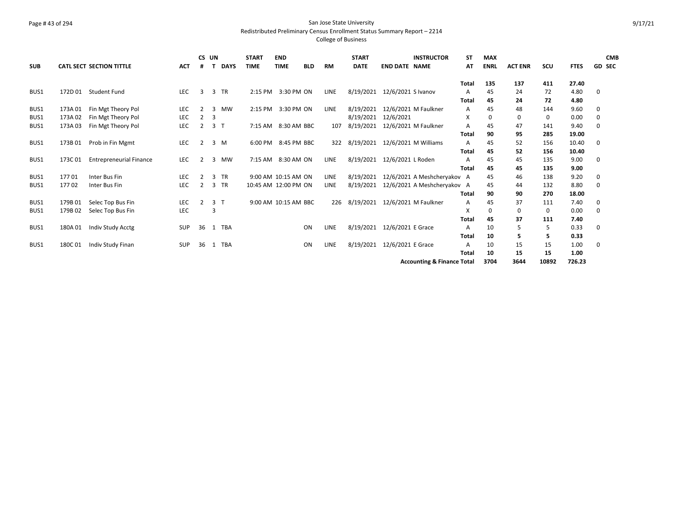#### Page # 43 of 294 San Jose State University Redistributed Preliminary Census Enrollment Status Summary Report – 2214

|            |         |                                 |            | CS UN |                |             | <b>START</b>         | <b>END</b>  |             |             | <b>START</b> |                                | <b>INSTRUCTOR</b>                     | SΤ           | <b>MAX</b>  |                |       |             |             | <b>CMB</b>    |
|------------|---------|---------------------------------|------------|-------|----------------|-------------|----------------------|-------------|-------------|-------------|--------------|--------------------------------|---------------------------------------|--------------|-------------|----------------|-------|-------------|-------------|---------------|
| <b>SUB</b> |         | <b>CATL SECT SECTION TITTLE</b> | <b>ACT</b> | #     |                | <b>DAYS</b> | <b>TIME</b>          | <b>TIME</b> | <b>BLD</b>  | <b>RM</b>   | <b>DATE</b>  | <b>END DATE NAME</b>           |                                       | AT           | <b>ENRL</b> | <b>ACT ENR</b> | SCU   | <b>FTES</b> |             | <b>GD SEC</b> |
|            |         |                                 |            |       |                |             |                      |             |             |             |              |                                |                                       | <b>Total</b> | 135         | 137            | 411   | 27.40       |             |               |
| BUS1       | 172D 01 | <b>Student Fund</b>             | <b>LEC</b> | 3     | 3              | <b>TR</b>   | 2:15 PM              |             | 3:30 PM ON  | LINE        |              | 8/19/2021 12/6/2021 S Ivanov   |                                       | A            | 45          | 24             | 72    | 4.80        | 0           |               |
|            |         |                                 |            |       |                |             |                      |             |             |             |              |                                |                                       | Total        | 45          | 24             | 72    | 4.80        |             |               |
| BUS1       | 173A01  | Fin Mgt Theory Pol              | <b>LEC</b> | 2     | 3              | <b>MW</b>   | 2:15 PM              |             | 3:30 PM ON  | <b>LINE</b> | 8/19/2021    | 12/6/2021 M Faulkner           |                                       | A            | 45          | 48             | 144   | 9.60        | 0           |               |
| BUS1       | 173A02  | Fin Mgt Theory Pol              | LEC        | 2     | 3              |             |                      |             |             |             | 8/19/2021    | 12/6/2021                      |                                       | x            | 0           | 0              | 0     | 0.00        | 0           |               |
| BUS1       | 173A03  | Fin Mgt Theory Pol              | LEC        | 2     | 3 <sub>1</sub> |             | 7:15 AM              |             | 8:30 AM BBC | 107         | 8/19/2021    | 12/6/2021 M Faulkner           |                                       | A            | 45          | 47             | 141   | 9.40        | 0           |               |
|            |         |                                 |            |       |                |             |                      |             |             |             |              |                                |                                       | Total        | 90          | 95             | 285   | 19.00       |             |               |
| BUS1       | 173B01  | Prob in Fin Mgmt                | LEC        | 2     |                | 3 M         | 6:00 PM              |             | 8:45 PM BBC | 322         |              | 8/19/2021 12/6/2021 M Williams |                                       | A            | 45          | 52             | 156   | 10.40       | 0           |               |
|            |         |                                 |            |       |                |             |                      |             |             |             |              |                                |                                       | <b>Total</b> | 45          | 52             | 156   | 10.40       |             |               |
| BUS1       | 173C01  | <b>Entrepreneurial Finance</b>  | <b>LEC</b> | 2     | 3              | MW          | 7:15 AM              |             | 8:30 AM ON  | LINE        |              | 8/19/2021 12/6/2021 L Roden    |                                       | Α            | 45          | 45             | 135   | 9.00        | 0           |               |
|            |         |                                 |            |       |                |             |                      |             |             |             |              |                                |                                       | Total        | 45          | 45             | 135   | 9.00        |             |               |
| BUS1       | 17701   | Inter Bus Fin                   | <b>LEC</b> | 2     | 3              | <b>TR</b>   | 9:00 AM 10:15 AM ON  |             |             | <b>LINE</b> | 8/19/2021    |                                | 12/6/2021 A Meshcheryakov A           |              | 45          | 46             | 138   | 9.20        | 0           |               |
| BUS1       | 17702   | Inter Bus Fin                   | LEC        |       | 3              | <b>TR</b>   | 10:45 AM 12:00 PM ON |             |             | LINE        | 8/19/2021    |                                | 12/6/2021 A Meshcheryakov A           |              | 45          | 44             | 132   | 8.80        | $\mathbf 0$ |               |
|            |         |                                 |            |       |                |             |                      |             |             |             |              |                                |                                       | <b>Total</b> | 90          | 90             | 270   | 18.00       |             |               |
| BUS1       | 179B01  | Selec Top Bus Fin               | <b>LEC</b> | 2     | 3 <sub>1</sub> |             | 9:00 AM 10:15 AM BBC |             |             | 226         |              | 8/19/2021 12/6/2021 M Faulkner |                                       | A            | 45          | 37             | 111   | 7.40        | 0           |               |
| BUS1       | 179B02  | Selec Top Bus Fin               | LEC        |       | 3              |             |                      |             |             |             |              |                                |                                       | X            | 0           | 0              | 0     | 0.00        | 0           |               |
|            |         |                                 |            |       |                |             |                      |             |             |             |              |                                |                                       | <b>Total</b> | 45          | 37             | 111   | 7.40        |             |               |
| BUS1       | 180A01  | Indiv Study Acctg               | <b>SUP</b> | 36    | 1              | <b>TBA</b>  |                      |             | ON          | <b>LINE</b> | 8/19/2021    | 12/6/2021 E Grace              |                                       | Α            | 10          | 5              | 5     | 0.33        | 0           |               |
|            |         |                                 |            |       |                |             |                      |             |             |             |              |                                |                                       | Total        | 10          | 5              | 5     | 0.33        |             |               |
| BUS1       | 180C01  | Indiv Study Finan               | <b>SUP</b> | 36    | -1             | <b>TBA</b>  |                      |             | ON          | <b>LINE</b> |              | 8/19/2021 12/6/2021 E Grace    |                                       | A            | 10          | 15             | 15    | 1.00        | 0           |               |
|            |         |                                 |            |       |                |             |                      |             |             |             |              |                                |                                       | Total        | 10          | 15             | 15    | 1.00        |             |               |
|            |         |                                 |            |       |                |             |                      |             |             |             |              |                                | <b>Accounting &amp; Finance Total</b> |              | 3704        | 3644           | 10892 | 726.23      |             |               |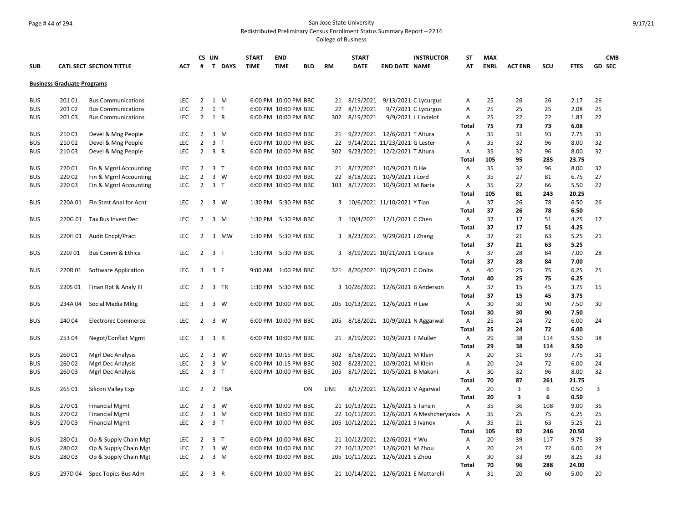### Page # 44 of 294 San Jose State University Redistributed Preliminary Census Enrollment Status Summary Report – 2214

|            |                                   |                                 |            |                | CS UN               | <b>START</b> | <b>END</b>           |            |           | <b>START</b>                         |                               | <b>INSTRUCTOR</b>                       | <b>ST</b>      | <b>MAX</b>  |                |     |             | <b>CMB</b>    |
|------------|-----------------------------------|---------------------------------|------------|----------------|---------------------|--------------|----------------------|------------|-----------|--------------------------------------|-------------------------------|-----------------------------------------|----------------|-------------|----------------|-----|-------------|---------------|
| <b>SUB</b> |                                   | <b>CATL SECT SECTION TITTLE</b> | ACT        | #              | T DAYS              | <b>TIME</b>  | <b>TIME</b>          | <b>BLD</b> | <b>RM</b> | <b>DATE</b>                          | <b>END DATE NAME</b>          |                                         | AT             | <b>ENRL</b> | <b>ACT ENR</b> | SCU | <b>FTES</b> | <b>GD SEC</b> |
|            |                                   |                                 |            |                |                     |              |                      |            |           |                                      |                               |                                         |                |             |                |     |             |               |
|            | <b>Business Graduate Programs</b> |                                 |            |                |                     |              |                      |            |           |                                      |                               |                                         |                |             |                |     |             |               |
| <b>BUS</b> | 20101                             | <b>Bus Communications</b>       | LEC.       | $2^{\circ}$    | 1 M                 |              | 6:00 PM 10:00 PM BBC |            |           | 21 8/19/2021                         |                               | 9/13/2021 C Lycurgus                    | Α              | 25          | 26             | 26  | 2.17        | 26            |
| <b>BUS</b> | 20102                             | <b>Bus Communications</b>       | LEC        | $\overline{2}$ | $1$ T               |              | 6:00 PM 10:00 PM BBC |            | 22        | 8/17/2021                            |                               | 9/7/2021 C Lycurgus                     | Α              | 25          | 25             | 25  | 2.08        | 25            |
| <b>BUS</b> | 20103                             | <b>Bus Communications</b>       | <b>LEC</b> |                | 2 1 R               |              | 6:00 PM 10:00 PM BBC |            | 302       | 8/19/2021                            |                               | 9/9/2021 L Lindelof                     | Α              | 25          | 22             | 22  | 1.83        | 22            |
|            |                                   |                                 |            |                |                     |              |                      |            |           |                                      |                               |                                         | <b>Total</b>   | 75          | 73             | 73  | 6.08        |               |
| <b>BUS</b> | 21001                             | Devel & Mng People              | <b>LEC</b> | 2              | 3 M                 |              | 6:00 PM 10:00 PM BBC |            |           | 21 9/27/2021 12/6/2021 T Altura      |                               |                                         | A              | 35          | 31             | 93  | 7.75        | 31            |
| <b>BUS</b> | 21002                             | Devel & Mng People              | LEC        | $\overline{2}$ | 3 <sub>1</sub>      |              | 6:00 PM 10:00 PM BBC |            |           | 22 9/14/2021 11/23/2021 G Lester     |                               |                                         | Α              | 35          | 32             | 96  | 8.00        | 32            |
| <b>BUS</b> | 21003                             | Devel & Mng People              | LEC        | $2^{\circ}$    | 3 R                 |              | 6:00 PM 10:00 PM BBC |            | 302       |                                      | 9/23/2021 12/2/2021 T Altura  |                                         | Α              | 35          | 32             | 96  | 8.00        | 32            |
|            |                                   |                                 |            |                |                     |              |                      |            |           |                                      |                               |                                         | Total          | 105         | 95             | 285 | 23.75       |               |
| <b>BUS</b> | 22001                             | Fin & Mgnrl Accounting          | <b>LEC</b> | 2              | 3 <sub>1</sub>      |              | 6:00 PM 10:00 PM BBC |            |           | 21 8/17/2021 10/9/2021 D He          |                               |                                         | Α              | 35          | 32             | 96  | 8.00        | 32            |
| <b>BUS</b> | 22002                             | Fin & Mgnrl Accounting          | LEC        | $\overline{2}$ | 3 W                 |              | 6:00 PM 10:00 PM BBC |            |           | 22 8/18/2021 10/9/2021 J Lord        |                               |                                         | Α              | 35          | 27             | 81  | 6.75        | 27            |
| <b>BUS</b> | 22003                             | Fin & Mgnrl Accounting          | <b>LEC</b> |                | $2 \quad 3 \quad T$ |              | 6:00 PM 10:00 PM BBC |            |           | 103 8/17/2021 10/9/2021 M Barta      |                               |                                         | Α              | 35          | 22             | 66  | 5.50        | 22            |
|            |                                   |                                 |            |                |                     |              |                      |            |           |                                      |                               |                                         | <b>Total</b>   | 105         | 81             | 243 | 20.25       |               |
| <b>BUS</b> | 220A 01                           | Fin Stmt Anal for Acnt          | <b>LEC</b> | $\overline{2}$ | 3 W                 |              | 1:30 PM 5:30 PM BBC  |            |           | 3 10/6/2021 11/10/2021 Y Tian        |                               |                                         | A              | 37          | 26             | 78  | 6.50        | 26            |
|            |                                   |                                 |            |                |                     |              |                      |            |           |                                      |                               |                                         | Total          | 37          | 26             | 78  | 6.50        |               |
| <b>BUS</b> |                                   | 220G 01 Tax Bus Invest Dec      | <b>LEC</b> | $\overline{2}$ | 3 M                 |              | 1:30 PM 5:30 PM BBC  |            |           | 3 10/4/2021 12/1/2021 C Chen         |                               |                                         | A              | 37          | 17             | 51  | 4.25        | 17            |
|            |                                   |                                 |            |                |                     |              |                      |            |           |                                      |                               |                                         | <b>Total</b>   | 37          | 17             | 51  | 4.25        |               |
| <b>BUS</b> |                                   | 220H 01 Audit Cncpt/Pract       | <b>LEC</b> | 2              | 3 MW                |              | 1:30 PM 5:30 PM BBC  |            |           | 3 8/23/2021 9/29/2021 J Zhang        |                               |                                         | Α              | 37          | 21             | 63  | 5.25        | 21            |
|            |                                   |                                 |            |                |                     |              |                      |            |           |                                      |                               |                                         | Total          | 37          | 21             | 63  | 5.25        |               |
| <b>BUS</b> | 220J01                            | <b>Bus Comm &amp; Ethics</b>    | <b>LEC</b> |                | $2 \quad 3 \quad T$ |              | 1:30 PM 5:30 PM BBC  |            |           | 3 8/19/2021 10/21/2021 E Grace       |                               |                                         | A              | 37          | 28             | 84  | 7.00        | 28            |
|            |                                   |                                 |            |                |                     |              |                      |            |           |                                      |                               |                                         | Total          | 37          | 28             | 84  | 7.00        |               |
| <b>BUS</b> | 220R01                            | Software Application            | <b>LEC</b> | 3              | 3 F                 |              | 9:00 AM 1:00 PM BBC  |            |           | 321 8/20/2021 10/29/2021 C Onita     |                               |                                         | Α              | 40          | 25             | 75  | 6.25        | 25            |
|            |                                   |                                 |            |                |                     |              |                      |            |           |                                      |                               |                                         | <b>Total</b>   | 40          | 25             | 75  | 6.25        |               |
| <b>BUS</b> | 220S 01                           | Finan Rpt & Analy III           | <b>LEC</b> | $\overline{2}$ | 3 TR                |              | 1:30 PM 5:30 PM BBC  |            |           | 3 10/26/2021 12/6/2021 B Anderson    |                               |                                         | Α              | 37          | 15             | 45  | 3.75        | 15            |
|            |                                   |                                 |            |                |                     |              |                      |            |           |                                      |                               |                                         | Total          | 37          | 15             | 45  | 3.75        |               |
| <b>BUS</b> | 234A04                            | Social Media Mktg               | <b>LEC</b> | 3              | 3 W                 |              | 6:00 PM 10:00 PM BBC |            |           | 205 10/13/2021 12/6/2021 H Lee       |                               |                                         | Α              | 30          | 30             | 90  | 7.50        | 30            |
|            |                                   |                                 |            |                |                     |              |                      |            |           |                                      |                               |                                         | Total          | 30          | 30             | 90  | 7.50        |               |
| <b>BUS</b> | 24004                             | <b>Electronic Commerce</b>      | <b>LEC</b> | 2              | 3 W                 |              | 6:00 PM 10:00 PM BBC |            |           | 205 8/18/2021 10/9/2021 N Aggarwal   |                               |                                         | Α              | 25          | 24             | 72  | 6.00        | 24            |
|            |                                   |                                 |            |                |                     |              |                      |            |           |                                      |                               |                                         | Total          | 25          | 24             | 72  | 6.00        |               |
| <b>BUS</b> | 25304                             | Negot/Conflict Mgmt             | LEC        | 3              | 3 R                 |              | 6:00 PM 10:00 PM BBC |            | 21        |                                      | 8/19/2021 10/9/2021 E Mullen  |                                         | A              | 29          | 38             | 114 | 9.50        | 38            |
|            |                                   |                                 |            |                |                     |              |                      |            |           |                                      |                               |                                         | Total          | 29          | 38             | 114 | 9.50        |               |
| <b>BUS</b> | 26001                             | Mgrl Dec Analysis               | <b>LEC</b> | 2              | 3 W                 |              | 6:00 PM 10:15 PM BBC |            |           | 302 8/18/2021 10/9/2021 M Klein      |                               |                                         | Α              | 20          | 31             | 93  | 7.75        | 31            |
| <b>BUS</b> | 26002                             | Mgrl Dec Analysis               | <b>LEC</b> | $\overline{2}$ | 3 M                 |              | 6:00 PM 10:15 PM BBC |            | 302       | 8/23/2021                            | 10/9/2021 M Klein             |                                         | Α              | 20          | 24             | 72  | 6.00        | 24            |
| <b>BUS</b> | 26003                             | Mgrl Dec Analysis               | <b>LEC</b> | 2              | 3 <sub>T</sub>      |              | 6:00 PM 10:00 PM BBC |            |           | 205 8/17/2021 10/5/2021 B Makani     |                               |                                         | Α              | 30          | 32             | 96  | 8.00        | 32            |
|            |                                   |                                 |            |                |                     |              |                      |            |           |                                      |                               |                                         | <b>Total</b>   | 70          | 87             | 261 | 21.75       |               |
| <b>BUS</b> | 265 01                            | Silicon Valley Exp              | <b>LEC</b> | $\overline{2}$ | 2 TBA               |              |                      | ON         | LINE      |                                      | 8/17/2021 12/6/2021 V Agarwal |                                         | A              | 20          | 3              | 6   | 0.50        | 3             |
|            |                                   |                                 |            |                |                     |              |                      |            |           |                                      |                               |                                         | <b>Total</b>   | 20          | 3              | 6   | 0.50        |               |
| <b>BUS</b> | 27001                             | <b>Financial Mgmt</b>           | <b>LEC</b> | $\overline{2}$ | 3 W                 |              | 6:00 PM 10:00 PM BBC |            |           | 21 10/13/2021 12/6/2021 S Tahsin     |                               |                                         | $\overline{A}$ | 35          | 36             | 108 | 9.00        | 36            |
| <b>BUS</b> | 27002                             | <b>Financial Mgmt</b>           | LEC        | $\overline{2}$ | $3 \, M$            |              | 6:00 PM 10:00 PM BBC |            |           |                                      |                               | 22 10/11/2021 12/6/2021 A Meshcheryakov | A              | 35          | 25             | 75  | 6.25        | 25            |
| <b>BUS</b> | 27003                             | <b>Financial Mgmt</b>           | LEC        |                | $2 \quad 3 \quad T$ |              | 6:00 PM 10:00 PM BBC |            |           | 205 10/12/2021 12/6/2021 S Ivanov    |                               |                                         | A              | 35          | 21             | 63  | 5.25        | 21            |
|            |                                   |                                 |            |                |                     |              |                      |            |           |                                      |                               |                                         | <b>Total</b>   | 105         | 82             | 246 | 20.50       |               |
| <b>BUS</b> | 28001                             | Op & Supply Chain Mgt           | LEC        | $\overline{2}$ | 3 <sub>1</sub>      |              | 6:00 PM 10:00 PM BBC |            |           | 21 10/12/2021 12/6/2021 Y Wu         |                               |                                         | Α              | 20          | 39             | 117 | 9.75        | 39            |
| <b>BUS</b> | 28002                             | Op & Supply Chain Mgt           | LEC        | $\overline{2}$ | 3 W                 |              | 6:00 PM 10:00 PM BBC |            |           | 22 10/13/2021 12/6/2021 M Zhou       |                               |                                         | Α              | 20          | 24             | 72  | 6.00        | 24            |
| <b>BUS</b> | 28003                             | Op & Supply Chain Mgt           | <b>LEC</b> | $\overline{2}$ | 3 M                 |              | 6:00 PM 10:00 PM BBC |            |           | 205 10/11/2021 12/6/2021 S Zhou      |                               |                                         | Α              | 30          | 33             | 99  | 8.25        | 33            |
|            |                                   |                                 |            |                |                     |              |                      |            |           |                                      |                               |                                         | Total          | 70          | 96             | 288 | 24.00       |               |
| <b>BUS</b> | 297D 04                           | Spec Topics Bus Adm             | <b>LEC</b> | $\overline{2}$ | 3 R                 |              | 6:00 PM 10:00 PM BBC |            |           | 21 10/14/2021 12/6/2021 E Mattarelli |                               |                                         | Α              | 31          | 20             | 60  | 5.00        | 20            |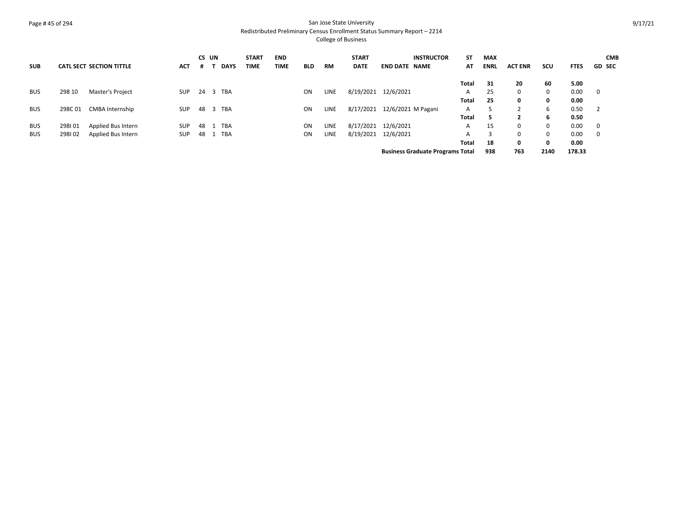## Page # 45 of 294 San Jose State University Redistributed Preliminary Census Enrollment Status Summary Report – 2214

|            |        |                                 |            | CS UN    |             | <b>START</b> | <b>END</b>  |            |           | <b>START</b> | <b>INSTRUCTOR</b>                       | ST    | <b>MAX</b>  |                |      |             | <b>CMB</b>               |
|------------|--------|---------------------------------|------------|----------|-------------|--------------|-------------|------------|-----------|--------------|-----------------------------------------|-------|-------------|----------------|------|-------------|--------------------------|
| <b>SUB</b> |        | <b>CATL SECT SECTION TITTLE</b> | ACT        | .#       | <b>DAYS</b> | TIME         | <b>TIME</b> | <b>BLD</b> | <b>RM</b> | <b>DATE</b>  | <b>END DATE NAME</b>                    | AT    | <b>ENRL</b> | <b>ACT ENR</b> | scu  | <b>FTES</b> | <b>GD SEC</b>            |
|            |        |                                 |            |          |             |              |             |            |           |              |                                         | Total | 31          | 20             | 60   | 5.00        |                          |
| <b>BUS</b> | 298 10 | Master's Project                | <b>SUP</b> | 24 3 TBA |             |              |             |            | LINE      | 8/19/2021    | 12/6/2021                               | A     | 25          | $\Omega$       | 0    | 0.00        | $\overline{\mathbf{0}}$  |
|            |        |                                 |            |          |             |              |             | ON         |           |              |                                         |       |             |                |      |             |                          |
|            |        |                                 |            |          |             |              |             |            |           |              |                                         | Total | 25          | 0              | 0    | 0.00        |                          |
| <b>BUS</b> | 298C01 | <b>CMBA Internship</b>          | <b>SUP</b> | 48       | 3 TBA       |              |             | ON         | LINE      | 8/17/2021    | 12/6/2021 M Pagani                      | A     |             |                | 6    | 0.50        | $\overline{\phantom{0}}$ |
|            |        |                                 |            |          |             |              |             |            |           |              |                                         | Total | 5           |                | 6    | 0.50        |                          |
| <b>BUS</b> | 298101 | Applied Bus Intern              | <b>SUP</b> | 48       | TBA         |              |             | ON         | LINE      | 8/17/2021    | 12/6/2021                               | A     | 15          | $\Omega$       | 0    | 0.00        | $\mathbf 0$              |
| <b>BUS</b> | 298102 | Applied Bus Intern              | <b>SUP</b> | 48       | <b>TBA</b>  |              |             | ON         | LINE      | 8/19/2021    | 12/6/2021                               | A     | 3           | $\Omega$       | 0    | 0.00        | $\mathbf 0$              |
|            |        |                                 |            |          |             |              |             |            |           |              |                                         | Total | 18          | 0              | 0    | 0.00        |                          |
|            |        |                                 |            |          |             |              |             |            |           |              | <b>Business Graduate Programs Total</b> |       | 938         | 763            | 2140 | 178.33      |                          |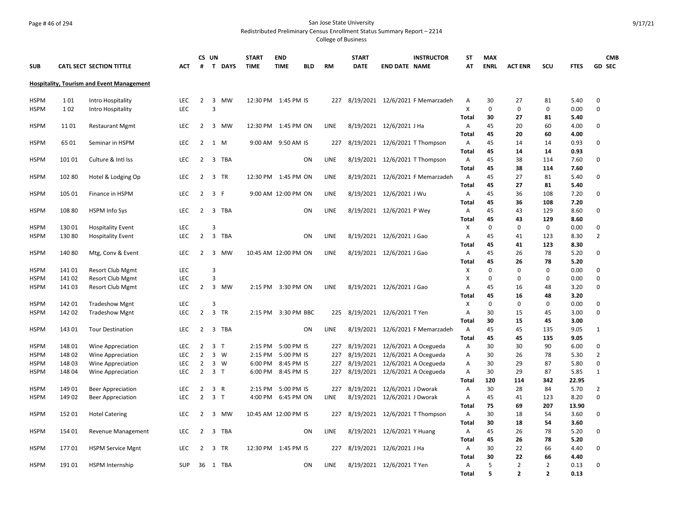## Page # 46 of 294 San Jose State University Redistributed Preliminary Census Enrollment Status Summary Report – 2214

|                            |                |                                                    |            |                | CS UN                   |             | <b>START</b>         | <b>END</b>         |            |             | <b>START</b> |                              | <b>INSTRUCTOR</b>                | <b>ST</b>      | <b>MAX</b>        |                |                |              | <b>CMB</b>     |
|----------------------------|----------------|----------------------------------------------------|------------|----------------|-------------------------|-------------|----------------------|--------------------|------------|-------------|--------------|------------------------------|----------------------------------|----------------|-------------------|----------------|----------------|--------------|----------------|
| <b>SUB</b>                 |                | <b>CATL SECT SECTION TITTLE</b>                    | <b>ACT</b> | #              | T.                      | <b>DAYS</b> | <b>TIME</b>          | <b>TIME</b>        | <b>BLD</b> | <b>RM</b>   | <b>DATE</b>  | <b>END DATE NAME</b>         |                                  | AT             | <b>ENRL</b>       | <b>ACT ENR</b> | SCU            | <b>FTES</b>  | <b>GD SEC</b>  |
|                            |                |                                                    |            |                |                         |             |                      |                    |            |             |              |                              |                                  |                |                   |                |                |              |                |
|                            |                | <b>Hospitality, Tourism and Event Management</b>   |            |                |                         |             |                      |                    |            |             |              |                              |                                  |                |                   |                |                |              |                |
| <b>HSPM</b>                | 101            | Intro Hospitality                                  | <b>LEC</b> | $\overline{2}$ | 3                       | <b>MW</b>   | 12:30 PM 1:45 PM IS  |                    |            | 227         |              |                              | 8/19/2021 12/6/2021 F Memarzadeh | Α              | 30                | 27             | 81             | 5.40         | $\Omega$       |
| <b>HSPM</b>                | 102            | Intro Hospitality                                  | LEC        |                | $\overline{3}$          |             |                      |                    |            |             |              |                              |                                  | X              | $\Omega$          | $\Omega$       | 0              | 0.00         | $\Omega$       |
|                            |                |                                                    |            |                |                         |             |                      |                    |            |             |              |                              |                                  | Total          | 30                | 27             | 81             | 5.40         |                |
| <b>HSPM</b>                | 11 01          | <b>Restaurant Mgmt</b>                             | <b>LEC</b> | 2              | 3                       | <b>MW</b>   | 12:30 PM             | 1:45 PM ON         |            | LINE        |              | 8/19/2021 12/6/2021 J Ha     |                                  | $\overline{A}$ | 45                | 20             | 60             | 4.00         | 0              |
|                            |                |                                                    |            |                |                         |             |                      |                    |            |             |              |                              |                                  | Total          | 45                | 20             | 60             | 4.00         |                |
| <b>HSPM</b>                | 65 01          | Seminar in HSPM                                    | <b>LEC</b> | 2              | 1<br>M                  |             | 9:00 AM 9:50 AM IS   |                    |            | 227         |              |                              | 8/19/2021 12/6/2021 T Thompson   | $\overline{A}$ | 45                | 14             | 14             | 0.93         | $\Omega$       |
|                            |                |                                                    |            |                |                         |             |                      |                    |            |             |              |                              |                                  | Total          | 45                | 14             | 14             | 0.93         |                |
| <b>HSPM</b>                | 101 01         | Culture & Intl Iss                                 | <b>LEC</b> | 2              | 3                       | <b>TBA</b>  |                      |                    | ON         | <b>LINE</b> | 8/19/2021    |                              | 12/6/2021 T Thompson             | $\overline{A}$ | 45                | 38             | 114            | 7.60         | $\Omega$       |
|                            |                |                                                    |            |                |                         |             |                      |                    |            |             |              |                              |                                  | Total          | 45                | 38             | 114            | 7.60         |                |
| <b>HSPM</b>                | 102 80         | Hotel & Lodging Op                                 | LEC        | $\overline{2}$ | 3                       | TR          | 12:30 PM             | 1:45 PM ON         |            | LINE        |              |                              | 8/19/2021 12/6/2021 F Memarzadeh | A              | 45                | 27             | 81             | 5.40         | 0              |
|                            |                |                                                    |            |                |                         |             |                      |                    |            |             |              |                              |                                  | Total          | 45                | 27             | 81             | 5.40         |                |
| <b>HSPM</b>                | 105 01         | Finance in HSPM                                    | <b>LEC</b> | 2              | $\overline{3}$<br>-F    |             | 9:00 AM 12:00 PM ON  |                    |            | LINE        |              | 8/19/2021 12/6/2021 J Wu     |                                  | $\overline{A}$ | 45                | 36             | 108            | 7.20         | $\Omega$       |
|                            |                |                                                    |            |                |                         |             |                      |                    |            |             |              |                              |                                  | Total          | 45                | 36             | 108            | 7.20         |                |
| <b>HSPM</b>                | 10880          | HSPM Info Sys                                      | LEC        | 2              | 3                       | TBA         |                      |                    | ON         | LINE        |              | 8/19/2021 12/6/2021 P Wey    |                                  | A              | 45                | 43             | 129            | 8.60         | $\Omega$       |
|                            |                |                                                    |            |                |                         |             |                      |                    |            |             |              |                              |                                  | Total          | 45                | 43             | 129            | 8.60         |                |
| <b>HSPM</b>                | 13001          | <b>Hospitality Event</b>                           | LEC        |                | 3                       |             |                      |                    |            |             |              |                              |                                  | X              | $\mathbf 0$       | $\mathbf 0$    | 0              | 0.00         | 0              |
| HSPM                       | 13080          | <b>Hospitality Event</b>                           | <b>LEC</b> | $\overline{2}$ | 3                       | <b>TBA</b>  |                      |                    | ON         | LINE        |              | 8/19/2021 12/6/2021 J Gao    |                                  | Α              | 45                | 41             | 123            | 8.30         | $\overline{2}$ |
|                            |                |                                                    |            |                |                         |             |                      |                    |            |             |              |                              |                                  | Total          | 45                | 41             | 123            | 8.30         |                |
| <b>HSPM</b>                | 14080          | Mtg, Conv & Event                                  | <b>LEC</b> | $\overline{2}$ | 3                       | <b>MW</b>   | 10:45 AM 12:00 PM ON |                    |            | LINE        |              | 8/19/2021 12/6/2021 J Gao    |                                  | A              | 45                | 26             | 78             | 5.20         | $\Omega$       |
|                            |                |                                                    | LEC        |                | 3                       |             |                      |                    |            |             |              |                              |                                  | Total          | 45<br>$\mathbf 0$ | 26<br>$\Omega$ | 78             | 5.20<br>0.00 | $\Omega$       |
| <b>HSPM</b><br><b>HSPM</b> | 14101<br>14102 | <b>Resort Club Mgmt</b><br><b>Resort Club Mgmt</b> | LEC        |                | 3                       |             |                      |                    |            |             |              |                              |                                  | Х<br>X         | $\mathbf 0$       | 0              | 0<br>0         | 0.00         | $\Omega$       |
| <b>HSPM</b>                | 14103          | <b>Resort Club Mgmt</b>                            | <b>LEC</b> | $\overline{2}$ | $\overline{\mathbf{3}}$ | <b>MW</b>   |                      | 2:15 PM 3:30 PM ON |            | LINE        |              | 8/19/2021 12/6/2021 J Gao    |                                  | Α              | 45                | 16             | 48             | 3.20         | $\Omega$       |
|                            |                |                                                    |            |                |                         |             |                      |                    |            |             |              |                              |                                  | Total          | 45                | 16             | 48             | 3.20         |                |
| <b>HSPM</b>                | 142 01         | <b>Tradeshow Mgnt</b>                              | LEC        |                | 3                       |             |                      |                    |            |             |              |                              |                                  | X              | $\mathbf 0$       | $\mathbf 0$    | 0              | 0.00         | $\Omega$       |
| <b>HSPM</b>                | 142 02         | <b>Tradeshow Mgnt</b>                              | <b>LEC</b> | $\overline{2}$ | 3 TR                    |             | 2:15 PM              | 3:30 PM BBC        |            | 225         |              | 8/19/2021 12/6/2021 T Yen    |                                  | A              | 30                | 15             | 45             | 3.00         | $\Omega$       |
|                            |                |                                                    |            |                |                         |             |                      |                    |            |             |              |                              |                                  | Total          | 30                | 15             | 45             | 3.00         |                |
| <b>HSPM</b>                | 143 01         | <b>Tour Destination</b>                            | LEC        | 2              | 3                       | <b>TBA</b>  |                      |                    | ON         | LINE        | 8/19/2021    |                              | 12/6/2021 F Memarzadeh           | A              | 45                | 45             | 135            | 9.05         | 1              |
|                            |                |                                                    |            |                |                         |             |                      |                    |            |             |              |                              |                                  | Total          | 45                | 45             | 135            | 9.05         |                |
| <b>HSPM</b>                | 148 01         | Wine Appreciation                                  | LEC        | $\overline{2}$ | 3 <sub>T</sub>          |             | 2:15 PM              | 5:00 PM IS         |            | 227         | 8/19/2021    |                              | 12/6/2021 A Ocegueda             | A              | 30                | 30             | 90             | 6.00         | 0              |
| <b>HSPM</b>                | 148 02         | Wine Appreciation                                  | <b>LEC</b> | $\overline{2}$ | 3 W                     |             | 2:15 PM              | 5:00 PM IS         |            | 227         | 8/19/2021    |                              | 12/6/2021 A Ocegueda             | Α              | 30                | 26             | 78             | 5.30         | $\overline{2}$ |
| <b>HSPM</b>                | 14803          | <b>Wine Appreciation</b>                           | <b>LEC</b> | $\overline{2}$ | $\overline{3}$<br>W     |             | 6:00 PM              | 8:45 PM IS         |            | 227         | 8/19/2021    |                              | 12/6/2021 A Ocegueda             | Α              | 30                | 29             | 87             | 5.80         | 0              |
| <b>HSPM</b>                | 148 04         | Wine Appreciation                                  | <b>LEC</b> | $\overline{2}$ | 3 <sub>T</sub>          |             | 6:00 PM              | 8:45 PM IS         |            | 227         |              |                              | 8/19/2021 12/6/2021 A Ocegueda   | Α              | 30                | 29             | 87             | 5.85         | $\mathbf{1}$   |
|                            |                |                                                    |            |                |                         |             |                      |                    |            |             |              |                              |                                  | Total          | 120               | 114            | 342            | 22.95        |                |
| <b>HSPM</b>                | 14901          | <b>Beer Appreciation</b>                           | <b>LEC</b> | $\overline{2}$ | 3 R                     |             | 2:15 PM              | 5:00 PM IS         |            | 227         | 8/19/2021    | 12/6/2021 J Dworak           |                                  | A              | 30                | 28             | 84             | 5.70         | $\overline{2}$ |
| <b>HSPM</b>                | 14902          | Beer Appreciation                                  | LEC        | $\overline{2}$ | 3 <sub>T</sub>          |             | 4:00 PM              | 6:45 PM ON         |            | LINE        |              | 8/19/2021 12/6/2021 J Dworak |                                  | Α              | 45                | 41             | 123            | 8.20         | $\Omega$       |
|                            |                |                                                    |            |                |                         |             |                      |                    |            |             |              |                              |                                  | Total          | 75                | 69             | 207            | 13.90        |                |
| <b>HSPM</b>                | 152 01         | <b>Hotel Catering</b>                              | LEC        | 2              | 3                       | MW          | 10:45 AM 12:00 PM IS |                    |            | 227         |              |                              | 8/19/2021 12/6/2021 T Thompson   | A              | 30                | 18             | 54             | 3.60         | 0              |
|                            |                |                                                    |            |                |                         |             |                      |                    |            |             |              |                              |                                  | Total          | 30                | 18             | 54             | 3.60         |                |
| <b>HSPM</b>                | 154 01         | Revenue Management                                 | LEC        | $\overline{2}$ | 3                       | <b>TBA</b>  |                      |                    | ON         | LINE        |              | 8/19/2021 12/6/2021 Y Huang  |                                  | A              | 45                | 26             | 78             | 5.20         | 0              |
|                            |                |                                                    |            |                |                         |             |                      |                    |            |             |              |                              |                                  | Total          | 45                | 26             | 78             | 5.20         |                |
| <b>HSPM</b>                | 17701          | <b>HSPM Service Mgnt</b>                           | LEC        | 2              | $\overline{\mathbf{3}}$ | <b>TR</b>   | 12:30 PM 1:45 PM IS  |                    |            | 227         |              | 8/19/2021 12/6/2021 J Ha     |                                  | A              | 30                | 22             | 66             | 4.40         | $\Omega$       |
|                            |                |                                                    |            |                |                         |             |                      |                    |            |             |              |                              |                                  | Total          | 30                | 22             | 66             | 4.40         |                |
| <b>HSPM</b>                | 19101          | <b>HSPM</b> Internship                             | <b>SUP</b> | 36             | 1 TBA                   |             |                      |                    | ON         | LINE        |              | 8/19/2021 12/6/2021 T Yen    |                                  | A              | 5                 | 2              | $\overline{2}$ | 0.13         | $\Omega$       |
|                            |                |                                                    |            |                |                         |             |                      |                    |            |             |              |                              |                                  | <b>Total</b>   | 5                 | $\overline{2}$ | $\overline{2}$ | 0.13         |                |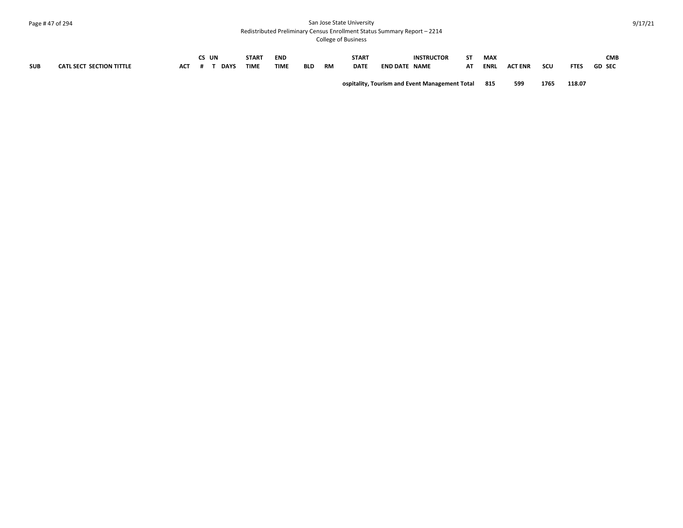#### Page # 47 of 294 San Jose State University Redistributed Preliminary Census Enrollment Status Summary Report – 2214

|            |                                 |     | CS UN |             | <b>START</b> | <b>END</b>  |            |    | <b>START</b> |                 | <b>INSTRUCTOR</b>                              | CT. | <b>MAX</b>  |                |      |             | <b>CMB</b>    |
|------------|---------------------------------|-----|-------|-------------|--------------|-------------|------------|----|--------------|-----------------|------------------------------------------------|-----|-------------|----------------|------|-------------|---------------|
| <b>SUB</b> | <b>CATL SECT SECTION TITTLE</b> | ACT |       | <b>DAYS</b> | <b>TIME</b>  | <b>TIME</b> | <b>BLD</b> | RM | <b>DATE</b>  | <b>END DATE</b> | NAME                                           | AΤ  | <b>ENRI</b> | <b>ACT ENR</b> | scu  | <b>FTES</b> | <b>GD SEC</b> |
|            |                                 |     |       |             |              |             |            |    |              |                 | ospitality, Tourism and Event Management Total |     | 815         | 599            | 1765 | 118.07      |               |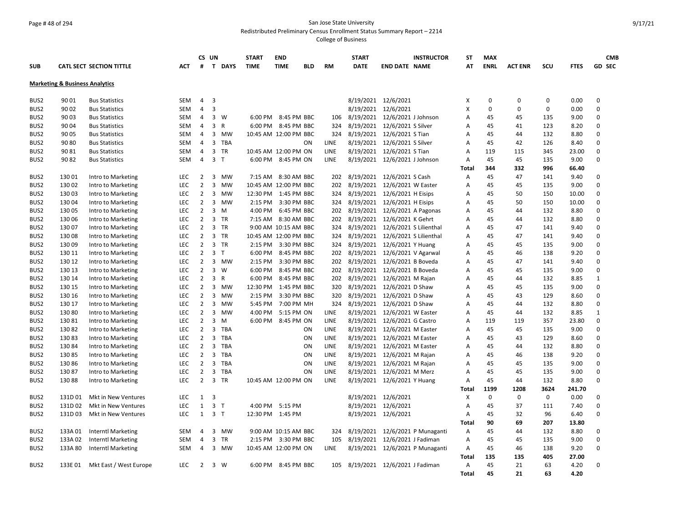#### Page # 48 of 294 San Jose State University Redistributed Preliminary Census Enrollment Status Summary Report – 2214

|                  |                                           |                                          |                          |                                  | CS UN                          | <b>START</b> | <b>END</b>                                  |            |             | <b>START</b>           | <b>INSTRUCTOR</b>                         | <b>ST</b>    | <b>MAX</b>  |                |             |              | <b>CMB</b>    |
|------------------|-------------------------------------------|------------------------------------------|--------------------------|----------------------------------|--------------------------------|--------------|---------------------------------------------|------------|-------------|------------------------|-------------------------------------------|--------------|-------------|----------------|-------------|--------------|---------------|
| <b>SUB</b>       |                                           | <b>CATL SECT SECTION TITTLE</b>          | ACT                      | #                                | T DAYS                         | <b>TIME</b>  | <b>TIME</b>                                 | <b>BLD</b> | <b>RM</b>   | <b>DATE</b>            | <b>END DATE NAME</b>                      | AT           | <b>ENRL</b> | <b>ACT ENR</b> | scu         | <b>FTES</b>  | <b>GD SEC</b> |
|                  | <b>Marketing &amp; Business Analytics</b> |                                          |                          |                                  |                                |              |                                             |            |             |                        |                                           |              |             |                |             |              |               |
| BUS <sub>2</sub> | 90 01                                     | <b>Bus Statistics</b>                    | SEM                      | 4                                | $\overline{3}$                 |              |                                             |            |             |                        | 8/19/2021 12/6/2021                       | X            | 0           | 0              | 0           | 0.00         | 0             |
| BUS <sub>2</sub> | 90 02                                     | <b>Bus Statistics</b>                    | <b>SEM</b>               | $\overline{4}$                   | $\overline{3}$                 |              |                                             |            |             | 8/19/2021              | 12/6/2021                                 | X            | $\mathbf 0$ | 0              | $\mathbf 0$ | 0.00         | 0             |
| BUS2             | 90 03                                     | <b>Bus Statistics</b>                    | <b>SEM</b>               | 4                                | $3 \quad W$                    |              | 6:00 PM 8:45 PM BBC                         |            | 106         | 8/19/2021              | 12/6/2021 J Johnson                       | A            | 45          | 45             | 135         | 9.00         | 0             |
| BUS <sub>2</sub> | 90 04                                     | <b>Bus Statistics</b>                    | <b>SEM</b>               | 4                                | $\overline{3}$<br>$\mathsf{R}$ |              | 6:00 PM 8:45 PM BBC                         |            | 324         | 8/19/2021              | 12/6/2021 S Silver                        | A            | 45          | 41             | 123         | 8.20         | 0             |
| BUS2             | 90 05                                     | <b>Bus Statistics</b>                    | <b>SEM</b>               | 4                                | $\overline{3}$<br><b>MW</b>    |              | 10:45 AM 12:00 PM BBC                       |            | 324         | 8/19/2021              | 12/6/2021 S Tian                          | A            | 45          | 44             | 132         | 8.80         | 0             |
| BUS2             | 90 80                                     | <b>Bus Statistics</b>                    | SEM                      | 4                                | $\overline{3}$<br><b>TBA</b>   |              |                                             | ON         | LINE        | 8/19/2021              | 12/6/2021 S Silver                        | A            | 45          | 42             | 126         | 8.40         | 0             |
| BUS2             | 90 81                                     | <b>Bus Statistics</b>                    | <b>SEM</b>               | 4                                | 3 TR                           |              | 10:45 AM 12:00 PM ON                        |            | LINE        | 8/19/2021              | 12/6/2021 S Tian                          | A            | 119         | 115            | 345         | 23.00        | 0             |
| BUS2             | 90 82                                     |                                          | <b>SEM</b>               | 4                                | 3 <sub>T</sub>                 |              | 6:00 PM 8:45 PM ON                          |            | LINE        | 8/19/2021              |                                           | A            | 45          | 45             | 135         | 9.00         | 0             |
|                  |                                           | <b>Bus Statistics</b>                    |                          |                                  |                                |              |                                             |            |             |                        | 12/6/2021 J Johnson                       | Total        | 344         | 332            | 996         | 66.40        |               |
| BUS <sub>2</sub> | 13001                                     | Intro to Marketing                       | <b>LEC</b>               | 2                                | 3<br><b>MW</b>                 |              | 7:15 AM 8:30 AM BBC                         |            | 202         | 8/19/2021              | 12/6/2021 S Cash                          | Α            | 45          | 47             | 141         | 9.40         | 0             |
| BUS2             | 13002                                     |                                          | LEC                      | $\overline{2}$                   | 3<br>MW                        |              | 10:45 AM 12:00 PM BBC                       |            | 202         | 8/19/2021              | 12/6/2021 W Easter                        | A            | 45          | 45             | 135         | 9.00         | 0             |
| BUS <sub>2</sub> | 13003                                     | Intro to Marketing                       | LEC                      | $\overline{2}$                   | 3<br>MW                        |              | 12:30 PM 1:45 PM BBC                        |            | 324         | 8/19/2021              |                                           | A            | 45          | 50             | 150         | 10.00        | 0             |
| BUS2             | 13004                                     | Intro to Marketing<br>Intro to Marketing | <b>LEC</b>               | $\overline{2}$                   | 3 MW                           |              | 2:15 PM 3:30 PM BBC                         |            | 324         | 8/19/2021              | 12/6/2021 H Eisips                        | A            | 45          | 50             | 150         | 10.00        | 0             |
| BUS2             | 130 05                                    |                                          | LEC                      | $\overline{2}$                   | 3<br>M                         | 4:00 PM      | 6:45 PM BBC                                 |            | 202         | 8/19/2021              | 12/6/2021 H Eisips<br>12/6/2021 A Pagonas |              | 45          | 44             | 132         | 8.80         | 0             |
|                  |                                           | Intro to Marketing                       |                          |                                  |                                |              |                                             |            |             |                        |                                           | Α            |             |                |             |              | 0             |
| BUS2             | 130 06                                    | Intro to Marketing                       | <b>LEC</b>               | $\overline{2}$<br>$\overline{2}$ | 3 TR<br>3 TR                   |              | 7:15 AM 8:30 AM BBC<br>9:00 AM 10:15 AM BBC |            | 202         | 8/19/2021<br>8/19/2021 | 12/6/2021 K Gehrt                         | A            | 45          | 44             | 132         | 8.80<br>9.40 | 0             |
| BUS2             | 13007                                     | Intro to Marketing                       | <b>LEC</b><br><b>LEC</b> | $\overline{2}$                   | 3 TR                           |              |                                             |            | 324         |                        | 12/6/2021 S Lilienthal                    | A            | 45          | 47<br>47       | 141<br>141  |              | 0             |
| BUS2             | 13008                                     | Intro to Marketing                       |                          | $\overline{2}$                   |                                |              | 10:45 AM 12:00 PM BBC                       |            | 324         | 8/19/2021              | 12/6/2021 S Lilienthal                    | A            | 45          |                |             | 9.40         | 0             |
| BUS <sub>2</sub> | 13009                                     | Intro to Marketing                       | <b>LEC</b>               |                                  | 3<br>TR                        | $2:15$ PM    | 3:30 PM BBC                                 |            | 324         | 8/19/2021              | 12/6/2021 Y Huang                         | A            | 45          | 45             | 135         | 9.00         | $\Omega$      |
| BUS2             | 130 11                                    | Intro to Marketing                       | <b>LEC</b>               | $\overline{2}$                   | 3 <sub>T</sub>                 | 6:00 PM      | 8:45 PM BBC                                 |            | 202         | 8/19/2021              | 12/6/2021 V Agarwal                       | A            | 45          | 46             | 138         | 9.20         |               |
| BUS <sub>2</sub> | 130 12                                    | Intro to Marketing                       | LEC                      | $\overline{2}$                   | 3<br>MW                        | 2:15 PM      | 3:30 PM BBC                                 |            | 202         | 8/19/2021              | 12/6/2021 B Boveda                        | A            | 45          | 47             | 141         | 9.40         | 0             |
| BUS <sub>2</sub> | 130 13                                    | Intro to Marketing                       | <b>LEC</b>               | $\overline{2}$                   | 3 W                            | 6:00 PM      | 8:45 PM BBC                                 |            | 202         | 8/19/2021              | 12/6/2021 B Boveda                        | A            | 45          | 45             | 135         | 9.00         | 0             |
| BUS2             | 130 14                                    | Intro to Marketing                       | <b>LEC</b>               | $\overline{2}$                   | 3<br>$\mathsf{R}$              | 6:00 PM      | 8:45 PM BBC                                 |            | 202         | 8/19/2021              | 12/6/2021 M Rajan                         | A            | 45          | 44             | 132         | 8.85         | $\mathbf{1}$  |
| BUS2             | 130 15                                    | Intro to Marketing                       | <b>LEC</b>               | $\overline{2}$                   | 3<br>MW                        | 12:30 PM     | 1:45 PM BBC                                 |            | 320         | 8/19/2021              | 12/6/2021 D Shaw                          | A            | 45          | 45             | 135         | 9.00         | 0             |
| BUS <sub>2</sub> | 130 16                                    | Intro to Marketing                       | <b>LEC</b>               | $\overline{2}$                   | 3<br>MW                        | $2:15$ PM    | 3:30 PM BBC                                 |            | 320         | 8/19/2021              | 12/6/2021 D Shaw                          | A            | 45          | 43             | 129         | 8.60         | 0             |
| BUS2             | 130 17                                    | Intro to Marketing                       | <b>LEC</b>               | $\overline{2}$                   | 3<br>MW                        | 5:45 PM      | 7:00 PM MH                                  |            | 324         | 8/19/2021              | 12/6/2021 D Shaw                          | A            | 45          | 44             | 132         | 8.80         | $\mathbf 0$   |
| BUS2             | 13080                                     | Intro to Marketing                       | <b>LEC</b>               | $\overline{2}$                   | 3<br><b>MW</b>                 | 4:00 PM      | 5:15 PM ON                                  |            | <b>LINE</b> | 8/19/2021              | 12/6/2021 W Easter                        | A            | 45          | 44             | 132         | 8.85         | $\mathbf{1}$  |
| BUS2             | 13081                                     | Intro to Marketing                       | <b>LEC</b>               | $\overline{2}$                   | 3<br>M                         | $6:00$ PM    | 8:45 PM ON                                  |            | <b>LINE</b> | 8/19/2021              | 12/6/2021 G Castro                        | A            | 119         | 119            | 357         | 23.80        | $\Omega$      |
| BUS <sub>2</sub> | 13082                                     | Intro to Marketing                       | LEC                      | $\overline{2}$                   | 3<br><b>TBA</b>                |              |                                             | ON         | <b>LINE</b> | 8/19/2021              | 12/6/2021 M Easter                        | A            | 45          | 45             | 135         | 9.00         | $\mathbf 0$   |
| BUS2             | 13083                                     | Intro to Marketing                       | <b>LEC</b>               | $\overline{2}$                   | 3<br><b>TBA</b>                |              |                                             | ON         | <b>LINE</b> | 8/19/2021              | 12/6/2021 M Easter                        | A            | 45          | 43             | 129         | 8.60         | 0             |
| BUS2             | 13084                                     | Intro to Marketing                       | LEC                      | $\overline{2}$                   | 3<br><b>TBA</b>                |              |                                             | ON         | LINE        | 8/19/2021              | 12/6/2021 M Easter                        | A            | 45          | 44             | 132         | 8.80         | 0             |
| BUS2             | 13085                                     | Intro to Marketing                       | <b>LEC</b>               | $\overline{2}$                   | $\overline{3}$<br><b>TBA</b>   |              |                                             | ON         | <b>LINE</b> | 8/19/2021              | 12/6/2021 M Rajan                         | A            | 45          | 46             | 138         | 9.20         | 0             |
| BUS2             | 13086                                     | Intro to Marketing                       | <b>LEC</b>               | $\overline{2}$                   | 3<br><b>TBA</b>                |              |                                             | ON         | <b>LINE</b> | 8/19/2021              | 12/6/2021 M Rajan                         | A            | 45          | 45             | 135         | 9.00         | 0             |
| BUS2             | 13087                                     | Intro to Marketing                       | LEC                      | $\overline{2}$                   | 3<br><b>TBA</b>                |              |                                             | ON         | LINE        | 8/19/2021              | 12/6/2021 M Merz                          | A            | 45          | 45             | 135         | 9.00         | 0             |
| BUS2             | 13088                                     | Intro to Marketing                       | <b>LEC</b>               | $\overline{2}$                   | $\overline{3}$<br><b>TR</b>    |              | 10:45 AM 12:00 PM ON                        |            | LINE        | 8/19/2021              | 12/6/2021 Y Huang                         | A            | 45          | 44             | 132         | 8.80         | 0             |
|                  |                                           |                                          |                          |                                  |                                |              |                                             |            |             |                        |                                           | Total        | 1199        | 1208           | 3624        | 241.70       |               |
| BUS2             | 131D01                                    | Mkt in New Ventures                      | LEC                      | $\mathbf{1}$                     | 3                              |              |                                             |            |             |                        | 8/19/2021 12/6/2021                       | X            | 0           | 0              | $\mathbf 0$ | 0.00         | 0             |
| BUS2             | 131D02                                    | Mkt in New Ventures                      | <b>LEC</b>               | $\mathbf{1}$                     | 3 <sub>1</sub>                 | 4:00 PM      | 5:15 PM                                     |            |             |                        | 8/19/2021 12/6/2021                       | A            | 45          | 37             | 111         | 7.40         | 0             |
| BUS2             | 131D03                                    | Mkt in New Ventures                      | LEC                      | $\mathbf{1}$                     | 3 <sub>1</sub>                 |              | 12:30 PM 1:45 PM                            |            |             |                        | 8/19/2021 12/6/2021                       | A            | 45          | 32             | 96          | 6.40         | 0             |
|                  |                                           |                                          |                          |                                  |                                |              |                                             |            |             |                        |                                           | Total        | 90          | 69             | 207         | 13.80        |               |
| BUS2             | 133A01                                    | <b>Interntl Marketing</b>                | <b>SEM</b>               | 4                                | 3<br><b>MW</b>                 |              | 9:00 AM 10:15 AM BBC                        |            | 324         | 8/19/2021              | 12/6/2021 P Munaganti                     | Α            | 45          | 44             | 132         | 8.80         | 0             |
| BUS2             | 133A02                                    | <b>Interntl Marketing</b>                | <b>SEM</b>               | 4                                | 3<br><b>TR</b>                 |              | 2:15 PM 3:30 PM BBC                         |            | 105         | 8/19/2021              | 12/6/2021 J Fadiman                       | A            | 45          | 45             | 135         | 9.00         | 0             |
| BUS <sub>2</sub> | 133A 80                                   | <b>Interntl Marketing</b>                | SEM                      | 4                                | 3<br>MW                        |              | 10:45 AM 12:00 PM ON                        |            | LINE        | 8/19/2021              | 12/6/2021 P Munaganti                     | Α            | 45          | 46             | 138         | 9.20         | 0             |
|                  |                                           |                                          |                          |                                  |                                |              |                                             |            |             |                        |                                           | Total        | 135         | 135            | 405         | 27.00        |               |
| BUS2             | 133E 01                                   | Mkt East / West Europe                   | LEC                      | $\overline{2}$                   | 3 W                            |              | 6:00 PM 8:45 PM BBC                         |            | 105         |                        | 8/19/2021 12/6/2021 J Fadiman             | A            | 45          | 21             | 63          | 4.20         | 0             |
|                  |                                           |                                          |                          |                                  |                                |              |                                             |            |             |                        |                                           | <b>Total</b> | 45          | 21             | 63          | 4.20         |               |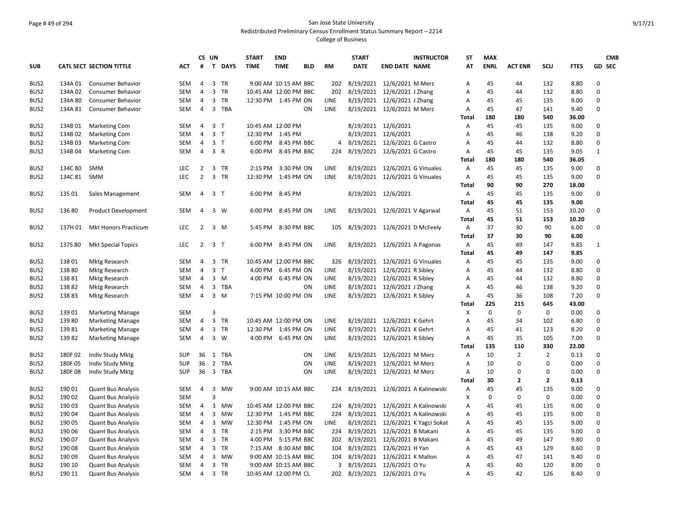## Page # 49 of 294 San Jose State University Redistributed Preliminary Census Enrollment Status Summary Report – 2214

|                  |         |                                 |            | CS UN          |                         |             | <b>START</b>          | <b>END</b>           |            |             | <b>START</b>             |                                | <b>INSTRUCTOR</b>                | <b>ST</b> | <b>MAX</b>  |                |                |             | <b>CMB</b>    |
|------------------|---------|---------------------------------|------------|----------------|-------------------------|-------------|-----------------------|----------------------|------------|-------------|--------------------------|--------------------------------|----------------------------------|-----------|-------------|----------------|----------------|-------------|---------------|
| <b>SUB</b>       |         | <b>CATL SECT SECTION TITTLE</b> | ACT        | #              | $\mathbf{T}$            | <b>DAYS</b> | <b>TIME</b>           | <b>TIME</b>          | <b>BLD</b> | <b>RM</b>   | <b>DATE</b>              | <b>END DATE NAME</b>           |                                  | AT        | <b>ENRL</b> | <b>ACT ENR</b> | SCU            | <b>FTES</b> | <b>GD SEC</b> |
| BUS2             | 134A 01 | Consumer Behavior               | <b>SEM</b> | $\overline{a}$ | 3 TR                    |             |                       | 9:00 AM 10:15 AM BBC |            | 202         |                          | 8/19/2021 12/6/2021 M Merz     |                                  | А         | 45          | 44             | 132            | 8.80        | 0             |
| BUS2             | 134A02  | Consumer Behavior               | <b>SEM</b> | $\overline{4}$ | 3                       | <b>TR</b>   | 10:45 AM 12:00 PM BBC |                      |            | 202         | 8/19/2021                | 12/6/2021 J Zhang              |                                  | A         | 45          | 44             | 132            | 8.80        | 0             |
| BUS2             | 134A 80 | Consumer Behavior               | <b>SEM</b> | $\overline{4}$ | 3                       | <b>TR</b>   | 12:30 PM 1:45 PM ON   |                      |            | LINE        | 8/19/2021                | 12/6/2021 J Zhang              |                                  | А         | 45          | 45             | 135            | 9.00        | 0             |
| BUS2             | 134A 81 | Consumer Behavior               | SEM        | $\overline{a}$ | 3                       | <b>TBA</b>  |                       |                      | ΟN         | LINE        |                          | 8/19/2021 12/6/2021 M Merz     |                                  | А         | 45          | 47             | 141            | 9.40        | 0             |
|                  |         |                                 |            |                |                         |             |                       |                      |            |             |                          |                                |                                  | Total     | 180         | 180            | 540            | 36.00       |               |
| BUS2             | 134B 01 | <b>Marketing Com</b>            | <b>SEM</b> | 4              | 3 <sub>T</sub>          |             | 10:45 AM 12:00 PM     |                      |            |             |                          | 8/19/2021 12/6/2021            |                                  | Α         | 45          | 45             | 135            | 9.00        | 0             |
| BUS <sub>2</sub> | 134B02  | <b>Marketing Com</b>            | <b>SEM</b> | 4              | 3 <sub>T</sub>          |             | 12:30 PM 1:45 PM      |                      |            |             |                          | 8/19/2021 12/6/2021            |                                  | Α         | 45          | 46             | 138            | 9.20        | 0             |
| BUS2             | 134B03  | <b>Marketing Com</b>            | <b>SEM</b> | $\overline{4}$ | 3 <sub>T</sub>          |             | 6:00 PM               | 8:45 PM BBC          |            | 4           |                          | 8/19/2021 12/6/2021 G Castro   |                                  | A         | 45          | 44             | 132            | 8.80        | 0             |
| BUS2             | 134B 04 | <b>Marketing Com</b>            | <b>SEM</b> | $\overline{4}$ | 3 R                     |             | 6:00 PM               | 8:45 PM BBC          |            | 224         |                          | 8/19/2021 12/6/2021 G Castro   |                                  | A         | 45          | 45             | 135            | 9.05        | $\mathbf{1}$  |
|                  |         |                                 |            |                |                         |             |                       |                      |            |             |                          |                                |                                  | Total     | 180         | 180            | 540            | 36.05       |               |
| BUS <sub>2</sub> | 134C 80 | <b>SMM</b>                      | LEC        | 2              | 3                       | <b>TR</b>   | $2:15$ PM             | 3:30 PM ON           |            | <b>LINE</b> | 8/19/2021                | 12/6/2021 G Vinuales           |                                  | А         | 45          | 45             | 135            | 9.00        | 0             |
| BUS2             | 134C 81 | <b>SMM</b>                      | LEC        | $\overline{2}$ | $\overline{3}$          | TR          | 12:30 PM              | 1:45 PM ON           |            | LINE        |                          | 8/19/2021 12/6/2021 G Vinuales |                                  | Α         | 45          | 45             | 135            | 9.00        | 0             |
|                  |         |                                 |            |                |                         |             |                       |                      |            |             |                          |                                |                                  | Total     | 90          | 90             | 270            | 18.00       |               |
| BUS <sub>2</sub> | 135 01  | Sales Management                | <b>SEM</b> | 4              | 3 <sub>T</sub>          |             | 6:00 PM               | 8:45 PM              |            |             |                          | 8/19/2021 12/6/2021            |                                  | Α         | 45          | 45             | 135            | 9.00        | 0             |
|                  |         |                                 |            |                |                         |             |                       |                      |            |             |                          |                                |                                  | Total     | 45          | 45             | 135            | 9.00        |               |
| BUS <sub>2</sub> | 13680   | <b>Product Development</b>      | <b>SEM</b> | 4              | 3 W                     |             | 6:00 PM               | 8:45 PM ON           |            | <b>LINE</b> |                          | 8/19/2021 12/6/2021 V Agarwal  |                                  | Α         | 45          | 51             | 153            | 10.20       | 0             |
|                  |         |                                 |            |                |                         |             |                       |                      |            |             |                          |                                |                                  | Total     | 45          | 51             | 153            | 10.20       |               |
| BUS <sub>2</sub> | 137H 01 | <b>Mkt Honors Practicum</b>     | LEC        | 2              | $\overline{3}$          | M           | 5:45 PM               | 8:30 PM BBC          |            | 105         |                          | 8/19/2021 12/6/2021 D McFeely  |                                  | Α         | 37          | 30             | 90             | 6.00        | 0             |
|                  |         |                                 |            |                |                         |             |                       |                      |            |             |                          |                                |                                  | Total     | 37          | 30             | 90             | 6.00        |               |
| BUS <sub>2</sub> | 137S 80 | <b>Mkt Special Topics</b>       | LEC        | $\overline{2}$ | 3 <sub>T</sub>          |             | 6:00 PM               | 8:45 PM ON           |            | LINE        |                          | 8/19/2021 12/6/2021 A Pagonas  |                                  | Α         | 45          | 49             | 147            | 9.85        | $\mathbf{1}$  |
|                  |         |                                 |            |                |                         |             |                       |                      |            |             |                          |                                |                                  | Tota      | 45          | 49             | 147            | 9.85        |               |
| BUS <sub>2</sub> | 13801   | <b>Mktg Research</b>            | <b>SEM</b> | 4              | 3                       | TR          | 10:45 AM 12:00 PM BBC |                      |            | 326         | 8/19/2021                | 12/6/2021 G Vinuales           |                                  | Α         | 45          | 45             | 135            | 9.00        | 0             |
| BUS <sub>2</sub> | 13880   | <b>Mktg Research</b>            | <b>SEM</b> | 4              | 3 <sub>T</sub>          |             | 4:00 PM               | 6:45 PM ON           |            | LINE        | 8/19/2021                | 12/6/2021 R Sibley             |                                  | А         | 45          | 44             | 132            | 8.80        | 0             |
| BUS <sub>2</sub> | 13881   | <b>Mktg Research</b>            | <b>SEM</b> | 4              | $3 \, M$                |             | 4:00 PM               | 6:45 PM ON           |            | <b>LINE</b> | 8/19/2021                | 12/6/2021 R Sibley             |                                  | A         | 45          | 44             | 132            | 8.80        | $\mathbf 0$   |
| BUS <sub>2</sub> | 13882   | <b>Mktg Research</b>            | <b>SEM</b> | 4              | 3                       | TBA         |                       |                      | ON         | LINE        | 8/19/2021                | 12/6/2021 J Zhang              |                                  | Α         | 45          | 46             | 138            | 9.20        | $\pmb{0}$     |
| BUS2             | 13883   | Mktg Research                   | <b>SEM</b> | 4              | 3                       | M           |                       | 7:15 PM 10:00 PM ON  |            | <b>LINE</b> |                          | 8/19/2021 12/6/2021 R Sibley   |                                  | A         | 45          | 36             | 108            | 7.20        | $\mathbf 0$   |
|                  |         |                                 |            |                |                         |             |                       |                      |            |             |                          |                                |                                  | Total     | 225         | 215            | 645            | 43.00       |               |
| BUS2             | 13901   | <b>Marketing Manage</b>         | <b>SEM</b> |                | 3                       |             |                       |                      |            |             |                          |                                |                                  | X         | $\mathbf 0$ | 0              | $\pmb{0}$      | 0.00        | 0             |
| BUS2             | 13980   | <b>Marketing Manage</b>         | <b>SEM</b> | 4              | $\overline{3}$          | <b>TR</b>   | 10:45 AM 12:00 PM ON  |                      |            | LINE        | 8/19/2021                | 12/6/2021 K Gehrt              |                                  | A         | 45          | 34             | 102            | 6.80        | $\mathbf 0$   |
| BUS <sub>2</sub> | 13981   | <b>Marketing Manage</b>         | <b>SEM</b> | 4              | 3 TR                    |             | 12:30 PM 1:45 PM ON   |                      |            | LINE        |                          | 8/19/2021 12/6/2021 K Gehrt    |                                  | A         | 45          | 41             | 123            | 8.20        | 0             |
| BUS2             | 13982   | <b>Marketing Manage</b>         | SEM        | 4              | 3 W                     |             | 4:00 PM               | 6:45 PM ON           |            | LINE        | 8/19/2021                | 12/6/2021 R Sibley             |                                  | А         | 45          | 35             | 105            | 7.00        | 0             |
|                  |         |                                 |            |                |                         |             |                       |                      |            |             |                          |                                |                                  | Total     | 135         | 110            | 330            | 22.00       |               |
| BUS <sub>2</sub> | 180F02  | Indiv Study Mktg                | SUP        | 36             | 1                       | TBA         |                       |                      | ON         | LINE        |                          | 8/19/2021 12/6/2021 M Merz     |                                  | Α         | 10          | $\overline{2}$ | $\overline{2}$ | 0.13        | 0             |
| BUS2             | 180F 05 | Indiv Study Mktg                | <b>SUP</b> | 36             | 2                       | <b>TBA</b>  |                       |                      | ON         | LINE        |                          | 8/19/2021 12/6/2021 M Merz     |                                  | Α         | 10          | 0              | $\mathbf 0$    | 0.00        | 0             |
| BUS <sub>2</sub> | 180F08  | Indiv Study Mktg                | <b>SUP</b> | 36             | $\overline{\mathbf{3}}$ | <b>TBA</b>  |                       |                      | ON         | LINE        |                          | 8/19/2021 12/6/2021 M Merz     |                                  | Α         | 10          | 0              | $\mathbf 0$    | 0.00        | $\mathbf 0$   |
|                  |         |                                 |            |                |                         |             |                       |                      |            |             |                          |                                |                                  | Total     | 30          | $\mathbf{2}$   | $\overline{2}$ | 0.13        |               |
| BUS <sub>2</sub> | 190 01  | <b>Quant Bus Analysis</b>       | <b>SEM</b> | $\overline{4}$ | 3                       | <b>MW</b>   |                       | 9:00 AM 10:15 AM BBC |            | 224         |                          |                                | 8/19/2021 12/6/2021 A Kalinowski | Α         | 45          | 45             | 135            | 9.00        | 0             |
| BUS2             | 190 02  | <b>Quant Bus Analysis</b>       | <b>SEM</b> |                | 3                       |             |                       |                      |            |             |                          |                                |                                  | Χ         | 0           | 0              | $\mathbf 0$    | 0.00        | $\mathbf 0$   |
| BUS2             | 190 03  | <b>Quant Bus Analysis</b>       | <b>SEM</b> | 4              | 3                       | <b>MW</b>   | 10:45 AM 12:00 PM BBC |                      |            | 224         | 8/19/2021                |                                | 12/6/2021 A Kalinowski           | А         | 45          | 45             | 135            | 9.00        | 0             |
| BUS2             | 190 04  | <b>Quant Bus Analysis</b>       | <b>SEM</b> | 4              | 3                       | <b>MW</b>   | 12:30 PM 1:45 PM BBC  |                      |            | 224         | 8/19/2021                |                                | 12/6/2021 A Kalinowski           | Α         | 45          | 45             | 135            | 9.00        | 0             |
| BUS <sub>2</sub> | 190 05  | <b>Quant Bus Analysis</b>       | <b>SEM</b> | 4              | $\overline{3}$          | <b>MW</b>   | 12:30 PM              | 1:45 PM ON           |            | <b>LINE</b> | 8/19/2021                |                                | 12/6/2021 K Yagci Sokat          | Α         | 45          | 45             | 135            | 9.00        | $\mathbf 0$   |
| BUS <sub>2</sub> | 190 06  | <b>Quant Bus Analysis</b>       | <b>SEM</b> | 4              | 3 TR                    |             | 2:15 PM               | 3:30 PM BBC          |            |             | 224 8/19/2021            | 12/6/2021 B Makani             |                                  | Α         | 45          | 45             | 135            | 9.00        | $\mathbf 0$   |
| BUS <sub>2</sub> | 190 07  | <b>Quant Bus Analysis</b>       | <b>SEM</b> | 4              | $\overline{3}$          | <b>TR</b>   | 4:00 PM               | 5:15 PM BBC          |            | 202         | 8/19/2021                | 12/6/2021 B Makani             |                                  | А         | 45          | 49             | 147            | 9.80        | $\mathbf 0$   |
| BUS2             | 19008   | <b>Quant Bus Analysis</b>       | <b>SEM</b> | 4              | 3                       | TR          |                       | 7:15 AM 8:30 AM BBC  |            | 104         | 8/19/2021                | 12/6/2021 H Yan                |                                  | Α         | 45          | 43             | 129            | 8.60        | 0             |
| BUS <sub>2</sub> | 19009   | <b>Quant Bus Analysis</b>       | <b>SEM</b> | 4              | 3                       | <b>MW</b>   |                       | 9:00 AM 10:15 AM BBC |            | 104         | 8/19/2021                | 12/6/2021 K Mallon             |                                  | А         | 45          | 47             | 141            | 9.40        | $\pmb{0}$     |
| BUS2             | 190 10  | <b>Quant Bus Analysis</b>       | <b>SEM</b> | 4              | 3 TR                    |             |                       | 9:00 AM 10:15 AM BBC |            | 3           | 8/19/2021                | 12/6/2021 O Yu                 |                                  | A         | 45          | 40             | 120            | 8.00        | 0             |
| BUS2             | 190 11  | <b>Quant Bus Analysis</b>       | SEM        | $\overline{4}$ | 3 TR                    |             | 10:45 AM 12:00 PM CL  |                      |            | 202         | 8/19/2021 12/6/2021 O Yu |                                |                                  | Α         | 45          | 42             | 126            | 8.40        | $\mathbf 0$   |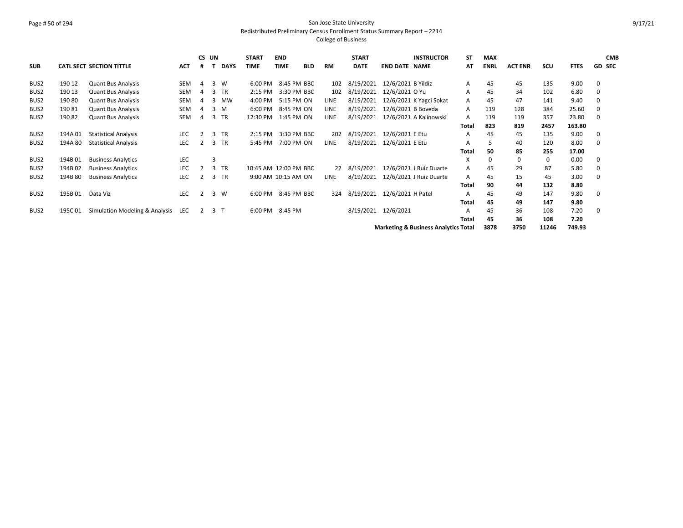## Page # 50 of 294 San Jose State University Redistributed Preliminary Census Enrollment Status Summary Report – 2214

|                  |         |                                    |            | CS UN          |     |             | <b>START</b>          | <b>END</b>  |             |      | <b>START</b> |                      | <b>INSTRUCTOR</b>                               | <b>ST</b> | <b>MAX</b>  |                |       |             |               | <b>CMB</b> |
|------------------|---------|------------------------------------|------------|----------------|-----|-------------|-----------------------|-------------|-------------|------|--------------|----------------------|-------------------------------------------------|-----------|-------------|----------------|-------|-------------|---------------|------------|
| <b>SUB</b>       |         | <b>CATL SECT SECTION TITTLE</b>    | ACT        | #              |     | <b>DAYS</b> | <b>TIME</b>           | <b>TIME</b> | <b>BLD</b>  | RM   | <b>DATE</b>  | <b>END DATE NAME</b> |                                                 | AΤ        | <b>ENRL</b> | <b>ACT ENR</b> | scu   | <b>FTES</b> | <b>GD SEC</b> |            |
| BUS <sub>2</sub> | 190 12  | <b>Quant Bus Analysis</b>          | <b>SEM</b> | $\overline{4}$ | 3   | <b>W</b>    | 6:00 PM               |             | 8:45 PM BBC | 102  | 8/19/2021    | 12/6/2021 B Yildiz   |                                                 | Α         | 45          | 45             | 135   | 9.00        | 0             |            |
| BUS2             | 190 13  | <b>Quant Bus Analysis</b>          | SEM        | 4              | 3   | <b>TR</b>   | $2:15$ PM             |             | 3:30 PM BBC | 102  | 8/19/2021    | 12/6/2021 O Yu       |                                                 | A         | 45          | 34             | 102   | 6.80        | 0             |            |
| BUS <sub>2</sub> | 190 80  | <b>Quant Bus Analysis</b>          | <b>SEM</b> | 4              | 3   | <b>MW</b>   | 4:00 PM               |             | 5:15 PM ON  | LINE | 8/19/2021    |                      | 12/6/2021 K Yagci Sokat                         | A         | 45          | 47             | 141   | 9.40        | 0             |            |
| BUS <sub>2</sub> | 19081   | <b>Quant Bus Analysis</b>          | SEM        | 4              | 3 M |             | 6:00 PM               |             | 8:45 PM ON  | LINE | 8/19/2021    | 12/6/2021 B Boveda   |                                                 | A         | 119         | 128            | 384   | 25.60       | 0             |            |
| BUS <sub>2</sub> | 19082   | <b>Quant Bus Analysis</b>          | <b>SEM</b> | 4              | 3   | TR          | 12:30 PM              |             | 1:45 PM ON  | LINE | 8/19/2021    |                      | 12/6/2021 A Kalinowski                          | A         | 119         | 119            | 357   | 23.80       | $\Omega$      |            |
|                  |         |                                    |            |                |     |             |                       |             |             |      |              |                      |                                                 | Total     | 823         | 819            | 2457  | 163.80      |               |            |
| BUS2             | 194A 01 | <b>Statistical Analysis</b>        | <b>LEC</b> | 2              |     | 3 TR        | 2:15 PM               |             | 3:30 PM BBC | 202  | 8/19/2021    | 12/6/2021 E Etu      |                                                 | A         | 45          | 45             | 135   | 9.00        | 0             |            |
| BUS2             | 194A 80 | <b>Statistical Analysis</b>        | <b>LEC</b> | 2              |     | 3 TR        | 5:45 PM               |             | 7:00 PM ON  | LINE | 8/19/2021    | 12/6/2021 E Etu      |                                                 | A         | 5           | 40             | 120   | 8.00        | 0             |            |
|                  |         |                                    |            |                |     |             |                       |             |             |      |              |                      |                                                 | Total     | 50          | 85             | 255   | 17.00       |               |            |
| BUS2             | 194B01  | <b>Business Analytics</b>          | LEC        |                | 3   |             |                       |             |             |      |              |                      |                                                 | X         | 0           | 0              | 0     | 0.00        | 0             |            |
| BUS2             | 194B02  | <b>Business Analytics</b>          | <b>LEC</b> |                | 3   | <b>TR</b>   | 10:45 AM 12:00 PM BBC |             |             | 22   | 8/19/2021    |                      | 12/6/2021 J Ruiz Duarte                         | A         | 45          | 29             | 87    | 5.80        | 0             |            |
| BUS2             | 194B 80 | <b>Business Analytics</b>          | <b>LEC</b> |                |     | 3 TR        | 9:00 AM 10:15 AM ON   |             |             | LINE | 8/19/2021    |                      | 12/6/2021 J Ruiz Duarte                         | A         | 45          | 15             | 45    | 3.00        | 0             |            |
|                  |         |                                    |            |                |     |             |                       |             |             |      |              |                      |                                                 | Total     | 90          | 44             | 132   | 8.80        |               |            |
| BUS <sub>2</sub> | 195B 01 | Data Viz                           | <b>LEC</b> | 2              |     | 3 W         | 6:00 PM               |             | 8:45 PM BBC | 324  | 8/19/2021    | 12/6/2021 H Patel    |                                                 | A         | 45          | 49             | 147   | 9.80        | 0             |            |
|                  |         |                                    |            |                |     |             |                       |             |             |      |              |                      |                                                 | Total     | 45          | 49             | 147   | 9.80        |               |            |
| BUS2             | 195C 01 | Simulation Modeling & Analysis LEC |            | 2              | 3 T |             | 6:00 PM               | 8:45 PM     |             |      |              | 8/19/2021 12/6/2021  |                                                 | A         | 45          | 36             | 108   | 7.20        | 0             |            |
|                  |         |                                    |            |                |     |             |                       |             |             |      |              |                      |                                                 | Total     | 45          | 36             | 108   | 7.20        |               |            |
|                  |         |                                    |            |                |     |             |                       |             |             |      |              |                      | <b>Marketing &amp; Business Analytics Total</b> |           | 3878        | 3750           | 11246 | 749.93      |               |            |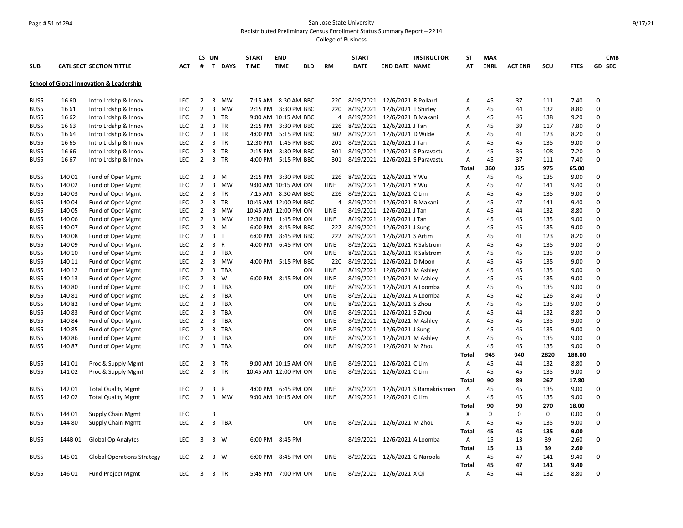### Page # 51 of 294 San Jose State University Redistributed Preliminary Census Enrollment Status Summary Report – 2214

|            |        |                                          |            |                | CS UN                   |              | <b>START</b>          | <b>END</b>           |            |             | <b>START</b>                    |                               | <b>INSTRUCTOR</b>                  | <b>ST</b>    | <b>MAX</b>  |                |             |             | <b>CMB</b>    |
|------------|--------|------------------------------------------|------------|----------------|-------------------------|--------------|-----------------------|----------------------|------------|-------------|---------------------------------|-------------------------------|------------------------------------|--------------|-------------|----------------|-------------|-------------|---------------|
| <b>SUB</b> |        | <b>CATL SECT SECTION TITTLE</b>          | <b>ACT</b> | #              |                         | T DAYS       | <b>TIME</b>           | <b>TIME</b>          | <b>BLD</b> | <b>RM</b>   | <b>DATE</b>                     | <b>END DATE NAME</b>          |                                    | AT           | <b>ENRL</b> | <b>ACT ENR</b> | SCU         | <b>FTES</b> | <b>GD SEC</b> |
|            |        | School of Global Innovation & Leadership |            |                |                         |              |                       |                      |            |             |                                 |                               |                                    |              |             |                |             |             |               |
| BUS5       | 16 60  | Intro Lrdshp & Innov                     | <b>LEC</b> | $\overline{2}$ | $\overline{\mathbf{3}}$ | MW           | 7:15 AM               | 8:30 AM BBC          |            | 220         |                                 | 8/19/2021 12/6/2021 R Pollard |                                    | Α            | 45          | 37             | 111         | 7.40        | 0             |
| BUS5       | 16 61  | Intro Lrdshp & Innov                     | LEC        | $\overline{2}$ | $\overline{3}$          | MW           | $2:15$ PM             | 3:30 PM BBC          |            | 220         | 8/19/2021                       | 12/6/2021 T Shirley           |                                    | Α            | 45          | 44             | 132         | 8.80        | $\mathbf 0$   |
| BUS5       | 16 62  | Intro Lrdshp & Innov                     | LEC        | $\overline{2}$ |                         | 3 TR         |                       | 9:00 AM 10:15 AM BBC |            | 4           | 8/19/2021 12/6/2021 B Makani    |                               |                                    | Α            | 45          | 46             | 138         | 9.20        | 0             |
| BUS5       | 16 63  | Intro Lrdshp & Innov                     | LEC        | $\overline{2}$ | $\overline{\mathbf{3}}$ | <b>TR</b>    |                       | 2:15 PM 3:30 PM BBC  |            | 226         | 8/19/2021                       | 12/6/2021 J Tan               |                                    | А            | 45          | 39             | 117         | 7.80        | 0             |
| BUS5       | 16 64  | Intro Lrdshp & Innov                     | <b>LEC</b> | $\overline{2}$ |                         | 3 TR         |                       | 4:00 PM 5:15 PM BBC  |            |             | 302 8/19/2021 12/6/2021 D Wilde |                               |                                    | Α            | 45          | 41             | 123         | 8.20        | 0             |
| BUS5       | 16 65  | Intro Lrdshp & Innov                     | LEC        | $\overline{2}$ | $\overline{3}$          | TR           | 12:30 PM              | 1:45 PM BBC          |            | 201         | 8/19/2021                       | 12/6/2021 J Tan               |                                    | Α            | 45          | 45             | 135         | 9.00        | $\Omega$      |
| BUS5       | 16 66  | Intro Lrdshp & Innov                     | LEC        | $\overline{2}$ |                         | 3 TR         | 2:15 PM               | 3:30 PM BBC          |            | 301         | 8/19/2021                       | 12/6/2021 S Paravastu         |                                    | Α            | 45          | 36             | 108         | 7.20        | 0             |
| BUS5       | 16 67  | Intro Lrdshp & Innov                     | <b>LEC</b> | $\overline{2}$ |                         | 3 TR         | 4:00 PM               | 5:15 PM BBC          |            | 301         | 8/19/2021                       | 12/6/2021 S Paravastu         |                                    | Α            | 45          | 37             | 111         | 7.40        | 0             |
|            |        |                                          |            |                |                         |              |                       |                      |            |             |                                 |                               |                                    | <b>Total</b> | 360         | 325            | 975         | 65.00       |               |
| BUS5       | 14001  | Fund of Oper Mgmt                        | <b>LEC</b> | 2              | 3                       | M            | 2:15 PM               | 3:30 PM BBC          |            | 226         |                                 | 8/19/2021 12/6/2021 Y Wu      |                                    | Α            | 45          | 45             | 135         | 9.00        | $\mathbf 0$   |
| BUS5       | 140 02 | Fund of Oper Mgmt                        | LEC        | $\overline{2}$ | $\overline{3}$          | MW           |                       | 9:00 AM 10:15 AM ON  |            | <b>LINE</b> |                                 | 8/19/2021 12/6/2021 Y Wu      |                                    | A            | 45          | 47             | 141         | 9.40        | 0             |
| BUS5       | 140 03 | Fund of Oper Mgmt                        | <b>LEC</b> | $\overline{2}$ | 3                       | <b>TR</b>    |                       | 7:15 AM 8:30 AM BBC  |            | 226         |                                 | 8/19/2021 12/6/2021 C Lim     |                                    | А            | 45          | 45             | 135         | 9.00        | $\Omega$      |
| BUS5       | 140 04 | Fund of Oper Mgmt                        | <b>LEC</b> | $\overline{2}$ | 3                       | <b>TR</b>    | 10:45 AM 12:00 PM BBC |                      |            | 4           |                                 | 8/19/2021 12/6/2021 B Makani  |                                    | А            | 45          | 47             | 141         | 9.40        | $\mathbf 0$   |
| BUS5       | 140 05 | Fund of Oper Mgmt                        | <b>LEC</b> | $\overline{2}$ | 3                       | <b>MW</b>    | 10:45 AM 12:00 PM ON  |                      |            | <b>LINE</b> |                                 | 8/19/2021 12/6/2021 J Tan     |                                    | А            | 45          | 44             | 132         | 8.80        | 0             |
| BUS5       | 140 06 | Fund of Oper Mgmt                        | LEC        | $\overline{2}$ | $\overline{3}$          | MW           | 12:30 PM 1:45 PM ON   |                      |            | <b>LINE</b> |                                 | 8/19/2021 12/6/2021 J Tan     |                                    | A            | 45          | 45             | 135         | 9.00        | $\Omega$      |
| BUS5       | 140 07 | Fund of Oper Mgmt                        | <b>LEC</b> | $\overline{2}$ | $\overline{3}$          | M            | 6:00 PM               | 8:45 PM BBC          |            | 222         | 8/19/2021                       | 12/6/2021 J Sung              |                                    | А            | 45          | 45             | 135         | 9.00        | $\mathbf 0$   |
| BUS5       | 140 08 | Fund of Oper Mgmt                        | <b>LEC</b> | $\overline{2}$ | 3 <sub>T</sub>          |              | 6:00 PM               | 8:45 PM BBC          |            | 222         | 8/19/2021                       | 12/6/2021 S Artim             |                                    | A            | 45          | 41             | 123         | 8.20        | 0             |
| BUS5       | 140 09 | Fund of Oper Mgmt                        | <b>LEC</b> | $\overline{2}$ | 3                       | $\mathsf{R}$ | 4:00 PM               | 6:45 PM ON           |            | LINE        | 8/19/2021                       | 12/6/2021 R Salstrom          |                                    | А            | 45          | 45             | 135         | 9.00        | 0             |
| BUS5       | 140 10 | Fund of Oper Mgmt                        | <b>LEC</b> | $\overline{2}$ | 3                       | TBA          |                       |                      | ON         | <b>LINE</b> | 8/19/2021                       | 12/6/2021 R Salstrom          |                                    | А            | 45          | 45             | 135         | 9.00        | 0             |
| BUS5       | 140 11 | Fund of Oper Mgmt                        | <b>LEC</b> | $\overline{2}$ | $\overline{3}$          | <b>MW</b>    | 4:00 PM               | 5:15 PM BBC          |            | 220         | 8/19/2021                       | 12/6/2021 D Moon              |                                    | А            | 45          | 45             | 135         | 9.00        | 0             |
| BUS5       | 140 12 | Fund of Oper Mgmt                        | LEC        | $\overline{2}$ | $\overline{3}$          | <b>TBA</b>   |                       |                      | ON         | LINE        | 8/19/2021                       | 12/6/2021 M Ashley            |                                    | A            | 45          | 45             | 135         | 9.00        | $\Omega$      |
| BUS5       | 140 13 | Fund of Oper Mgmt                        | <b>LEC</b> | $\overline{2}$ | 3                       | W            | 6:00 PM               | 8:45 PM ON           |            | LINE        | 8/19/2021                       | 12/6/2021 M Ashley            |                                    | Α            | 45          | 45             | 135         | 9.00        | 0             |
| BUS5       | 14080  | Fund of Oper Mgmt                        | <b>LEC</b> | $\overline{2}$ | $\overline{3}$          | <b>TBA</b>   |                       |                      | ON         | LINE        | 8/19/2021                       | 12/6/2021 A Loomba            |                                    | А            | 45          | 45             | 135         | 9.00        | 0             |
| BUS5       | 14081  | Fund of Oper Mgmt                        | LEC        | $\overline{2}$ | 3                       | TBA          |                       |                      | ON         | LINE        | 8/19/2021                       | 12/6/2021 A Loomba            |                                    | А            | 45          | 42             | 126         | 8.40        | 0             |
| BUS5       | 14082  | Fund of Oper Mgmt                        | LEC        | $\overline{2}$ | $\overline{3}$          | <b>TBA</b>   |                       |                      | ON         | LINE        |                                 | 8/19/2021 12/6/2021 S Zhou    |                                    | Α            | 45          | 45             | 135         | 9.00        | 0             |
| BUS5       | 14083  | Fund of Oper Mgmt                        | <b>LEC</b> | $\overline{2}$ | $\overline{3}$          | <b>TBA</b>   |                       |                      | ON         | LINE        | 8/19/2021                       | 12/6/2021 S Zhou              |                                    | A            | 45          | 44             | 132         | 8.80        | 0             |
| BUS5       | 140 84 | Fund of Oper Mgmt                        | LEC        | $\overline{2}$ | $\overline{3}$          | <b>TBA</b>   |                       |                      | ON         | LINE        |                                 | 8/19/2021 12/6/2021 M Ashley  |                                    | Α            | 45          | 45             | 135         | 9.00        | 0             |
| BUS5       | 14085  | Fund of Oper Mgmt                        | <b>LEC</b> | $\overline{2}$ | $\overline{3}$          | <b>TBA</b>   |                       |                      | ON         | LINE        | 8/19/2021                       | 12/6/2021 J Sung              |                                    | А            | 45          | 45             | 135         | 9.00        | 0             |
| BUS5       | 14086  | Fund of Oper Mgmt                        | LEC        | $\overline{2}$ | $\overline{3}$          | TBA          |                       |                      | ON         | LINE        |                                 | 8/19/2021 12/6/2021 M Ashley  |                                    | A            | 45          | 45             | 135         | 9.00        | 0             |
| BUS5       | 14087  | Fund of Oper Mgmt                        | LEC        | $\overline{2}$ | 3                       | <b>TBA</b>   |                       |                      | ON         | LINE        |                                 | 8/19/2021 12/6/2021 M Zhou    |                                    | Α            | 45          | 45             | 135         | 9.00        | 0             |
|            |        |                                          |            |                |                         |              |                       |                      |            |             |                                 |                               |                                    | Total        | 945         | 940            | 2820        | 188.00      |               |
| BUS5       | 14101  | Proc & Supply Mgmt                       | LEC        | $\overline{2}$ | 3                       | <b>TR</b>    |                       | 9:00 AM 10:15 AM ON  |            | LINE        |                                 | 8/19/2021 12/6/2021 C Lim     |                                    | Α            | 45          | 44             | 132         | 8.80        | 0             |
| BUS5       | 14102  | Proc & Supply Mgmt                       | <b>LEC</b> | $\overline{2}$ |                         | 3 TR         | 10:45 AM 12:00 PM ON  |                      |            | LINE        |                                 | 8/19/2021 12/6/2021 C Lim     |                                    | Α            | 45          | 45             | 135         | 9.00        | 0             |
|            |        |                                          |            |                |                         |              |                       |                      |            |             |                                 |                               |                                    | Total        | 90          | 89             | 267         | 17.80       |               |
| BUS5       | 142 01 | <b>Total Quality Mgmt</b>                | LEC        | $\overline{2}$ | 3                       | $\mathsf{R}$ |                       | 4:00 PM 6:45 PM ON   |            | LINE        |                                 |                               | 8/19/2021 12/6/2021 S Ramakrishnan | Α            | 45          | 45             | 135         | 9.00        | 0             |
| BUS5       | 142 02 | <b>Total Quality Mgmt</b>                | LEC        | $\overline{2}$ | 3                       | <b>MW</b>    |                       | 9:00 AM 10:15 AM ON  |            | LINE        |                                 | 8/19/2021 12/6/2021 C Lim     |                                    | Α            | 45          | 45             | 135         | 9.00        | 0             |
|            |        |                                          |            |                |                         |              |                       |                      |            |             |                                 |                               |                                    | Total        | 90          | 90             | 270         | 18.00       |               |
| BUS5       | 144 01 | Supply Chain Mgmt                        | LEC        |                | 3                       |              |                       |                      |            |             |                                 |                               |                                    | х            | 0           | 0              | $\mathbf 0$ | 0.00        | 0             |
| BUS5       | 144 80 | Supply Chain Mgmt                        | LEC        | $\overline{2}$ |                         | 3 TBA        |                       |                      | ON         | LINE        |                                 | 8/19/2021 12/6/2021 M Zhou    |                                    | Α            | 45          | 45             | 135         | 9.00        | 0             |
|            |        |                                          |            |                |                         |              |                       |                      |            |             |                                 |                               |                                    | <b>Total</b> | 45          | 45             | 135         | 9.00        |               |
| BUS5       | 144B01 | Global Op Analytcs                       | LEC        | 3              |                         | $3 \quad W$  |                       | 6:00 PM 8:45 PM      |            |             |                                 | 8/19/2021 12/6/2021 A Loomba  |                                    | Α            | 15          | 13             | 39          | 2.60        | 0             |
|            |        |                                          |            |                |                         |              |                       |                      |            |             |                                 |                               |                                    | Total        | 15          | 13             | 39          | 2.60        |               |
| BUS5       | 145 01 | <b>Global Operations Strategy</b>        | <b>LEC</b> | 2              |                         | $3 \quad W$  | 6:00 PM               | 8:45 PM ON           |            | LINE        |                                 | 8/19/2021 12/6/2021 G Naroola |                                    | Α            | 45          | 47             | 141         | 9.40        | 0             |
|            |        |                                          |            |                |                         |              |                       |                      |            |             |                                 |                               |                                    | <b>Total</b> | 45          | 47             | 141         | 9.40        |               |
| BUS5       | 146 01 | <b>Fund Project Mgmt</b>                 | <b>LEC</b> | 3              |                         | 3 TR         |                       | 5:45 PM 7:00 PM ON   |            | <b>LINE</b> |                                 | 8/19/2021 12/6/2021 X Qi      |                                    | A            | 45          | 44             | 132         | 8.80        | $\Omega$      |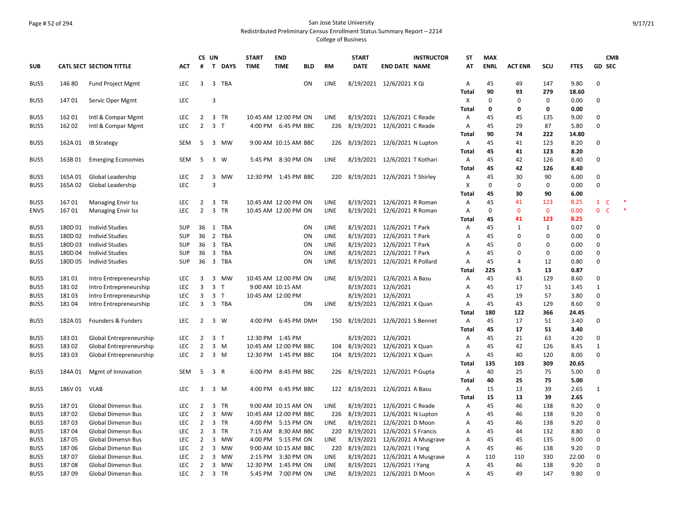## Page # 52 of 294 San Jose State University Redistributed Preliminary Census Enrollment Status Summary Report – 2214

|              |                |                                                        |                          |                     | CS UN                   |                | <b>START</b> | <b>END</b>                         |            |                    | <b>START</b>                      |                               | <b>INSTRUCTOR</b>              | <b>ST</b>    | <b>MAX</b>  |                |              |               | <b>CMB</b>                  |
|--------------|----------------|--------------------------------------------------------|--------------------------|---------------------|-------------------------|----------------|--------------|------------------------------------|------------|--------------------|-----------------------------------|-------------------------------|--------------------------------|--------------|-------------|----------------|--------------|---------------|-----------------------------|
| <b>SUB</b>   |                | <b>CATL SECT SECTION TITTLE</b>                        | <b>ACT</b>               | #                   |                         | T DAYS         | <b>TIME</b>  | <b>TIME</b>                        | <b>BLD</b> | <b>RM</b>          | <b>DATE</b>                       | <b>END DATE NAME</b>          |                                | AT           | <b>ENRL</b> | <b>ACT ENR</b> | SCU          | <b>FTES</b>   | <b>GD SEC</b>               |
| BUS5         | 146 80         | <b>Fund Project Mgmt</b>                               | <b>LEC</b>               | 3                   |                         | 3 TBA          |              |                                    | ON         | <b>LINE</b>        |                                   | 8/19/2021 12/6/2021 X Qi      |                                | Α            | 45          | 49             | 147          | 9.80          | $\Omega$                    |
|              |                |                                                        |                          |                     |                         |                |              |                                    |            |                    |                                   |                               |                                | Total        | 90          | 93             | 279          | 18.60         |                             |
| BUS5         | 14701          | Servic Oper Mgmt                                       | <b>LEC</b>               |                     | 3                       |                |              |                                    |            |                    |                                   |                               |                                | x            | $\Omega$    | $\Omega$       | 0            | 0.00          | 0                           |
|              |                |                                                        |                          |                     |                         |                |              |                                    |            |                    |                                   |                               |                                | <b>Total</b> | 0           | $\mathbf 0$    | 0            | 0.00          |                             |
| BUS5         | 162 01         | Intl & Compar Mgmt                                     | <b>LEC</b>               | $\overline{2}$      |                         | 3 TR           |              | 10:45 AM 12:00 PM ON               |            | <b>LINE</b>        |                                   | 8/19/2021 12/6/2021 C Reade   |                                | А            | 45          | 45             | 135          | 9.00          | $\Omega$                    |
| BUS5         | 162 02         | Intl & Compar Mgmt                                     | <b>LEC</b>               | $\overline{2}$      | 3 <sub>1</sub>          |                |              | 4:00 PM 6:45 PM BBC                |            | 226                | 8/19/2021 12/6/2021 C Reade       |                               |                                | Α            | 45          | 29             | 87           | 5.80          | $\mathbf 0$                 |
|              |                |                                                        |                          |                     |                         |                |              |                                    |            |                    |                                   |                               |                                | <b>Total</b> | 90          | 74             | 222          | 14.80         |                             |
| BUS5         | 162A01         | <b>IB Strategy</b>                                     | <b>SEM</b>               | 5                   | 3                       | MW             |              | 9:00 AM 10:15 AM BBC               |            | 226                | 8/19/2021 12/6/2021 N Lupton      |                               |                                | Α            | 45          | 41             | 123          | 8.20          | $\Omega$                    |
|              |                |                                                        |                          |                     |                         |                |              |                                    |            |                    |                                   |                               |                                | <b>Total</b> | 45<br>45    | 41             | 123          | 8.20          | $\Omega$                    |
| BUS5         | 163B01         | <b>Emerging Economies</b>                              | <b>SEM</b>               | 5                   | 3                       | W              |              | 5:45 PM 8:30 PM ON                 |            | <b>LINE</b>        |                                   | 8/19/2021 12/6/2021 T Kothari |                                | A            | 45          | 42<br>42       | 126<br>126   | 8.40<br>8.40  |                             |
| BUS5         | 165A01         | Global Leadership                                      | <b>LEC</b>               | 2                   | 3                       | MW             |              | 12:30 PM 1:45 PM BBC               |            | 220                |                                   | 8/19/2021 12/6/2021 T Shirley |                                | Total<br>A   | 45          | 30             | 90           | 6.00          | $\Omega$                    |
| BUS5         | 165A02         | Global Leadership                                      | LEC                      |                     | $\overline{3}$          |                |              |                                    |            |                    |                                   |                               |                                | X            | $\Omega$    | $\mathbf 0$    | 0            | 0.00          | $\Omega$                    |
|              |                |                                                        |                          |                     |                         |                |              |                                    |            |                    |                                   |                               |                                | Total        | 45          | 30             | 90           | 6.00          |                             |
| BUS5         | 16701          | <b>Managing Envir Iss</b>                              | <b>LEC</b>               | $\overline{2}$      |                         | 3 TR           |              | 10:45 AM 12:00 PM ON               |            | LINE               |                                   | 8/19/2021 12/6/2021 R Roman   |                                | Α            | 45          | 41             | 123          | 8.25          | $\mathbf{1}$<br>C           |
| <b>ENVS</b>  | 16701          | <b>Managing Envir Iss</b>                              | <b>LEC</b>               | $\overline{2}$      |                         | 3 TR           |              | 10:45 AM 12:00 PM ON               |            | LINE               |                                   | 8/19/2021 12/6/2021 R Roman   |                                | Α            | $\Omega$    | $\mathbf{0}$   | $\mathbf{0}$ | 0.00          | $\mathbf 0$<br>$\mathsf{C}$ |
|              |                |                                                        |                          |                     |                         |                |              |                                    |            |                    |                                   |                               |                                | <b>Total</b> | 45          | 41             | 123          | 8.25          |                             |
| BUS5         | 180D 01        | <b>Individ Studies</b>                                 | <b>SUP</b>               | 36                  | 1                       | TBA            |              |                                    | ON         | LINE               |                                   | 8/19/2021 12/6/2021 T Park    |                                | Α            | 45          | $\mathbf{1}$   | $\mathbf{1}$ | 0.07          | $\Omega$                    |
| BUS5         | 180D 02        | <b>Individ Studies</b>                                 | <b>SUP</b>               | 36                  |                         | 2 TBA          |              |                                    | ON         | LINE               |                                   | 8/19/2021 12/6/2021 T Park    |                                | A            | 45          | $\Omega$       | 0            | 0.00          | $\Omega$                    |
| BUS5         | 180D03         | <b>Individ Studies</b>                                 | SUP                      | 36                  | $\overline{\mathbf{3}}$ | TBA            |              |                                    | ON         | LINE               |                                   | 8/19/2021 12/6/2021 T Park    |                                | A            | 45          | $\Omega$       | 0            | 0.00          | $\mathbf 0$                 |
| BUS5         | 180D 04        | <b>Individ Studies</b>                                 | <b>SUP</b>               | 36                  |                         | 3 TBA          |              |                                    | ON         | LINE               |                                   | 8/19/2021 12/6/2021 T Park    |                                | A            | 45          | $\Omega$       | 0            | 0.00          | $\Omega$                    |
| BUS5         | 180D 05        | <b>Individ Studies</b>                                 | <b>SUP</b>               | 36                  |                         | 3 TBA          |              |                                    | ON         | LINE               |                                   | 8/19/2021 12/6/2021 R Pollard |                                | А            | 45          | 4              | 12           | 0.80          | $\mathbf 0$                 |
|              |                |                                                        |                          |                     |                         |                |              |                                    |            |                    |                                   |                               |                                | <b>Total</b> | 225         | 5              | 13           | 0.87          |                             |
| BUS5         | 18101          | Intro Entrepreneurship                                 | <b>LEC</b>               | 3                   | 3                       | MW             |              | 10:45 AM 12:00 PM ON               |            | LINE               |                                   | 8/19/2021 12/6/2021 A Basu    |                                | Α            | 45          | 43             | 129          | 8.60          | $\Omega$                    |
| BUS5         | 18102          | Intro Entrepreneurship                                 | <b>LEC</b>               | 3                   |                         | 3 <sub>T</sub> |              | 9:00 AM 10:15 AM                   |            |                    |                                   | 8/19/2021 12/6/2021           |                                | A            | 45          | 17             | 51           | 3.45          | $\mathbf{1}$                |
| BUS5         | 18103          | Intro Entrepreneurship                                 | <b>LEC</b>               | 3                   |                         | 3 <sub>T</sub> |              | 10:45 AM 12:00 PM                  |            |                    |                                   | 8/19/2021 12/6/2021           |                                | Α            | 45          | 19             | 57           | 3.80          | $\Omega$                    |
| BUS5         | 18104          | Intro Entrepreneurship                                 | <b>LEC</b>               | 3                   |                         | 3 TBA          |              |                                    | ON         | LINE               |                                   | 8/19/2021 12/6/2021 X Quan    |                                | Α            | 45          | 43             | 129          | 8.60          | $\Omega$                    |
|              |                |                                                        |                          |                     |                         |                |              |                                    |            |                    |                                   |                               |                                | Total        | 180         | 122            | 366          | 24.45         |                             |
| BUS5         | 182A01         | Founders & Funders                                     | <b>LEC</b>               | $\overline{2}$      |                         | $3 \quad W$    |              | 4:00 PM 6:45 PM DMH                |            |                    | 150 8/19/2021 12/6/2021 S Bennet  |                               |                                | A            | 45          | 17             | 51           | 3.40          | $\mathbf 0$                 |
|              |                |                                                        |                          |                     |                         |                |              |                                    |            |                    |                                   |                               |                                | <b>Total</b> | 45          | 17             | 51           | 3.40          |                             |
| BUS5         | 18301          | Global Entrepreneurship                                | LEC                      | 2                   | 3 <sub>T</sub>          |                |              | 12:30 PM 1:45 PM                   |            |                    |                                   | 8/19/2021 12/6/2021           |                                | Α            | 45          | 21             | 63           | 4.20          | $\mathbf 0$                 |
| BUS5         | 18302          | Global Entrepreneurship                                | <b>LEC</b>               | $\overline{2}$      |                         | 3 M            |              | 10:45 AM 12:00 PM BBC              |            | 104                | 8/19/2021 12/6/2021 X Quan        |                               |                                | A            | 45          | 42             | 126          | 8.45          | $\mathbf{1}$                |
| BUS5         | 18303          | Global Entrepreneurship                                | LEC                      | $\overline{2}$      |                         | 3 M            |              | 12:30 PM 1:45 PM BBC               |            | 104                |                                   | 8/19/2021 12/6/2021 X Quan    |                                | A            | 45          | 40             | 120          | 8.00          | $\Omega$                    |
|              |                |                                                        |                          |                     |                         |                |              |                                    |            |                    |                                   |                               |                                | Total        | 135         | 103            | 309          | 20.65         |                             |
| BUS5         | 184A 01        | Mgmt of Innovation                                     | <b>SEM</b>               | 5                   |                         | 3 R            | 6:00 PM      | 8:45 PM BBC                        |            | 226                | 8/19/2021 12/6/2021 P Gupta       |                               |                                | A            | 40          | 25             | 75           | 5.00          | $\Omega$                    |
|              |                |                                                        |                          |                     |                         |                |              |                                    |            |                    |                                   |                               |                                | <b>Total</b> | 40          | 25             | 75           | 5.00          |                             |
| BUS5         | 186V 01 VLAB   |                                                        | <b>LEC</b>               | 3                   |                         | $3 \, M$       |              | 4:00 PM 6:45 PM BBC                |            |                    | 122 8/19/2021 12/6/2021 A Basu    |                               |                                | Α            | 15          | 13             | 39           | 2.65          | $\mathbf{1}$                |
|              |                |                                                        |                          |                     |                         |                |              |                                    |            |                    |                                   |                               |                                | <b>Total</b> | 15          | 13             | 39           | 2.65          |                             |
| BUS5         | 18701          | <b>Global Dimensn Bus</b>                              | <b>LEC</b>               | $\overline{2}$      |                         | 3 TR           |              | 9:00 AM 10:15 AM ON                |            | <b>LINE</b>        |                                   | 8/19/2021 12/6/2021 C Reade   |                                | Α            | 45          | 46             | 138          | 9.20          | $\Omega$                    |
| BUS5         | 18702          | Global Dimensn Bus                                     | <b>LEC</b>               | $\overline{2}$      |                         | 3 MW           |              | 10:45 AM 12:00 PM BBC              |            |                    | 226 8/19/2021 12/6/2021 N Lupton  |                               |                                | Α            | 45          | 46             | 138          | 9.20          | 0                           |
| BUS5         | 18703          | <b>Global Dimensn Bus</b>                              | LEC                      | 2                   |                         | 3 TR           |              | 4:00 PM 5:15 PM ON                 |            | <b>LINE</b>        |                                   | 8/19/2021 12/6/2021 D Moon    |                                | A            | 45          | 46             | 138          | 9.20          | $\Omega$                    |
| BUS5         | 18704          | <b>Global Dimensn Bus</b>                              | <b>LEC</b>               | $\overline{2}$      |                         | 3 TR           |              | 7:15 AM 8:30 AM BBC                |            |                    | 220 8/19/2021 12/6/2021 S Francis |                               |                                | A            | 45          | 44             | 132          | 8.80          | $\Omega$                    |
| BUS5         | 18705          | <b>Global Dimensn Bus</b>                              | <b>LEC</b><br><b>LEC</b> | 2<br>$\overline{2}$ | 3                       | MW<br>MW       | 4:00 PM      | 5:15 PM ON                         |            | <b>LINE</b><br>220 |                                   |                               | 8/19/2021 12/6/2021 A Musgrave | A            | 45          | 45             | 135          | 9.00          | $\Omega$<br>$\Omega$        |
| BUS5<br>BUS5 | 18706<br>18707 | <b>Global Dimensn Bus</b><br><b>Global Dimensn Bus</b> | <b>LEC</b>               | $\overline{2}$      | 3<br>3                  | MW             | 2:15 PM      | 9:00 AM 10:15 AM BBC<br>3:30 PM ON |            | <b>LINE</b>        | 8/19/2021 12/6/2021 I Yang        |                               | 8/19/2021 12/6/2021 A Musgrave | A<br>Α       | 45<br>110   | 46<br>110      | 138<br>330   | 9.20<br>22.00 | $\mathbf 0$                 |
| BUS5         | 18708          | <b>Global Dimensn Bus</b>                              | <b>LEC</b>               | $\overline{2}$      | 3                       | MW             |              | 12:30 PM 1:45 PM ON                |            | <b>LINE</b>        |                                   | 8/19/2021 12/6/2021   Yang    |                                | A            | 45          | 46             | 138          | 9.20          | $\Omega$                    |
| BUS5         | 18709          | <b>Global Dimensn Bus</b>                              | <b>LEC</b>               | $\overline{2}$      |                         | 3 TR           |              | 5:45 PM 7:00 PM ON                 |            | <b>LINE</b>        |                                   | 8/19/2021 12/6/2021 D Moon    |                                | Α            | 45          | 49             | 147          | 9.80          | $\Omega$                    |
|              |                |                                                        |                          |                     |                         |                |              |                                    |            |                    |                                   |                               |                                |              |             |                |              |               |                             |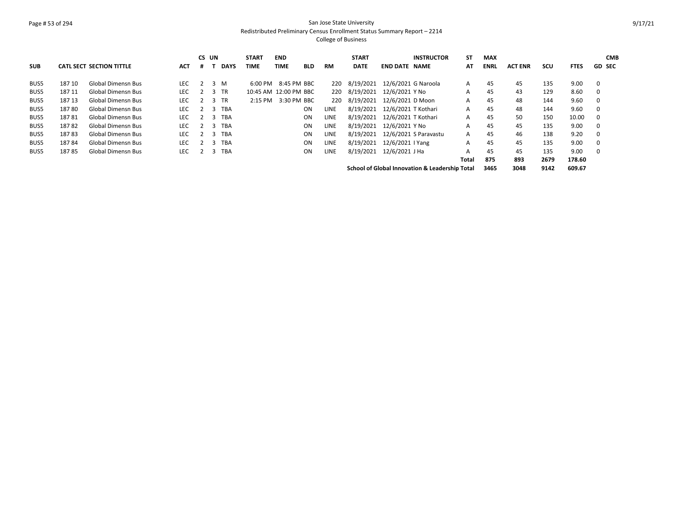#### Page # 53 of 294 San Jose State University Redistributed Preliminary Census Enrollment Status Summary Report – 2214

|            |        |                                 |            |                | CS UN          |             | <b>START</b>          | <b>END</b>          |            |      | <b>START</b> |                            | <b>INSTRUCTOR</b>                                         | <b>ST</b> | <b>MAX</b>  |                |            |             | <b>CMB</b>    |
|------------|--------|---------------------------------|------------|----------------|----------------|-------------|-----------------------|---------------------|------------|------|--------------|----------------------------|-----------------------------------------------------------|-----------|-------------|----------------|------------|-------------|---------------|
| <b>SUB</b> |        | <b>CATL SECT SECTION TITTLE</b> | <b>ACT</b> |                |                | <b>DAYS</b> | <b>TIME</b>           | TIME                | <b>BLD</b> | RM   | <b>DATE</b>  | <b>END DATE</b>            | <b>NAME</b>                                               | AT        | <b>ENRL</b> | <b>ACT ENR</b> | <b>SCU</b> | <b>FTES</b> | <b>GD SEC</b> |
| BUS5       | 187 10 | <b>Global Dimensn Bus</b>       | LEC        | 2              |                | 3 M         | $6:00$ PM             | 8:45 PM BBC         |            | 220  | 8/19/2021    | 12/6/2021 G Naroola        |                                                           | A         | 45          | 45             | 135        | 9.00        | 0             |
| BUS5       | 187 11 | <b>Global Dimensn Bus</b>       | <b>LEC</b> | $\overline{2}$ |                | 3 TR        | 10:45 AM 12:00 PM BBC |                     |            | 220  |              | 8/19/2021 12/6/2021 Y No   |                                                           | A         | 45          | 43             | 129        | 8.60        | 0             |
| BUS5       | 18713  | <b>Global Dimensn Bus</b>       | <b>LEC</b> |                | 2 3 TR         |             |                       | 2:15 PM 3:30 PM BBC |            | 220  |              | 8/19/2021 12/6/2021 D Moon |                                                           | A         | 45          | 48             | 144        | 9.60        | 0             |
| BUS5       | 18780  | <b>Global Dimensn Bus</b>       | <b>LEC</b> |                | 3              | TBA         |                       |                     | ON         | LINE | 8/19/2021    | 12/6/2021 T Kothari        |                                                           | A         | 45          | 48             | 144        | 9.60        | 0             |
| BUS5       | 18781  | <b>Global Dimensn Bus</b>       | <b>LEC</b> | $\overline{2}$ | $\mathbf{R}$   | <b>TBA</b>  |                       |                     | <b>ON</b>  | LINE | 8/19/2021    | 12/6/2021 T Kothari        |                                                           | A         | 45          | 50             | 150        | 10.00       | 0             |
| BUS5       | 18782  | <b>Global Dimensn Bus</b>       | <b>LEC</b> | 2              | $\overline{3}$ | <b>TBA</b>  |                       |                     | ON         | LINE | 8/19/2021    | 12/6/2021 Y No             |                                                           | A         | 45          | 45             | 135        | 9.00        | $\mathbf 0$   |
| BUS5       | 18783  | <b>Global Dimensn Bus</b>       | LEC        |                | 3              | <b>TBA</b>  |                       |                     | <b>ON</b>  | LINE | 8/19/2021    | 12/6/2021 S Paravastu      |                                                           | A         | 45          | 46             | 138        | 9.20        | 0             |
| BUS5       | 18784  | <b>Global Dimensn Bus</b>       | <b>LEC</b> |                | 3              | <b>TBA</b>  |                       |                     | <b>ON</b>  | LINE | 8/19/2021    | 12/6/2021   Yang           |                                                           | A         | 45          | 45             | 135        | 9.00        | $\mathbf 0$   |
| BUS5       | 18785  | <b>Global Dimensn Bus</b>       | LEC        |                | 3              | <b>TBA</b>  |                       |                     | <b>ON</b>  | LINE | 8/19/2021    | 12/6/2021 J Ha             |                                                           | A         | 45          | 45             | 135        | 9.00        | $\Omega$      |
|            |        |                                 |            |                |                |             |                       |                     |            |      |              |                            |                                                           | Total     | 875         | 893            | 2679       | 178.60      |               |
|            |        |                                 |            |                |                |             |                       |                     |            |      |              |                            | <b>School of Global Innovation &amp; Leadership Total</b> |           | 3465        | 3048           | 9142       | 609.67      |               |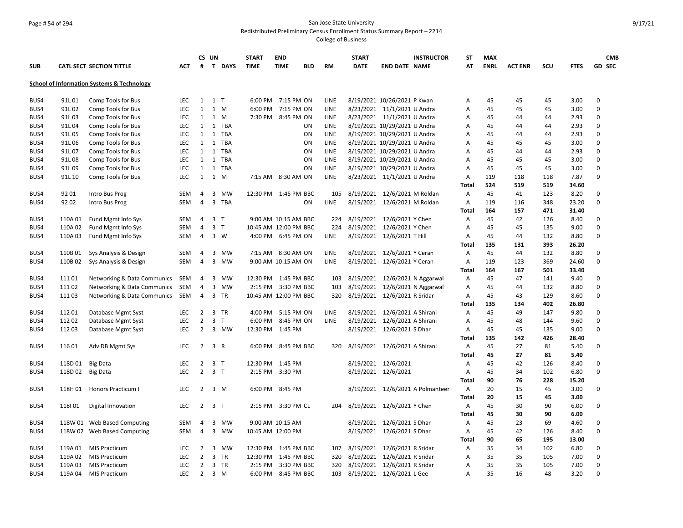## Page # 54 of 294 San Jose State University Redistributed Preliminary Census Enrollment Status Summary Report – 2214

|            |         |                                            |            | CS UN          |                          |             | <b>START</b>          | <b>END</b>         |            |             | <b>START</b> |                                | <b>INSTRUCTOR</b>                | <b>ST</b>      | <b>MAX</b>  |                |     |             | <b>CMB</b>  |
|------------|---------|--------------------------------------------|------------|----------------|--------------------------|-------------|-----------------------|--------------------|------------|-------------|--------------|--------------------------------|----------------------------------|----------------|-------------|----------------|-----|-------------|-------------|
| <b>SUB</b> |         | <b>CATL SECT SECTION TITTLE</b>            | <b>ACT</b> | #              | T.                       | <b>DAYS</b> | <b>TIME</b>           | <b>TIME</b>        | <b>BLD</b> | <b>RM</b>   | <b>DATE</b>  | <b>END DATE NAME</b>           |                                  | AT             | <b>ENRL</b> | <b>ACT ENR</b> | SCU | <b>FTES</b> | GD SEC      |
|            |         | School of Information Systems & Technology |            |                |                          |             |                       |                    |            |             |              |                                |                                  |                |             |                |     |             |             |
|            |         |                                            |            |                |                          |             |                       |                    |            |             |              |                                |                                  |                |             |                |     |             |             |
| BUS4       | 91L01   | Comp Tools for Bus                         | <b>LEC</b> | 1              | $1$ T                    |             | 6:00 PM               | 7:15 PM ON         |            | LINE        |              | 8/19/2021 10/26/2021 P Kwan    |                                  | Α              | 45          | 45             | 45  | 3.00        | $\Omega$    |
| BUS4       | 91L02   | Comp Tools for Bus                         | <b>LEC</b> | 1              | 1 M                      |             | 6:00 PM               | 7:15 PM ON         |            | LINE        |              | 8/23/2021 11/1/2021 U Andra    |                                  | A              | 45          | 45             | 45  | 3.00        | $\Omega$    |
| BUS4       | 91L03   | Comp Tools for Bus                         | <b>LEC</b> | 1              | 1 M                      |             | 7:30 PM               | 8:45 PM ON         |            | LINE        |              | 8/23/2021 11/1/2021 U Andra    |                                  | A              | 45          | 44             | 44  | 2.93        | $\Omega$    |
| BUS4       | 91L04   | Comp Tools for Bus                         | <b>LEC</b> | 1              | 1                        | <b>TBA</b>  |                       |                    | ON         | LINE        |              | 8/19/2021 10/29/2021 U Andra   |                                  | Α              | 45          | 44             | 44  | 2.93        | $\mathbf 0$ |
| BUS4       | 91L05   | Comp Tools for Bus                         | LEC        | 1              | 1 TBA                    |             |                       |                    | ON         | LINE        |              | 8/19/2021 10/29/2021 U Andra   |                                  | Α              | 45          | 44             | 44  | 2.93        | $\Omega$    |
| BUS4       | 91L06   | Comp Tools for Bus                         | <b>LEC</b> | 1              | 1                        | <b>TBA</b>  |                       |                    | ON         | LINE        |              | 8/19/2021 10/29/2021 U Andra   |                                  | A              | 45          | 45             | 45  | 3.00        | $\Omega$    |
| BUS4       | 91L07   | Comp Tools for Bus                         | LEC        | $\mathbf{1}$   | 1 TBA                    |             |                       |                    | ON         | LINE        |              | 8/19/2021 10/29/2021 U Andra   |                                  | А              | 45          | 44             | 44  | 2.93        | $\Omega$    |
| BUS4       | 91L08   | Comp Tools for Bus                         | <b>LEC</b> | 1              | 1                        | <b>TBA</b>  |                       |                    | ON         | LINE        |              | 8/19/2021 10/29/2021 U Andra   |                                  | A              | 45          | 45             | 45  | 3.00        | $\Omega$    |
| BUS4       | 91L09   | Comp Tools for Bus                         | LEC        | 1              | 1 TBA                    |             |                       |                    | ON         | LINE        |              | 8/19/2021 10/29/2021 U Andra   |                                  | Α              | 45          | 45             | 45  | 3.00        | $\Omega$    |
| BUS4       | 91L 10  | Comp Tools for Bus                         | <b>LEC</b> | 1              | 1                        | М           | 7:15 AM 8:30 AM ON    |                    |            | LINE        |              | 8/23/2021 11/1/2021 U Andra    |                                  | Α              | 119         | 118            | 118 | 7.87        | $\Omega$    |
|            |         |                                            |            |                |                          |             |                       |                    |            |             |              |                                |                                  | Total          | 524         | 519            | 519 | 34.60       |             |
| BUS4       | 92 01   | Intro Bus Prog                             | <b>SEM</b> | 4              | 3                        | <b>MW</b>   | 12:30 PM 1:45 PM BBC  |                    |            | 105         |              | 8/19/2021 12/6/2021 M Roldan   |                                  | Α              | 45          | 41             | 123 | 8.20        | $\mathbf 0$ |
| BUS4       | 92 02   | Intro Bus Prog                             | <b>SEM</b> | $\overline{4}$ | 3                        | <b>TBA</b>  |                       |                    | ON         | LINE        |              | 8/19/2021 12/6/2021 M Roldan   |                                  | Α              | 119         | 116            | 348 | 23.20       | $\Omega$    |
|            |         |                                            |            |                |                          |             |                       |                    |            |             |              |                                |                                  | <b>Total</b>   | 164         | 157            | 471 | 31.40       |             |
| BUS4       | 110A01  | Fund Mgmt Info Sys                         | SEM        | 4              | 3 <sub>1</sub>           |             | 9:00 AM 10:15 AM BBC  |                    |            | 224         |              | 8/19/2021 12/6/2021 Y Chen     |                                  | A              | 45          | 42             | 126 | 8.40        | 0           |
| BUS4       | 110A02  | Fund Mgmt Info Sys                         | <b>SEM</b> | 4              | 3 <sub>T</sub>           |             | 10:45 AM 12:00 PM BBC |                    |            | 224         |              | 8/19/2021 12/6/2021 Y Chen     |                                  | Α              | 45          | 45             | 135 | 9.00        | $\Omega$    |
| BUS4       | 110A03  | Fund Mgmt Info Sys                         | <b>SEM</b> | $\overline{4}$ | $3 \quad W$              |             |                       | 4:00 PM 6:45 PM ON |            | LINE        |              | 8/19/2021 12/6/2021 T Hill     |                                  | Α              | 45          | 44             | 132 | 8.80        | $\Omega$    |
|            |         |                                            |            |                |                          |             |                       |                    |            |             |              |                                |                                  | Total          | 135         | 131            | 393 | 26.20       |             |
| BUS4       | 110B01  | Sys Analysis & Design                      | <b>SEM</b> | 4              | 3                        | <b>MW</b>   | 7:15 AM 8:30 AM ON    |                    |            | LINE        |              | 8/19/2021 12/6/2021 Y Ceran    |                                  | A              | 45          | 44             | 132 | 8.80        | $\Omega$    |
| BUS4       | 110B02  | Sys Analysis & Design                      | <b>SEM</b> | 4              | 3                        | MW          | 9:00 AM 10:15 AM ON   |                    |            | LINE        |              | 8/19/2021 12/6/2021 Y Ceran    |                                  | Α              | 119         | 123            | 369 | 24.60       | 0           |
|            |         |                                            |            |                |                          |             |                       |                    |            |             |              |                                |                                  | Total          | 164         | 167            | 501 | 33.40       |             |
| BUS4       | 11101   | Networking & Data Communics                | SEM        | 4              | 3                        | <b>MW</b>   | 12:30 PM 1:45 PM BBC  |                    |            | 103         |              | 8/19/2021 12/6/2021 N Aggarwal |                                  | A              | 45          | 47             | 141 | 9.40        | $\Omega$    |
| BUS4       | 11102   | Networking & Data Communics                | <b>SEM</b> | $\overline{4}$ | 3                        | <b>MW</b>   | 2:15 PM 3:30 PM BBC   |                    |            | 103         | 8/19/2021    |                                | 12/6/2021 N Aggarwal             | Α              | 45          | 44             | 132 | 8.80        | $\Omega$    |
| BUS4       | 11103   | Networking & Data Communics                | SEM        | 4              | 3                        | <b>TR</b>   | 10:45 AM 12:00 PM BBC |                    |            | 320         |              | 8/19/2021 12/6/2021 R Sridar   |                                  | A              | 45          | 43             | 129 | 8.60        | $\Omega$    |
|            |         |                                            |            |                |                          |             |                       |                    |            |             |              |                                |                                  | <b>Total</b>   | 135         | 134            | 402 | 26.80       |             |
| BUS4       | 11201   | Database Mgmt Syst                         | <b>LEC</b> | $\overline{2}$ | 3 TR                     |             | 4:00 PM               | 5:15 PM ON         |            | LINE        | 8/19/2021    | 12/6/2021 A Shirani            |                                  | A              | 45          | 49             | 147 | 9.80        | 0           |
| BUS4       | 11202   | Database Mgmt Syst                         | <b>LEC</b> | $\overline{2}$ | $\overline{3}$<br>$\top$ |             | 6:00 PM               | 8:45 PM ON         |            | <b>LINE</b> | 8/19/2021    | 12/6/2021 A Shirani            |                                  | A              | 45          | 48             | 144 | 9.60        | $\Omega$    |
| BUS4       | 11203   | Database Mgmt Syst                         | <b>LEC</b> | $\overline{2}$ | 3                        | MW          | 12:30 PM              | 1:45 PM            |            |             |              | 8/19/2021 12/6/2021 S Dhar     |                                  | Α              | 45          | 45             | 135 | 9.00        | $\Omega$    |
|            |         |                                            |            |                |                          |             |                       |                    |            |             |              |                                |                                  | Total          | 135         | 142            | 426 | 28.40       |             |
| BUS4       | 11601   | Adv DB Mgmt Sys                            | <b>LEC</b> | $\overline{2}$ | 3 R                      |             | 6:00 PM               | 8:45 PM BBC        |            | 320         |              | 8/19/2021 12/6/2021 A Shirani  |                                  | $\overline{A}$ | 45          | 27             | 81  | 5.40        | $\Omega$    |
|            |         |                                            |            |                |                          |             |                       |                    |            |             |              |                                |                                  | <b>Total</b>   | 45          | 27             | 81  | 5.40        |             |
| BUS4       | 118D 01 | <b>Big Data</b>                            | LEC        | $\overline{2}$ | 3 T                      |             | 12:30 PM              | 1:45 PM            |            |             |              | 8/19/2021 12/6/2021            |                                  | A              | 45          | 42             | 126 | 8.40        | 0           |
| BUS4       | 118D 02 | <b>Big Data</b>                            | <b>LEC</b> | $\overline{2}$ | 3 <sub>1</sub>           |             | 2:15 PM               | 3:30 PM            |            |             |              | 8/19/2021 12/6/2021            |                                  | A              | 45          | 34             | 102 | 6.80        | $\Omega$    |
|            |         |                                            |            |                |                          |             |                       |                    |            |             |              |                                |                                  | Total          | 90          | 76             | 228 | 15.20       |             |
| BUS4       | 118H 01 | Honors Practicum I                         | <b>LEC</b> | 2              | 3 M                      |             | 6:00 PM               | 8:45 PM            |            |             |              |                                | 8/19/2021 12/6/2021 A Polmanteer | A              | 20          | 15             | 45  | 3.00        | $\Omega$    |
|            |         |                                            |            |                |                          |             |                       |                    |            |             |              |                                |                                  | <b>Total</b>   | 20          | 15             | 45  | 3.00        |             |
| BUS4       | 118101  | Digital Innovation                         | LEC        | $\overline{2}$ | 3 T                      |             | 2:15 PM               | 3:30 PM CL         |            | 204         | 8/19/2021    | 12/6/2021 Y Chen               |                                  | A              | 45          | 30             | 90  | 6.00        | $\Omega$    |
|            |         |                                            |            |                |                          |             |                       |                    |            |             |              |                                |                                  | Total          | 45          | 30             | 90  | 6.00        |             |
| BUS4       | 118W 01 | Web Based Computing                        | <b>SEM</b> | 4              | 3                        | MW          | 9:00 AM 10:15 AM      |                    |            |             | 8/19/2021    | 12/6/2021 S Dhar               |                                  | Α              | 45          | 23             | 69  | 4.60        | $\Omega$    |
| BUS4       |         | 118W 02 Web Based Computing                | <b>SEM</b> | 4              | 3                        | <b>MW</b>   | 10:45 AM 12:00 PM     |                    |            |             |              | 8/19/2021 12/6/2021 S Dhar     |                                  | Α              | 45          | 42             | 126 | 8.40        | $\Omega$    |
|            |         |                                            |            |                |                          |             |                       |                    |            |             |              |                                |                                  | <b>Total</b>   | 90          | 65             | 195 | 13.00       |             |
| BUS4       | 119A 01 | <b>MIS Practicum</b>                       | <b>LEC</b> | 2              | $\overline{3}$           | MW          | 12:30 PM 1:45 PM BBC  |                    |            | 107         |              | 8/19/2021 12/6/2021 R Sridar   |                                  | Α              | 35          | 34             | 102 | 6.80        | $\mathbf 0$ |
| BUS4       | 119A 02 | <b>MIS Practicum</b>                       | <b>LEC</b> | $\overline{2}$ | 3                        | <b>TR</b>   | 12:30 PM              | 1:45 PM BBC        |            | 320         | 8/19/2021    | 12/6/2021 R Sridar             |                                  | Α              | 35          | 35             | 105 | 7.00        | $\Omega$    |
| BUS4       | 119A03  | <b>MIS Practicum</b>                       | <b>LEC</b> | $\overline{2}$ | 3 TR                     |             | $2:15$ PM             | 3:30 PM BBC        |            | 320         | 8/19/2021    | 12/6/2021 R Sridar             |                                  | A              | 35          | 35             | 105 | 7.00        | $\Omega$    |
| BUS4       | 119A 04 | <b>MIS Practicum</b>                       | LEC        | $\overline{2}$ | $3 \, M$                 |             | 6:00 PM               | 8:45 PM BBC        |            | 103         |              | 8/19/2021 12/6/2021 L Gee      |                                  | Α              | 35          | 16             | 48  | 3.20        | $\Omega$    |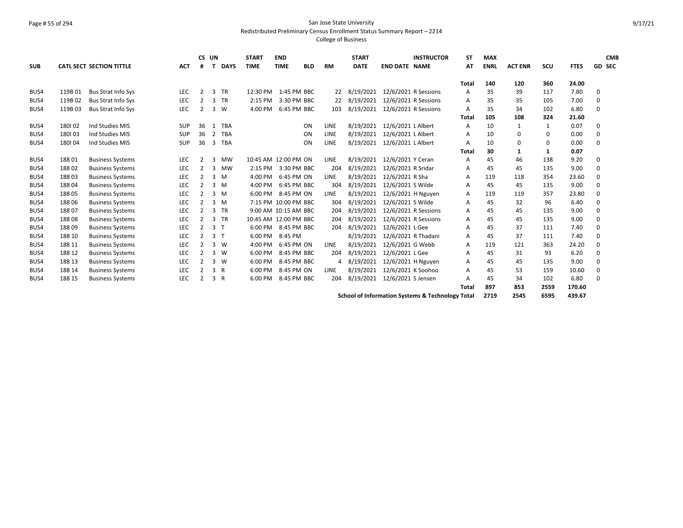#### Page # 55 of 294 San Jose State University Redistributed Preliminary Census Enrollment Status Summary Report – 2214

|            |        |                                 |            |                | CS UN          |             | <b>START</b>          | <b>END</b>  |                      |             | <b>START</b> |                      | <b>INSTRUCTOR</b>                                           | <b>ST</b>    | <b>MAX</b>  |                |              |             | <b>CMB</b>    |
|------------|--------|---------------------------------|------------|----------------|----------------|-------------|-----------------------|-------------|----------------------|-------------|--------------|----------------------|-------------------------------------------------------------|--------------|-------------|----------------|--------------|-------------|---------------|
| <b>SUB</b> |        | <b>CATL SECT SECTION TITTLE</b> | <b>ACT</b> | #              | т              | <b>DAYS</b> | <b>TIME</b>           | <b>TIME</b> | <b>BLD</b>           | <b>RM</b>   | <b>DATE</b>  | <b>END DATE NAME</b> |                                                             | AT           | <b>ENRL</b> | <b>ACT ENR</b> | SCU          | <b>FTES</b> | <b>GD SEC</b> |
|            |        |                                 |            |                |                |             |                       |             |                      |             |              |                      |                                                             |              |             |                |              |             |               |
|            |        |                                 |            |                |                |             |                       |             |                      |             |              |                      |                                                             | <b>Total</b> | 140         | 120            | 360          | 24.00       |               |
| BUS4       | 119B01 | <b>Bus Strat Info Sys</b>       | <b>LEC</b> | $\mathcal{P}$  | 3              | <b>TR</b>   | 12:30 PM              |             | 1:45 PM BBC          | 22          | 8/19/2021    |                      | 12/6/2021 R Sessions                                        | А            | 35          | 39             | 117          | 7.80        | 0             |
| BUS4       | 119B02 | <b>Bus Strat Info Sys</b>       | <b>LEC</b> | $\overline{2}$ |                | 3 TR        | 2:15 PM               |             | 3:30 PM BBC          | 22          | 8/19/2021    |                      | 12/6/2021 R Sessions                                        | A            | 35          | 35             | 105          | 7.00        | 0             |
| BUS4       | 119B03 | <b>Bus Strat Info Sys</b>       | <b>LEC</b> | 2              |                | 3 W         | 4:00 PM               |             | 6:45 PM BBC          | 103         | 8/19/2021    |                      | 12/6/2021 R Sessions                                        | A            | 35          | 34             | 102          | 6.80        | 0             |
|            |        |                                 |            |                |                |             |                       |             |                      |             |              |                      |                                                             | <b>Total</b> | 105         | 108            | 324          | 21.60       |               |
| BUS4       | 180102 | Ind Studies MIS                 | SUP        | 36             | 1              | <b>TBA</b>  |                       |             | ON                   | LINE        | 8/19/2021    | 12/6/2021 L Albert   |                                                             | A            | 10          | 1              | 1            | 0.07        | 0             |
| BUS4       | 180103 | Ind Studies MIS                 | SUP        | 36             | $\overline{2}$ | <b>TBA</b>  |                       |             | ON                   | LINE        | 8/19/2021    | 12/6/2021 L Albert   |                                                             | A            | 10          | 0              | $\Omega$     | 0.00        | 0             |
| BUS4       | 180104 | Ind Studies MIS                 | <b>SUP</b> | 36             | 3              | <b>TBA</b>  |                       |             | ON                   | LINE        | 8/19/2021    | 12/6/2021 L Albert   |                                                             | A            | 10          | 0              | 0            | 0.00        | 0             |
|            |        |                                 |            |                |                |             |                       |             |                      |             |              |                      |                                                             | <b>Total</b> | 30          | $\mathbf{1}$   | $\mathbf{1}$ | 0.07        |               |
| BUS4       | 18801  | <b>Business Systems</b>         | LEC        | 2              | 3              | <b>MW</b>   | 10:45 AM 12:00 PM ON  |             |                      | <b>LINE</b> | 8/19/2021    | 12/6/2021 Y Ceran    |                                                             | A            | 45          | 46             | 138          | 9.20        | 0             |
| BUS4       | 18802  | <b>Business Systems</b>         | <b>LEC</b> | 2              | 3              | <b>MW</b>   | 2:15 PM               |             | 3:30 PM BBC          | 204         | 8/19/2021    | 12/6/2021 R Sridar   |                                                             | A            | 45          | 45             | 135          | 9.00        | 0             |
| BUS4       | 18803  | <b>Business Systems</b>         | LEC        | $\overline{2}$ | 3              | M           | 4:00 PM               |             | 6:45 PM ON           | <b>LINE</b> | 8/19/2021    | 12/6/2021 R Sha      |                                                             | A            | 119         | 118            | 354          | 23.60       | 0             |
| BUS4       | 18804  | <b>Business Systems</b>         | <b>LEC</b> | $\overline{2}$ |                | $3 \, M$    | 4:00 PM               |             | 6:45 PM BBC          | 304         | 8/19/2021    | 12/6/2021 S Wilde    |                                                             | A            | 45          | 45             | 135          | 9.00        | 0             |
| BUS4       | 18805  | <b>Business Systems</b>         | LEC        |                | $3 \, M$       |             | 6:00 PM               |             | 8:45 PM ON           | LINE        | 8/19/2021    | 12/6/2021 H Nguyen   |                                                             | A            | 119         | 119            | 357          | 23.80       | 0             |
| BUS4       | 18806  | <b>Business Systems</b>         | <b>LEC</b> | $\overline{2}$ |                | 3 M         |                       |             | 7:15 PM 10:00 PM BBC | 304         | 8/19/2021    | 12/6/2021 S Wilde    |                                                             | A            | 45          | 32             | 96           | 6.40        | 0             |
| BUS4       | 18807  | <b>Business Systems</b>         | <b>LEC</b> |                |                | 3 TR        |                       |             | 9:00 AM 10:15 AM BBC | 204         | 8/19/2021    |                      | 12/6/2021 R Sessions                                        | A            | 45          | 45             | 135          | 9.00        | $\Omega$      |
| BUS4       | 18808  | <b>Business Systems</b>         | LEC        | 2              | 3              | TR          | 10:45 AM 12:00 PM BBC |             |                      | 204         | 8/19/2021    |                      | 12/6/2021 R Sessions                                        | A            | 45          | 45             | 135          | 9.00        | 0             |
| BUS4       | 18809  | <b>Business Systems</b>         | <b>LEC</b> | 2              | 3 <sub>1</sub> |             | 6:00 PM               |             | 8:45 PM BBC          | 204         | 8/19/2021    | 12/6/2021 L Gee      |                                                             | A            | 45          | 37             | 111          | 7.40        | 0             |
| BUS4       | 188 10 | <b>Business Systems</b>         | LEC        | 2              | 3 <sub>T</sub> |             | 6:00 PM               |             | 8:45 PM              |             | 8/19/2021    |                      | 12/6/2021 R Thadani                                         | A            | 45          | 37             | 111          | 7.40        | 0             |
| BUS4       | 188 11 | <b>Business Systems</b>         | LEC        | 2              |                | 3 W         | 4:00 PM               |             | 6:45 PM ON           | <b>LINE</b> | 8/19/2021    | 12/6/2021 G Webb     |                                                             | А            | 119         | 121            | 363          | 24.20       | 0             |
| BUS4       | 188 12 | <b>Business Systems</b>         | <b>LEC</b> |                | 3              | - W         | 6:00 PM               |             | 8:45 PM BBC          | 204         | 8/19/2021    | 12/6/2021 L Gee      |                                                             | A            | 45          | 31             | 93           | 6.20        | 0             |
| BUS4       | 188 13 | <b>Business Systems</b>         | <b>LEC</b> | $\overline{2}$ | 3              | W           | 6:00 PM               |             | 8:45 PM BBC          | 4           | 8/19/2021    | 12/6/2021 H Nguyen   |                                                             | A            | 45          | 45             | 135          | 9.00        | 0             |
| BUS4       | 188 14 | <b>Business Systems</b>         | LEC        |                | 3 R            |             | 6:00 PM               |             | 8:45 PM ON           | <b>LINE</b> | 8/19/2021    | 12/6/2021 K Soohoo   |                                                             | A            | 45          | 53             | 159          | 10.60       | 0             |
| BUS4       | 188 15 | <b>Business Systems</b>         | <b>LEC</b> | 2              | 3 R            |             | 6:00 PM               |             | 8:45 PM BBC          | 204         | 8/19/2021    | 12/6/2021 S Jensen   |                                                             | A            | 45          | 34             | 102          | 6.80        | 0             |
|            |        |                                 |            |                |                |             |                       |             |                      |             |              |                      |                                                             | <b>Total</b> | 897         | 853            | 2559         | 170.60      |               |
|            |        |                                 |            |                |                |             |                       |             |                      |             |              |                      | <b>School of Information Systems &amp; Technology Total</b> |              | 2719        | 2545           | 6595         | 439.67      |               |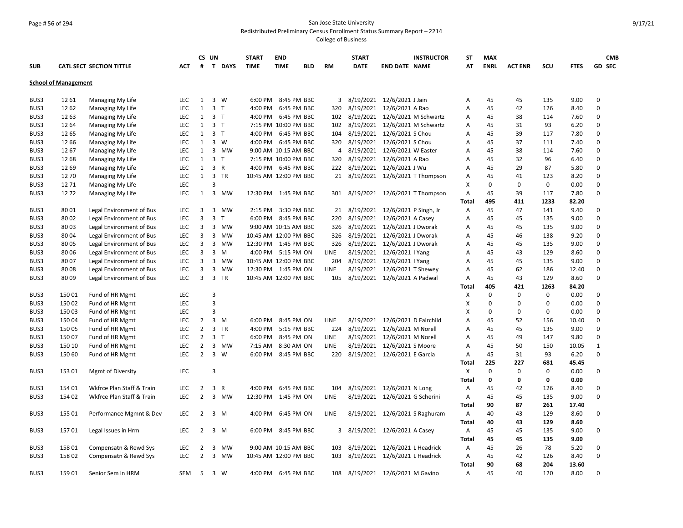## Page # 56 of 294 San Jose State University Redistributed Preliminary Census Enrollment Status Summary Report – 2214

|            |                             |                                 |            |                | CS UN                   |              | <b>START</b>          | <b>END</b>  |             |             | <b>START</b>  | <b>INSTRUCTOR</b>                  | ST           | <b>MAX</b>  |                |             |             | <b>CMB</b>    |
|------------|-----------------------------|---------------------------------|------------|----------------|-------------------------|--------------|-----------------------|-------------|-------------|-------------|---------------|------------------------------------|--------------|-------------|----------------|-------------|-------------|---------------|
| <b>SUB</b> |                             | <b>CATL SECT SECTION TITTLE</b> | ACT        | #              |                         | T DAYS       | <b>TIME</b>           | <b>TIME</b> | <b>BLD</b>  | <b>RM</b>   | <b>DATE</b>   | <b>END DATE NAME</b>               | AT           | <b>ENRL</b> | <b>ACT ENR</b> | SCU         | <b>FTES</b> | <b>GD SEC</b> |
|            | <b>School of Management</b> |                                 |            |                |                         |              |                       |             |             |             |               |                                    |              |             |                |             |             |               |
|            |                             |                                 |            |                |                         |              |                       |             |             |             |               |                                    |              |             |                |             |             |               |
| BUS3       | 12 61                       | Managing My Life                | <b>LEC</b> | $\mathbf{1}$   |                         | 3 W          | 6:00 PM               |             | 8:45 PM BBC | 3           |               | 8/19/2021 12/6/2021 J Jain         | Α            | 45          | 45             | 135         | 9.00        | 0             |
| BUS3       | 12 62                       | Managing My Life                | <b>LEC</b> | 1              | 3 <sub>T</sub>          |              | 4:00 PM               |             | 6:45 PM BBC | 320         | 8/19/2021     | 12/6/2021 A Rao                    | Α            | 45          | 42             | 126         | 8.40        | $\mathbf 0$   |
| BUS3       | 12 63                       | Managing My Life                | <b>LEC</b> | $\mathbf{1}$   | 3 <sub>1</sub>          |              | 4:00 PM               |             | 6:45 PM BBC |             |               | 102 8/19/2021 12/6/2021 M Schwartz | Α            | 45          | 38             | 114         | 7.60        | 0             |
| BUS3       | 12 64                       | Managing My Life                | <b>LEC</b> | $\mathbf{1}$   | 3 <sub>T</sub>          |              | 7:15 PM 10:00 PM BBC  |             |             |             | 102 8/19/2021 | 12/6/2021 M Schwartz               | А            | 45          | 31             | 93          | 6.20        | 0             |
| BUS3       | 12 65                       | Managing My Life                | <b>LEC</b> | 1              | 3 <sub>T</sub>          |              | 4:00 PM 6:45 PM BBC   |             |             | 104         |               | 8/19/2021 12/6/2021 S Chou         | Α            | 45          | 39             | 117         | 7.80        | 0             |
| BUS3       | 12 66                       | Managing My Life                | <b>LEC</b> | 1              |                         | 3 W          | 4:00 PM               |             | 6:45 PM BBC | 320         | 8/19/2021     | 12/6/2021 S Chou                   | Α            | 45          | 37             | 111         | 7.40        | 0             |
| BUS3       | 12 67                       | Managing My Life                | <b>LEC</b> | $\mathbf{1}$   |                         | 3 MW         | 9:00 AM 10:15 AM BBC  |             |             | 4           | 8/19/2021     | 12/6/2021 W Easter                 | Α            | 45          | 38             | 114         | 7.60        | 0             |
| BUS3       | 12 68                       | Managing My Life                | <b>LEC</b> | 1              | 3 <sub>T</sub>          |              | 7:15 PM 10:00 PM BBC  |             |             | 320         | 8/19/2021     | 12/6/2021 A Rao                    | Α            | 45          | 32             | 96          | 6.40        | 0             |
| BUS3       | 12 69                       | Managing My Life                | <b>LEC</b> | $\mathbf{1}$   | 3 R                     |              | 4:00 PM 6:45 PM BBC   |             |             |             |               | 222 8/19/2021 12/6/2021 J Wu       | A            | 45          | 29             | 87          | 5.80        | 0             |
| BUS3       | 12 70                       | Managing My Life                | <b>LEC</b> | 1              |                         | 3 TR         | 10:45 AM 12:00 PM BBC |             |             |             |               | 21 8/19/2021 12/6/2021 T Thompson  | Α            | 45          | 41             | 123         | 8.20        | 0             |
| BUS3       | 12 71                       | Managing My Life                | LEC        |                | 3                       |              |                       |             |             |             |               |                                    | X            | 0           | 0              | $\mathbf 0$ | 0.00        | 0             |
| BUS3       | 1272                        | Managing My Life                | <b>LEC</b> | 1              | $\overline{3}$          | MW           | 12:30 PM 1:45 PM BBC  |             |             |             |               | 301 8/19/2021 12/6/2021 T Thompson | Α            | 45          | 39             | 117         | 7.80        | $\Omega$      |
|            |                             |                                 |            |                |                         |              |                       |             |             |             |               |                                    | Total        | 495         | 411            | 1233        | 82.20       |               |
| BUS3       | 80 01                       | Legal Environment of Bus        | <b>LEC</b> | 3              | 3                       | <b>MW</b>    | $2:15$ PM             |             | 3:30 PM BBC | 21          |               | 8/19/2021 12/6/2021 P Singh, Jr    | Α            | 45          | 47             | 141         | 9.40        | 0             |
| BUS3       | 80 02                       | Legal Environment of Bus        | LEC        | 3              | $\overline{3}$          | $\mathsf{T}$ | 6:00 PM 8:45 PM BBC   |             |             | 220         |               | 8/19/2021 12/6/2021 A Casey        | Α            | 45          | 45             | 135         | 9.00        | $\Omega$      |
| BUS3       | 80 03                       | Legal Environment of Bus        | <b>LEC</b> | 3              | 3                       | MW           | 9:00 AM 10:15 AM BBC  |             |             | 326         | 8/19/2021     | 12/6/2021 J Dworak                 | Α            | 45          | 45             | 135         | 9.00        | $\mathbf 0$   |
| BUS3       | 80 04                       | Legal Environment of Bus        | <b>LEC</b> | 3              | 3                       | <b>MW</b>    | 10:45 AM 12:00 PM BBC |             |             | 326         |               | 8/19/2021 12/6/2021 J Dworak       | A            | 45          | 46             | 138         | 9.20        | 0             |
| BUS3       | 80 05                       | Legal Environment of Bus        | LEC        | 3              | 3                       | <b>MW</b>    | 12:30 PM              | 1:45 PM BBC |             | 326         | 8/19/2021     | 12/6/2021 J Dworak                 | A            | 45          | 45             | 135         | 9.00        | 0             |
| BUS3       | 80 06                       | Legal Environment of Bus        | <b>LEC</b> | 3              | 3                       | M            | 4:00 PM 5:15 PM ON    |             |             | <b>LINE</b> |               | 8/19/2021 12/6/2021 I Yang         | A            | 45          | 43             | 129         | 8.60        | 0             |
| BUS3       | 80 07                       | Legal Environment of Bus        | <b>LEC</b> | 3              | 3                       | <b>MW</b>    | 10:45 AM 12:00 PM BBC |             |             | 204         | 8/19/2021     | 12/6/2021   Yang                   | A            | 45          | 45             | 135         | 9.00        | 0             |
| BUS3       | 80 08                       | Legal Environment of Bus        | LEC        | 3              | 3                       | <b>MW</b>    | 12:30 PM 1:45 PM ON   |             |             | <b>LINE</b> |               | 8/19/2021 12/6/2021 T Shewey       | A            | 45          | 62             | 186         | 12.40       | 0             |
| BUS3       | 80 09                       | Legal Environment of Bus        | <b>LEC</b> | 3              | $\overline{\mathbf{3}}$ | <b>TR</b>    | 10:45 AM 12:00 PM BBC |             |             | 105         |               | 8/19/2021 12/6/2021 A Padwal       | Α            | 45          | 43             | 129         | 8.60        | 0             |
|            |                             |                                 |            |                |                         |              |                       |             |             |             |               |                                    | Total        | 405         | 421            | 1263        | 84.20       |               |
| BUS3       | 15001                       | Fund of HR Mgmt                 | LEC        |                | 3                       |              |                       |             |             |             |               |                                    | X            | $\mathbf 0$ | 0              | $\pmb{0}$   | 0.00        | 0             |
| BUS3       | 15002                       | Fund of HR Mgmt                 | LEC        |                | 3                       |              |                       |             |             |             |               |                                    | X            | 0           | 0              | $\mathbf 0$ | 0.00        | 0             |
| BUS3       | 15003                       | Fund of HR Mgmt                 | <b>LEC</b> |                | 3                       |              |                       |             |             |             |               |                                    | X            | 0           | 0              | $\mathbf 0$ | 0.00        | 0             |
| BUS3       | 15004                       | Fund of HR Mgmt                 | LEC        | $\overline{2}$ | 3                       | м            | 6:00 PM               | 8:45 PM ON  |             | LINE        |               | 8/19/2021 12/6/2021 D Fairchild    | Α            | 45          | 52             | 156         | 10.40       | 0             |
| BUS3       | 15005                       | Fund of HR Mgmt                 | <b>LEC</b> | $\overline{2}$ | 3                       | <b>TR</b>    | 4:00 PM               |             | 5:15 PM BBC | 224         |               | 8/19/2021 12/6/2021 M Norell       | Α            | 45          | 45             | 135         | 9.00        | 0             |
| BUS3       | 15007                       | Fund of HR Mgmt                 | <b>LEC</b> | $\overline{2}$ | $\overline{3}$          | $\mathsf{T}$ | 6:00 PM               | 8:45 PM ON  |             | <b>LINE</b> |               | 8/19/2021 12/6/2021 M Norell       | A            | 45          | 49             | 147         | 9.80        | $\mathbf 0$   |
| BUS3       | 150 10                      | Fund of HR Mgmt                 | LEC        | $\overline{2}$ | 3                       | <b>MW</b>    | 7:15 AM               | 8:30 AM ON  |             | <b>LINE</b> |               | 8/19/2021 12/6/2021 S Moore        | Α            | 45          | 50             | 150         | 10.05       | $\mathbf{1}$  |
| BUS3       | 150 60                      | Fund of HR Mgmt                 | <b>LEC</b> | $\overline{2}$ |                         | 3 W          | 6:00 PM 8:45 PM BBC   |             |             |             |               | 220 8/19/2021 12/6/2021 E Garcia   | A            | 45          | 31             | 93          | 6.20        | 0             |
|            |                             |                                 |            |                |                         |              |                       |             |             |             |               |                                    | Total        | 225         | 227            | 681         | 45.45       |               |
| BUS3       | 153 01                      | Mgmt of Diversity               | <b>LEC</b> |                | 3                       |              |                       |             |             |             |               |                                    | Х            | 0           | 0              | 0           | 0.00        | 0             |
|            |                             |                                 |            |                |                         |              |                       |             |             |             |               |                                    | <b>Total</b> | 0           | 0              | $\mathbf 0$ | 0.00        |               |
| BUS3       | 154 01                      | Wkfrce Plan Staff & Train       | <b>LEC</b> | $\overline{2}$ | 3                       | $\mathsf{R}$ | 4:00 PM               |             | 6:45 PM BBC | 104         |               | 8/19/2021 12/6/2021 N Long         | Α            | 45          | 42             | 126         | 8.40        | 0             |
| BUS3       | 154 02                      | Wkfrce Plan Staff & Train       | <b>LEC</b> | $\overline{2}$ | 3                       | <b>MW</b>    | 12:30 PM 1:45 PM ON   |             |             | <b>LINE</b> |               | 8/19/2021 12/6/2021 G Scherini     | Α            | 45          | 45             | 135         | 9.00        | 0             |
|            |                             |                                 |            |                |                         |              |                       |             |             |             |               |                                    | <b>Total</b> | 90          | 87             | 261         | 17.40       |               |
| BUS3       | 155 01                      | Performance Mgmnt & Dev         | <b>LEC</b> | $\overline{2}$ | $\overline{3}$          | M            | 4:00 PM               | 6:45 PM ON  |             | LINE        |               | 8/19/2021 12/6/2021 S Raghuram     | Α            | 40          | 43             | 129         | 8.60        | 0             |
|            |                             |                                 |            |                |                         |              |                       |             |             |             |               |                                    | Total        | 40          | 43             | 129         | 8.60        |               |
| BUS3       | 15701                       | Legal Issues in Hrm             | <b>LEC</b> | 2              | $\overline{3}$          | M            | 6:00 PM 8:45 PM BBC   |             |             | 3           |               | 8/19/2021 12/6/2021 A Casey        | Α            | 45          | 45             | 135         | 9.00        | 0             |
|            |                             |                                 |            |                |                         |              |                       |             |             |             |               |                                    | <b>Total</b> | 45          | 45             | 135         | 9.00        |               |
| BUS3       | 15801                       | Compensatn & Rewd Sys           | LEC        | $\overline{2}$ | 3                       | <b>MW</b>    | 9:00 AM 10:15 AM BBC  |             |             | 103         | 8/19/2021     | 12/6/2021 L Headrick               | Α            | 45          | 26             | 78          | 5.20        | 0             |
| BUS3       | 15802                       | Compensatn & Rewd Sys           | <b>LEC</b> | $\overline{2}$ | 3                       | <b>MW</b>    | 10:45 AM 12:00 PM BBC |             |             | 103         |               | 8/19/2021 12/6/2021 L Headrick     | Α            | 45          | 42             | 126         | 8.40        | 0             |
|            |                             |                                 |            |                |                         |              |                       |             |             |             |               |                                    | <b>Total</b> | 90          | 68             | 204         | 13.60       |               |
| BUS3       | 15901                       | Senior Sem in HRM               | <b>SEM</b> | -5             |                         | 3 W          | 4:00 PM 6:45 PM BBC   |             |             | 108         |               | 8/19/2021 12/6/2021 M Gavino       | A            | 45          | 40             | 120         | 8.00        | $\Omega$      |
|            |                             |                                 |            |                |                         |              |                       |             |             |             |               |                                    |              |             |                |             |             |               |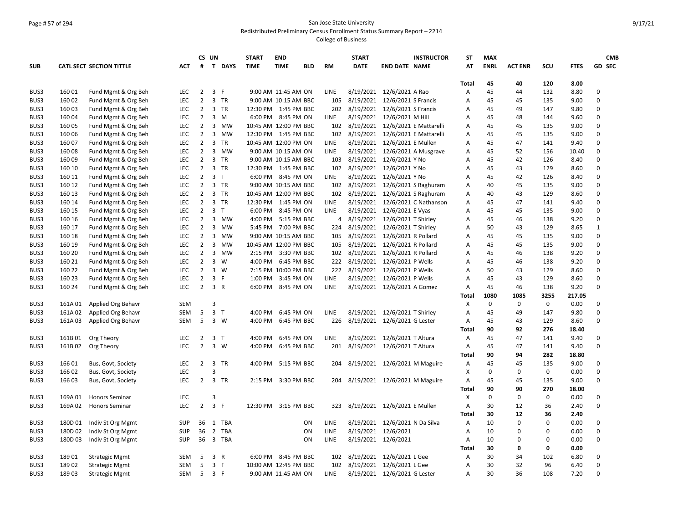#### Page # 57 of 294 San Jose State University Redistributed Preliminary Census Enrollment Status Summary Report – 2214

|            |         |                                 |            |                | CS UN                   |              | <b>START</b>          | <b>END</b>           |            |             | <b>START</b> | <b>INSTRUCTOR</b>                  | <b>ST</b> | <b>MAX</b>  |                |             |             | <b>CMB</b>   |
|------------|---------|---------------------------------|------------|----------------|-------------------------|--------------|-----------------------|----------------------|------------|-------------|--------------|------------------------------------|-----------|-------------|----------------|-------------|-------------|--------------|
| <b>SUB</b> |         | <b>CATL SECT SECTION TITTLE</b> | <b>ACT</b> | #              |                         | T DAYS       | <b>TIME</b>           | <b>TIME</b>          | <b>BLD</b> | <b>RM</b>   | <b>DATE</b>  | <b>END DATE NAME</b>               | ΑT        | <b>ENRL</b> | <b>ACT ENR</b> | SCU         | <b>FTES</b> | GD SEC       |
|            |         |                                 |            |                |                         |              |                       |                      |            |             |              |                                    | Total     | 45          | 40             | 120         | 8.00        |              |
| BUS3       | 16001   | Fund Mgmt & Org Beh             | LEC        | $\overline{2}$ | 3 F                     |              |                       | 9:00 AM 11:45 AM ON  |            | LINE        | 8/19/2021    | 12/6/2021 A Rao                    | Α         | 45          | 44             | 132         | 8.80        | 0            |
| BUS3       | 160 02  | Fund Mgmt & Org Beh             | LEC        | $\overline{2}$ |                         | 3 TR         |                       | 9:00 AM 10:15 AM BBC |            | 105         |              | 8/19/2021 12/6/2021 S Francis      | A         | 45          | 45             | 135         | 9.00        | 0            |
| BUS3       | 160 03  | Fund Mgmt & Org Beh             | LEC        | $\overline{2}$ |                         | 3 TR         | 12:30 PM 1:45 PM BBC  |                      |            | 202         | 8/19/2021    | 12/6/2021 S Francis                | А         | 45          | 49             | 147         | 9.80        | 0            |
| BUS3       | 16004   | Fund Mgmt & Org Beh             | LEC        | $\overline{2}$ |                         | 3 M          |                       | 6:00 PM 8:45 PM ON   |            | <b>LINE</b> | 8/19/2021    | 12/6/2021 M Hill                   | A         | 45          | 48             | 144         | 9.60        | 0            |
| BUS3       | 160 05  | Fund Mgmt & Org Beh             | LEC        | $\overline{2}$ | $\overline{\mathbf{3}}$ | MW           | 10:45 AM 12:00 PM BBC |                      |            | 102         | 8/19/2021    | 12/6/2021 E Mattarelli             | А         | 45          | 45             | 135         | 9.00        | 0            |
| BUS3       | 160 06  | Fund Mgmt & Org Beh             | LEC        | $\overline{2}$ | $\overline{3}$          | MW           | 12:30 PM 1:45 PM BBC  |                      |            | 102         |              | 8/19/2021 12/6/2021 E Mattarelli   | Α         | 45          | 45             | 135         | 9.00        | 0            |
| BUS3       | 160 07  | Fund Mgmt & Org Beh             | LEC        | $\overline{2}$ | $\overline{3}$          | TR           | 10:45 AM 12:00 PM ON  |                      |            | LINE        | 8/19/2021    | 12/6/2021 E Mullen                 | Α         | 45          | 47             | 141         | 9.40        | 0            |
| BUS3       | 16008   | Fund Mgmt & Org Beh             | LEC        | $\overline{2}$ |                         | 3 MW         |                       | 9:00 AM 10:15 AM ON  |            | <b>LINE</b> |              | 8/19/2021 12/6/2021 A Musgrave     | Α         | 45          | 52             | 156         | 10.40       | 0            |
| BUS3       | 16009   | Fund Mgmt & Org Beh             | LEC        | $\overline{2}$ | $\overline{3}$          | <b>TR</b>    |                       | 9:00 AM 10:15 AM BBC |            | 103         | 8/19/2021    | 12/6/2021 Y No                     | Α         | 45          | 42             | 126         | 8.40        | 0            |
| BUS3       | 160 10  | Fund Mgmt & Org Beh             | LEC        | $\overline{2}$ |                         | 3 TR         | 12:30 PM 1:45 PM BBC  |                      |            | 102         |              | 8/19/2021 12/6/2021 Y No           | Α         | 45          | 43             | 129         | 8.60        | $\mathbf 0$  |
| BUS3       | 160 11  | Fund Mgmt & Org Beh             | <b>LEC</b> | $\overline{2}$ | $\overline{3}$          | $\mathsf{T}$ |                       | 6:00 PM 8:45 PM ON   |            | <b>LINE</b> | 8/19/2021    | 12/6/2021 Y No                     | Α         | 45          | 42             | 126         | 8.40        | 0            |
| BUS3       | 160 12  | Fund Mgmt & Org Beh             | LEC        | $\overline{2}$ |                         | 3 TR         |                       | 9:00 AM 10:15 AM BBC |            |             |              | 102 8/19/2021 12/6/2021 S Raghuram | Α         | 40          | 45             | 135         | 9.00        | $\mathbf 0$  |
| BUS3       | 160 13  | Fund Mgmt & Org Beh             | <b>LEC</b> | $\overline{2}$ | 3                       | <b>TR</b>    | 10:45 AM 12:00 PM BBC |                      |            | 102         |              | 8/19/2021 12/6/2021 S Raghuram     | Α         | 40          | 43             | 129         | 8.60        | 0            |
| BUS3       | 160 14  | Fund Mgmt & Org Beh             | LEC        | $\overline{2}$ |                         | 3 TR         | 12:30 PM 1:45 PM ON   |                      |            | <b>LINE</b> |              | 8/19/2021 12/6/2021 C Nathanson    | A         | 45          | 47             | 141         | 9.40        | $\Omega$     |
| BUS3       | 160 15  | Fund Mgmt & Org Beh             | <b>LEC</b> | $\overline{2}$ | $\overline{3}$          | $\mathsf{T}$ | 6:00 PM               | 8:45 PM ON           |            | <b>LINE</b> |              | 8/19/2021 12/6/2021 E Vyas         | А         | 45          | 45             | 135         | 9.00        | 0            |
| BUS3       | 160 16  | Fund Mgmt & Org Beh             | LEC        | $\overline{2}$ | $\overline{3}$          | MW           | 4:00 PM               | 5:15 PM BBC          |            |             |              | 4 8/19/2021 12/6/2021 T Shirley    | A         | 45          | 46             | 138         | 9.20        | $\Omega$     |
| BUS3       | 160 17  | Fund Mgmt & Org Beh             | <b>LEC</b> | $\overline{2}$ | $\overline{3}$          | <b>MW</b>    | 5:45 PM               | 7:00 PM BBC          |            | 224         | 8/19/2021    | 12/6/2021 T Shirley                | А         | 50          | 43             | 129         | 8.65        | $\mathbf{1}$ |
| BUS3       | 160 18  | Fund Mgmt & Org Beh             | LEC        | $\overline{2}$ | $\overline{3}$          | <b>MW</b>    |                       | 9:00 AM 10:15 AM BBC |            | 105         |              | 8/19/2021 12/6/2021 R Pollard      | A         | 45          | 45             | 135         | 9.00        | 0            |
| BUS3       | 160 19  | Fund Mgmt & Org Beh             | LEC        | $\overline{2}$ | 3                       | <b>MW</b>    | 10:45 AM 12:00 PM BBC |                      |            | 105         | 8/19/2021    | 12/6/2021 R Pollard                | Α         | 45          | 45             | 135         | 9.00        | 0            |
| BUS3       | 160 20  | Fund Mgmt & Org Beh             | <b>LEC</b> | $\overline{2}$ | $\overline{3}$          | <b>MW</b>    |                       | 2:15 PM 3:30 PM BBC  |            | 102         |              | 8/19/2021 12/6/2021 R Pollard      | А         | 45          | 46             | 138         | 9.20        | 0            |
| BUS3       | 160 21  | Fund Mgmt & Org Beh             | LEC        | $\overline{2}$ | 3                       | W            | 4:00 PM               | 6:45 PM BBC          |            | 222         | 8/19/2021    | 12/6/2021 P Wells                  | A         | 45          | 46             | 138         | 9.20        | 0            |
| BUS3       | 160 22  | Fund Mgmt & Org Beh             | LEC        | $\overline{2}$ | 3 W                     |              |                       | 7:15 PM 10:00 PM BBC |            |             |              | 222 8/19/2021 12/6/2021 P Wells    | A         | 50          | 43             | 129         | 8.60        | 0            |
| BUS3       | 160 23  | Fund Mgmt & Org Beh             | LEC        | $\overline{2}$ | $\mathbf{3}$            | F            | 1:00 PM               | 3:45 PM ON           |            | <b>LINE</b> |              | 8/19/2021 12/6/2021 P Wells        | A         | 45          | 43             | 129         | 8.60        | 0            |
| BUS3       | 160 24  | Fund Mgmt & Org Beh             | <b>LEC</b> | $\overline{2}$ | 3 R                     |              |                       | 6:00 PM 8:45 PM ON   |            | LINE        |              | 8/19/2021 12/6/2021 A Gomez        | Α         | 45          | 46             | 138         | 9.20        | 0            |
|            |         |                                 |            |                |                         |              |                       |                      |            |             |              |                                    | Total     | 1080        | 1085           | 3255        | 217.05      |              |
| BUS3       | 161A 01 | Applied Org Behavr              | <b>SEM</b> |                | 3                       |              |                       |                      |            |             |              |                                    | х         | 0           | 0              | 0           | 0.00        | 0            |
| BUS3       | 161A02  | Applied Org Behavr              | <b>SEM</b> | 5              | 3 <sub>1</sub>          |              | 4:00 PM               | 6:45 PM ON           |            | <b>LINE</b> |              | 8/19/2021 12/6/2021 T Shirley      | A         | 45          | 49             | 147         | 9.80        | 0            |
| BUS3       | 161A03  | Applied Org Behavr              | <b>SEM</b> | 5              | 3 W                     |              | 4:00 PM               | 6:45 PM BBC          |            | 226         |              | 8/19/2021 12/6/2021 G Lester       | A         | 45          | 43             | 129         | 8.60        | 0            |
|            |         |                                 |            |                |                         |              |                       |                      |            |             |              |                                    | Total     | 90          | 92             | 276         | 18.40       |              |
| BUS3       | 161B01  | Org Theory                      | LEC        | $\overline{2}$ | 3 <sub>T</sub>          |              | 4:00 PM               | 6:45 PM ON           |            | LINE        |              | 8/19/2021 12/6/2021 T Altura       | Α         | 45          | 47             | 141         | 9.40        | 0            |
| BUS3       | 161B02  | Org Theory                      | <b>LEC</b> | $\overline{2}$ |                         | $3 \quad W$  | 4:00 PM               | 6:45 PM BBC          |            | 201         |              | 8/19/2021 12/6/2021 T Altura       | Α         | 45          | 47             | 141         | 9.40        | 0            |
|            |         |                                 |            |                |                         |              |                       |                      |            |             |              |                                    | Total     | 90          | 94             | 282         | 18.80       |              |
| BUS3       | 16601   | Bus, Govt, Society              | LEC        | 2              | 3                       | TR           | 4:00 PM               | 5:15 PM BBC          |            | 204         |              | 8/19/2021 12/6/2021 M Maguire      | Α         | 45          | 45             | 135         | 9.00        | 0            |
| BUS3       | 16602   | Bus, Govt, Society              | LEC        |                | 3                       |              |                       |                      |            |             |              |                                    | Χ         | $\Omega$    | 0              | $\mathbf 0$ | 0.00        | $\mathbf 0$  |
| BUS3       | 16603   | Bus, Govt, Society              | LEC        | $\overline{2}$ |                         | 3 TR         | 2:15 PM               | 3:30 PM BBC          |            | 204         |              | 8/19/2021 12/6/2021 M Maguire      | A         | 45          | 45             | 135         | 9.00        | 0            |
|            |         |                                 |            |                |                         |              |                       |                      |            |             |              |                                    | Total     | 90          | 90             | 270         | 18.00       |              |
| BUS3       | 169A 01 | <b>Honors Seminar</b>           | LEC        |                | 3                       |              |                       |                      |            |             |              |                                    | X         | 0           | 0              | $\mathbf 0$ | 0.00        | 0            |
| BUS3       | 169A02  | <b>Honors Seminar</b>           | <b>LEC</b> | $\overline{2}$ | 3 F                     |              | 12:30 PM 3:15 PM BBC  |                      |            | 323         |              | 8/19/2021 12/6/2021 E Mullen       | A         | 30          | 12             | 36          | 2.40        | 0            |
|            |         |                                 |            |                |                         |              |                       |                      |            |             |              |                                    | Total     | 30          | 12             | 36          | 2.40        |              |
| BUS3       | 180D 01 | Indiv St Org Mgmt               | <b>SUP</b> | 36             |                         | 1 TBA        |                       |                      | ON         | <b>LINE</b> |              | 8/19/2021 12/6/2021 N Da Silva     | Α         | 10          | 0              | $\mathbf 0$ | 0.00        | $\mathbf 0$  |
| BUS3       | 180D 02 | Indiv St Org Mgmt               | <b>SUP</b> | 36             | $\overline{2}$          | <b>TBA</b>   |                       |                      | ON         | LINE        |              | 8/19/2021 12/6/2021                | Α         | 10          | 0              | $\Omega$    | 0.00        | 0            |
| BUS3       | 180D03  | Indiv St Org Mgmt               | <b>SUP</b> | 36             | $\overline{\mathbf{3}}$ | <b>TBA</b>   |                       |                      | ON         | LINE        |              | 8/19/2021 12/6/2021                | Α         | 10          | 0              | 0           | 0.00        | 0            |
|            |         |                                 |            |                |                         |              |                       |                      |            |             |              |                                    | Total     | 30          | 0              | $\mathbf 0$ | 0.00        |              |
| BUS3       | 18901   | <b>Strategic Mgmt</b>           | <b>SEM</b> | 5              | 3 R                     |              |                       | 6:00 PM 8:45 PM BBC  |            | 102         |              | 8/19/2021 12/6/2021 L Gee          | Α         | 30          | 34             | 102         | 6.80        | 0            |
| BUS3       | 18902   | <b>Strategic Mgmt</b>           | <b>SEM</b> | 5              | 3 F                     |              | 10:00 AM 12:45 PM BBC |                      |            | 102         |              | 8/19/2021 12/6/2021 L Gee          | Α         | 30          | 32             | 96          | 6.40        | 0            |
| BUS3       | 18903   | <b>Strategic Mgmt</b>           | <b>SEM</b> | 5              | 3 F                     |              |                       | 9:00 AM 11:45 AM ON  |            | <b>LINE</b> |              | 8/19/2021 12/6/2021 G Lester       | Α         | 30          | 36             | 108         | 7.20        | 0            |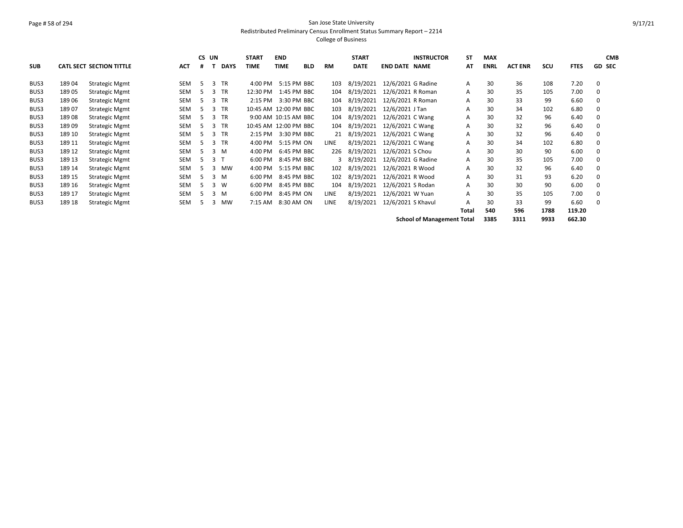# Page # 58 of 294 San Jose State University Redistributed Preliminary Census Enrollment Status Summary Report – 2214

|            |        |                                 |            | CS UN |                |             | <b>START</b>          | <b>END</b>           |            |           | <b>START</b> |                      | <b>INSTRUCTOR</b>                 | <b>ST</b> | <b>MAX</b>  |                |      |             | <b>CMB</b>    |
|------------|--------|---------------------------------|------------|-------|----------------|-------------|-----------------------|----------------------|------------|-----------|--------------|----------------------|-----------------------------------|-----------|-------------|----------------|------|-------------|---------------|
| <b>SUB</b> |        | <b>CATL SECT SECTION TITTLE</b> | <b>ACT</b> | #     |                | <b>DAYS</b> | <b>TIME</b>           | <b>TIME</b>          | <b>BLD</b> | <b>RM</b> | <b>DATE</b>  | <b>END DATE NAME</b> |                                   | AT        | <b>ENRL</b> | <b>ACT ENR</b> | scu  | <b>FTES</b> | <b>GD SEC</b> |
| BUS3       | 18904  | <b>Strategic Mgmt</b>           | SEM        | -5    |                | 3 TR        | 4:00 PM               | 5:15 PM BBC          |            | 103       | 8/19/2021    | 12/6/2021 G Radine   |                                   | A         | 30          | 36             | 108  | 7.20        | 0             |
|            |        |                                 |            |       |                |             |                       |                      |            |           |              |                      |                                   |           |             |                |      |             |               |
| BUS3       | 18905  | <b>Strategic Mgmt</b>           | SEM        | 5.    | 3              | <b>TR</b>   | 12:30 PM              | 1:45 PM BBC          |            | 104       | 8/19/2021    | 12/6/2021 R Roman    |                                   | A         | 30          | 35             | 105  | 7.00        | 0             |
| BUS3       | 18906  | <b>Strategic Mgmt</b>           | SEM        | 5     |                | $3$ TR      | 2:15 PM               | 3:30 PM BBC          |            | 104       | 8/19/2021    | 12/6/2021 R Roman    |                                   | A         | 30          | 33             | 99   | 6.60        | $\Omega$      |
| BUS3       | 18907  | <b>Strategic Mgmt</b>           | <b>SEM</b> |       |                | $3$ TR      | 10:45 AM 12:00 PM BBC |                      |            | 103       | 8/19/2021    | 12/6/2021 J Tan      |                                   | A         | 30          | 34             | 102  | 6.80        | 0             |
| BUS3       | 18908  | <b>Strategic Mgmt</b>           | <b>SEM</b> | 5.    |                | 3 TR        |                       | 9:00 AM 10:15 AM BBC |            | 104       | 8/19/2021    | 12/6/2021 C Wang     |                                   | A         | 30          | 32             | 96   | 6.40        | 0             |
| BUS3       | 18909  | <b>Strategic Mgmt</b>           | SEM        | 5.    |                | 3 TR        | 10:45 AM 12:00 PM BBC |                      |            | 104       | 8/19/2021    | 12/6/2021 C Wang     |                                   | A         | 30          | 32             | 96   | 6.40        | 0             |
| BUS3       | 189 10 | <b>Strategic Mgmt</b>           | SEM        | 5     |                | 3 TR        | 2:15 PM               | 3:30 PM BBC          |            | 21        | 8/19/2021    | 12/6/2021 C Wang     |                                   | Α         | 30          | 32             | 96   | 6.40        | 0             |
| BUS3       | 189 11 | <b>Strategic Mgmt</b>           | SEM        | 5.    |                | 3 TR        | 4:00 PM               | 5:15 PM ON           |            | LINE      | 8/19/2021    | 12/6/2021 C Wang     |                                   | A         | 30          | 34             | 102  | 6.80        | 0             |
| BUS3       | 189 12 | <b>Strategic Mgmt</b>           | SEM        | 5.    |                | 3 M         | 4:00 PM               | 6:45 PM BBC          |            | 226       | 8/19/2021    | 12/6/2021 S Chou     |                                   | A         | 30          | 30             | 90   | 6.00        | $\Omega$      |
| BUS3       | 189 13 | <b>Strategic Mgmt</b>           | <b>SEM</b> | -5    | 3 <sub>1</sub> |             | 6:00 PM               | 8:45 PM BBC          |            | 3         | 8/19/2021    | 12/6/2021 G Radine   |                                   | A         | 30          | 35             | 105  | 7.00        | $\Omega$      |
| BUS3       | 189 14 | <b>Strategic Mgmt</b>           | <b>SEM</b> | 5.    | 3              | MW          | 4:00 PM               | 5:15 PM BBC          |            | 102       | 8/19/2021    | 12/6/2021 R Wood     |                                   | A         | 30          | 32             | 96   | 6.40        | 0             |
| BUS3       | 189 15 | <b>Strategic Mgmt</b>           | SEM        | 5     |                | 3 M         | 6:00 PM               | 8:45 PM BBC          |            | 102       | 8/19/2021    | 12/6/2021 R Wood     |                                   | A         | 30          | 31             | 93   | 6.20        | 0             |
| BUS3       | 189 16 | <b>Strategic Mgmt</b>           | SEM        | 5.    |                | 3 W         | 6:00 PM               | 8:45 PM BBC          |            | 104       | 8/19/2021    | 12/6/2021 S Rodan    |                                   | A         | 30          | 30             | 90   | 6.00        | 0             |
| BUS3       | 189 17 | <b>Strategic Mgmt</b>           | SEM        | 5.    |                | 3 M         | 6:00 PM               | 8:45 PM ON           |            | LINE      | 8/19/2021    | 12/6/2021 W Yuan     |                                   | A         | 30          | 35             | 105  | 7.00        | 0             |
| BUS3       | 189 18 | <b>Strategic Mgmt</b>           | <b>SEM</b> | 5     | 3              | MW          | 7:15 AM               | 8:30 AM ON           |            | LINE      | 8/19/2021    | 12/6/2021 S Khavul   |                                   | A         | 30          | 33             | 99   | 6.60        | $\Omega$      |
|            |        |                                 |            |       |                |             |                       |                      |            |           |              |                      |                                   | Total     | 540         | 596            | 1788 | 119.20      |               |
|            |        |                                 |            |       |                |             |                       |                      |            |           |              |                      | <b>School of Management Total</b> |           | 3385        | 3311           | 9933 | 662.30      |               |